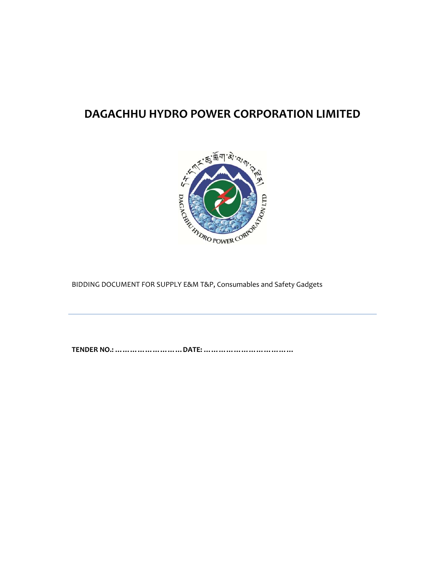# **DAGACHHU HYDRO POWER CORPORATION LIMITED**



BIDDING DOCUMENT FOR SUPPLY E&M T&P, Consumables and Safety Gadgets

**TENDER NO.: ………………………DATE: ………………………………**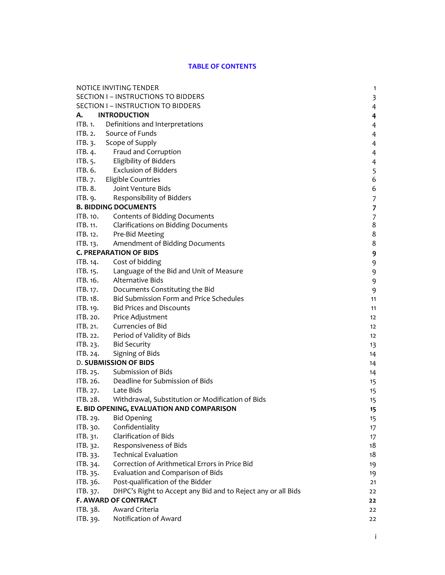#### **TABLE OF CONTENTS**

| NOTICE INVITING TENDER<br>1 |                                                              |                          |
|-----------------------------|--------------------------------------------------------------|--------------------------|
|                             | SECTION I - INSTRUCTIONS TO BIDDERS                          | 3                        |
|                             | SECTION I - INSTRUCTION TO BIDDERS                           | $\overline{4}$           |
| А. –                        | <b>INTRODUCTION</b>                                          | $\overline{\mathbf{4}}$  |
|                             | ITB. 1. Definitions and Interpretations                      | $\overline{4}$           |
| ITB. 2.                     | Source of Funds                                              | $\overline{4}$           |
|                             | ITB. 3. Scope of Supply                                      | $\overline{4}$           |
|                             | ITB. 4. Fraud and Corruption                                 | $\overline{4}$           |
|                             | ITB. 5. Eligibility of Bidders                               | $\overline{4}$           |
| ITB. 6.                     | <b>Exclusion of Bidders</b>                                  | 5                        |
| IFB.7.                      | <b>Eligible Countries</b>                                    | 6                        |
| ITB. 8.                     | Joint Venture Bids                                           | 6                        |
| ITB. 9.                     | Responsibility of Bidders                                    | $\overline{7}$           |
|                             | <b>B. BIDDING DOCUMENTS</b>                                  | $\overline{\phantom{a}}$ |
| ITB. 10.                    | Contents of Bidding Documents                                | $\boldsymbol{7}$         |
| <b>ITB. 11.</b>             | <b>Clarifications on Bidding Documents</b>                   | $\,8\,$                  |
| ITB. 12.                    | Pre-Bid Meeting                                              | $\,8\,$                  |
|                             | ITB. 13. Amendment of Bidding Documents                      | 8                        |
|                             | <b>C. PREPARATION OF BIDS</b>                                | 9                        |
|                             | ITB. 14. Cost of bidding                                     | 9                        |
|                             | ITB. 15. Language of the Bid and Unit of Measure             | 9                        |
|                             | ITB. 16. Alternative Bids                                    | 9                        |
|                             | ITB. 17. Documents Constituting the Bid                      | 9                        |
| ITB. 18.                    | <b>Bid Submission Form and Price Schedules</b>               | 11                       |
| ITB. 19.                    | <b>Bid Prices and Discounts</b>                              | 11                       |
|                             | ITB. 20. Price Adjustment                                    | $12 \overline{ }$        |
| ITB. 21.                    | Currencies of Bid                                            | 12                       |
|                             | ITB. 22. Period of Validity of Bids                          | 12                       |
|                             | ITB. 23. Bid Security                                        | 13                       |
| ITB. 24.                    | Signing of Bids                                              | 14                       |
|                             | <b>D. SUBMISSION OF BIDS</b>                                 | 14                       |
|                             | ITB. 25. Submission of Bids                                  | 14                       |
|                             | ITB. 26. Deadline for Submission of Bids                     | 15                       |
|                             | ITB. 27. Late Bids                                           | 15                       |
|                             | ITB. 28. Withdrawal, Substitution or Modification of Bids    | 15                       |
|                             | E. BID OPENING, EVALUATION AND COMPARISON                    | 15                       |
| ITB. 29.                    | <b>Bid Opening</b>                                           | 15                       |
| ITB. 30.                    | Confidentiality                                              | 17                       |
| ITB. 31.                    | <b>Clarification of Bids</b>                                 | 17                       |
| ITB. 32.                    | Responsiveness of Bids                                       | 18                       |
| ITB. 33.                    | <b>Technical Evaluation</b>                                  | 18                       |
| ITB. 34.                    | Correction of Arithmetical Errors in Price Bid               | 19                       |
| ITB. 35.                    | Evaluation and Comparison of Bids                            | 19                       |
| ITB. 36.                    | Post-qualification of the Bidder                             | 21                       |
| ITB. 37.                    | DHPC's Right to Accept any Bid and to Reject any or all Bids | 22                       |
|                             | <b>F. AWARD OF CONTRACT</b>                                  | 22                       |
| ITB. 38.                    | Award Criteria                                               | 22                       |
| ITB. 39.                    | Notification of Award                                        | 22                       |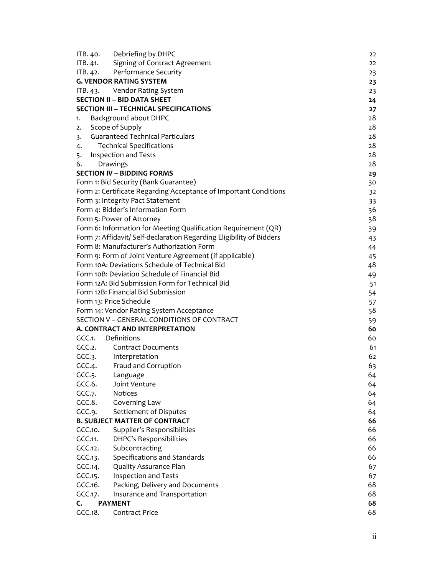| ITB. 40.           | Debriefing by DHPC                                                   | 22 |
|--------------------|----------------------------------------------------------------------|----|
| ITB. 41.           | Signing of Contract Agreement                                        | 22 |
| ITB. 42.           | Performance Security                                                 | 23 |
|                    | <b>G. VENDOR RATING SYSTEM</b>                                       | 23 |
|                    | ITB. 43. Vendor Rating System                                        | 23 |
|                    | <b>SECTION II - BID DATA SHEET</b>                                   | 24 |
|                    | <b>SECTION III - TECHNICAL SPECIFICATIONS</b>                        | 27 |
| 1.                 | Background about DHPC                                                | 28 |
| 2.                 | Scope of Supply                                                      | 28 |
| 3.                 | <b>Guaranteed Technical Particulars</b>                              | 28 |
| 4.                 | <b>Technical Specifications</b>                                      | 28 |
| 5.                 | Inspection and Tests                                                 | 28 |
| 6.                 | Drawings                                                             | 28 |
|                    | <b>SECTION IV - BIDDING FORMS</b>                                    | 29 |
|                    | Form 1: Bid Security (Bank Guarantee)                                | 30 |
|                    | Form 2: Certificate Regarding Acceptance of Important Conditions     | 32 |
|                    | Form 3: Integrity Pact Statement                                     | 33 |
|                    | Form 4: Bidder's Information Form                                    | 36 |
|                    | Form 5: Power of Attorney                                            | 38 |
|                    | Form 6: Information for Meeting Qualification Requirement (QR)       | 39 |
|                    | Form 7: Affidavit/ Self-declaration Regarding Eligibility of Bidders | 43 |
|                    | Form 8: Manufacturer's Authorization Form                            | 44 |
|                    | Form 9: Form of Joint Venture Agreement (if applicable)              | 45 |
|                    | Form 10A: Deviations Schedule of Technical Bid                       | 48 |
|                    | Form 10B: Deviation Schedule of Financial Bid                        | 49 |
|                    | Form 12A: Bid Submission Form for Technical Bid                      | 51 |
|                    | Form 12B: Financial Bid Submission                                   | 54 |
|                    | Form 13: Price Schedule                                              | 57 |
|                    | Form 14: Vendor Rating System Acceptance                             | 58 |
|                    | SECTION V - GENERAL CONDITIONS OF CONTRACT                           | 59 |
|                    | A. CONTRACT AND INTERPRETATION                                       | 60 |
| GCC.1. Definitions |                                                                      | 60 |
| GCC.2.             | <b>Contract Documents</b>                                            | 61 |
|                    | GCC.3. Interpretation                                                | 62 |
| GCC.4.             | Fraud and Corruption                                                 | 63 |
|                    | GCC.5. Language                                                      | 64 |
| GCC.6.             | Joint Venture                                                        | 64 |
| GCC.7.             | Notices                                                              | 64 |
| GCC.8.             | Governing Law                                                        | 64 |
| GCC.9.             | Settlement of Disputes                                               | 64 |
|                    | <b>B. SUBJECT MATTER OF CONTRACT</b>                                 | 66 |
| GCC.10.            | Supplier's Responsibilities                                          | 66 |
| GCC.11.            | DHPC's Responsibilities                                              | 66 |
| GCC.12.            | Subcontracting                                                       | 66 |
| GCC.13.            | Specifications and Standards                                         | 66 |
| GCC.14.            | Quality Assurance Plan                                               | 67 |
| GCC.15.            | Inspection and Tests                                                 | 67 |
| GCC.16.            | Packing, Delivery and Documents                                      | 68 |
| GCC.17.            | Insurance and Transportation                                         | 68 |
| C.                 | <b>PAYMENT</b>                                                       | 68 |
| GCC.18.            | Contract Price                                                       | 68 |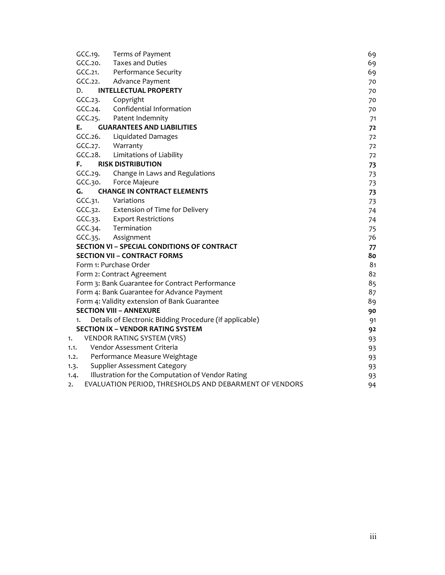| GCC.19. | Terms of Payment                                        | 69 |
|---------|---------------------------------------------------------|----|
| GCC.20. | <b>Taxes and Duties</b>                                 | 69 |
| GCC.21. | Performance Security                                    | 69 |
|         | GCC.22. Advance Payment                                 | 70 |
| D.      | <b>INTELLECTUAL PROPERTY</b>                            | 70 |
| GCC.23. | Copyright                                               | 70 |
|         | GCC.24. Confidential Information                        | 70 |
|         | GCC.25. Patent Indemnity                                | 71 |
| Е.      | <b>GUARANTEES AND LIABILITIES</b>                       | 72 |
| CCC.26. | Liquidated Damages                                      | 72 |
|         | GCC.27. Warranty                                        | 72 |
|         | GCC.28. Limitations of Liability                        | 72 |
| F.      | <b>RISK DISTRIBUTION</b>                                | 73 |
|         | GCC.29. Change in Laws and Regulations                  | 73 |
|         | GCC.30. Force Majeure                                   | 73 |
| G.      | <b>CHANGE IN CONTRACT ELEMENTS</b>                      | 73 |
|         | GCC.31. Variations                                      | 73 |
|         | GCC.32. Extension of Time for Delivery                  | 74 |
|         | GCC.33. Export Restrictions                             | 74 |
|         | GCC.34. Termination                                     | 75 |
|         | GCC.35. Assignment                                      | 76 |
|         | <b>SECTION VI - SPECIAL CONDITIONS OF CONTRACT</b>      | 77 |
|         | <b>SECTION VII - CONTRACT FORMS</b>                     | 80 |
|         | Form 1: Purchase Order                                  | 81 |
|         | Form 2: Contract Agreement                              | 82 |
|         | Form 3: Bank Guarantee for Contract Performance         | 85 |
|         | Form 4: Bank Guarantee for Advance Payment              | 87 |
|         | Form 4: Validity extension of Bank Guarantee            | 89 |
|         | <b>SECTION VIII - ANNEXURE</b>                          | 90 |
| 1.      | Details of Electronic Bidding Procedure (if applicable) | 91 |
|         | <b>SECTION IX - VENDOR RATING SYSTEM</b>                | 92 |
| 1.      | VENDOR RATING SYSTEM (VRS)                              | 93 |
| 1.1.    | Vendor Assessment Criteria                              | 93 |
| 1.2.    | Performance Measure Weightage                           | 93 |
| 1.3.    | <b>Supplier Assessment Category</b>                     | 93 |
| 1.4.    | Illustration for the Computation of Vendor Rating       | 93 |
| 2.      | EVALUATION PERIOD, THRESHOLDS AND DEBARMENT OF VENDORS  | 94 |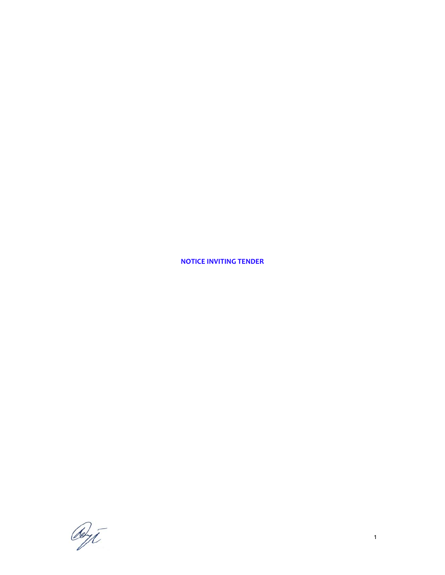**NOTICE INVITING TENDER**

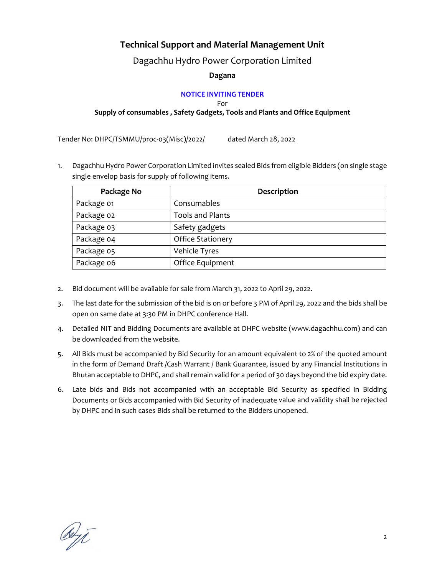# **Technical Support and Material Management Unit**

Dagachhu Hydro Power Corporation Limited

# **Dagana**

# **NOTICE INVITING TENDER**

For

**Supply of consumables , Safety Gadgets, Tools and Plants and Office Equipment** 

Tender No: DHPC/TSMMU/proc-03(Misc)/2022/ dated March 28, 2022

1. Dagachhu Hydro Power Corporation Limited invites sealed Bids from eligible Bidders (on single stage single envelop basis for supply of following items.

| Package No | Description              |
|------------|--------------------------|
| Package 01 | Consumables              |
| Package 02 | <b>Tools and Plants</b>  |
| Package 03 | Safety gadgets           |
| Package 04 | <b>Office Stationery</b> |
| Package 05 | Vehicle Tyres            |
| Package 06 | Office Equipment         |

- 2. Bid document will be available for sale from March 31, 2022 to April 29, 2022.
- 3. The last date for the submission of the bid is on or before 3 PM of April 29, 2022 and the bids shall be open on same date at 3:30 PM in DHPC conference Hall.
- 4. Detailed NIT and Bidding Documents are available at DHPC website (www.dagachhu.com) and can be downloaded from the website.
- 5. All Bids must be accompanied by Bid Security for an amount equivalent to 2% of the quoted amount in the form of Demand Draft /Cash Warrant / Bank Guarantee, issued by any Financial Institutions in Bhutan acceptable to DHPC, and shall remain valid for a period of 30 days beyond the bid expiry date.
- 6. Late bids and Bids not accompanied with an acceptable Bid Security as specified in Bidding Documents or Bids accompanied with Bid Security of inadequate value and validity shall be rejected by DHPC and in such cases Bids shall be returned to the Bidders unopened.

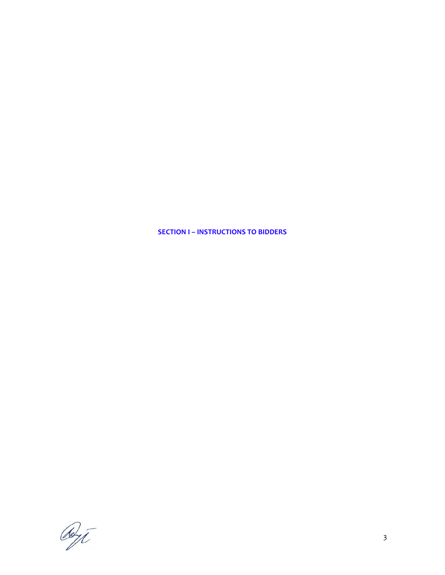**SECTION I – INSTRUCTIONS TO BIDDERS**

Reyt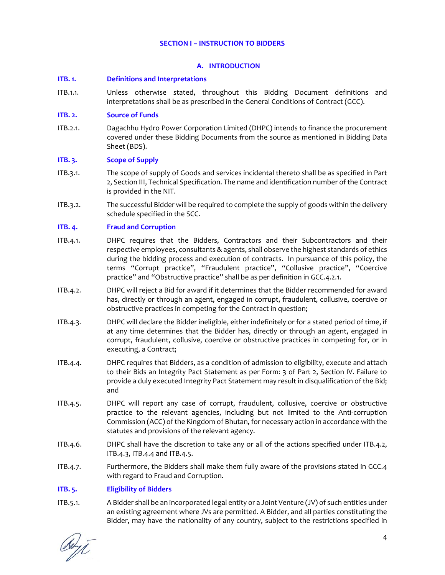#### **SECTION I – INSTRUCTION TO BIDDERS**

# **A. INTRODUCTION**

#### **ITB. 1. Definitions and Interpretations**

ITB.1.1. Unless otherwise stated, throughout this Bidding Document definitions and interpretations shall be as prescribed in the General Conditions of Contract (GCC).

#### **ITB. 2. Source of Funds**

ITB.2.1. Dagachhu Hydro Power Corporation Limited (DHPC) intends to finance the procurement covered under these Bidding Documents from the source as mentioned in Bidding Data Sheet (BDS).

#### **ITB. 3. Scope of Supply**

- ITB.3.1. The scope of supply of Goods and services incidental thereto shall be as specified in Part 2, Section III, Technical Specification. The name and identification number of the Contract is provided in the NIT.
- ITB.3.2. The successful Bidder will be required to complete the supply of goods within the delivery schedule specified in the SCC.

#### **ITB. 4. Fraud and Corruption**

- ITB.4.1. DHPC requires that the Bidders, Contractors and their Subcontractors and their respective employees, consultants & agents, shall observe the highest standards of ethics during the bidding process and execution of contracts. In pursuance of this policy, the terms "Corrupt practice", "Fraudulent practice", "Collusive practice", "Coercive practice" and "Obstructive practice" shall be as per definition in GCC.4.2.1.
- ITB.4.2. DHPC will reject a Bid for award if it determines that the Bidder recommended for award has, directly or through an agent, engaged in corrupt, fraudulent, collusive, coercive or obstructive practices in competing for the Contract in question;
- ITB.4.3. DHPC will declare the Bidder ineligible, either indefinitely or for a stated period of time, if at any time determines that the Bidder has, directly or through an agent, engaged in corrupt, fraudulent, collusive, coercive or obstructive practices in competing for, or in executing, a Contract;
- ITB.4.4. DHPC requires that Bidders, as a condition of admission to eligibility, execute and attach to their Bids an Integrity Pact Statement as per Form: 3 of Part 2, Section IV. Failure to provide a duly executed Integrity Pact Statement may result in disqualification of the Bid; and
- ITB.4.5. DHPC will report any case of corrupt, fraudulent, collusive, coercive or obstructive practice to the relevant agencies, including but not limited to the Anti‐corruption Commission (ACC) of the Kingdom of Bhutan, for necessary action in accordance with the statutes and provisions of the relevant agency.
- ITB.4.6. DHPC shall have the discretion to take any or all of the actions specified under ITB.4.2, ITB.4.3, ITB.4.4 and ITB.4.5.
- ITB.4.7. Furthermore, the Bidders shall make them fully aware of the provisions stated in GCC.4 with regard to Fraud and Corruption.

# **ITB. 5. Eligibility of Bidders**

ITB.5.1. A Bidder shall be an incorporated legal entity or a Joint Venture (JV) of such entities under an existing agreement where JVs are permitted. A Bidder, and all parties constituting the Bidder, may have the nationality of any country, subject to the restrictions specified in

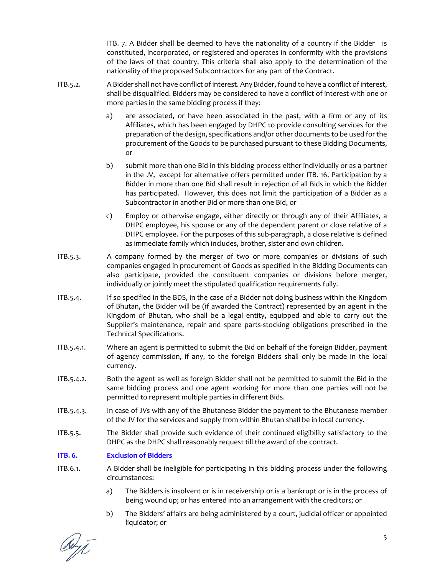ITB. 7. A Bidder shall be deemed to have the nationality of a country if the Bidder is constituted, incorporated, or registered and operates in conformity with the provisions of the laws of that country. This criteria shall also apply to the determination of the nationality of the proposed Subcontractors for any part of the Contract.

- ITB.5.2. A Bidder shall not have conflict of interest. Any Bidder, found to have a conflict of interest, shall be disqualified. Bidders may be considered to have a conflict of interest with one or more parties in the same bidding process if they:
	- a) are associated, or have been associated in the past, with a firm or any of its Affiliates, which has been engaged by DHPC to provide consulting services for the preparation of the design, specifications and/or other documents to be used for the procurement of the Goods to be purchased pursuant to these Bidding Documents, or
	- b) submit more than one Bid in this bidding process either individually or as a partner in the JV, except for alternative offers permitted under ITB. 16. Participation by a Bidder in more than one Bid shall result in rejection of all Bids in which the Bidder has participated. However, this does not limit the participation of a Bidder as a Subcontractor in another Bid or more than one Bid, or
	- c) Employ or otherwise engage, either directly or through any of their Affiliates, a DHPC employee, his spouse or any of the dependent parent or close relative of a DHPC employee. For the purposes of this sub-paragraph, a close relative is defined as immediate family which includes, brother, sister and own children.
- ITB.5.3. A company formed by the merger of two or more companies or divisions of such companies engaged in procurement of Goods as specified in the Bidding Documents can also participate, provided the constituent companies or divisions before merger, individually or jointly meet the stipulated qualification requirements fully.
- ITB.5.4. If so specified in the BDS, in the case of a Bidder not doing business within the Kingdom of Bhutan, the Bidder will be (if awarded the Contract) represented by an agent in the Kingdom of Bhutan, who shall be a legal entity, equipped and able to carry out the Supplier's maintenance, repair and spare parts‐stocking obligations prescribed in the Technical Specifications.
- ITB.5.4.1. Where an agent is permitted to submit the Bid on behalf of the foreign Bidder, payment of agency commission, if any, to the foreign Bidders shall only be made in the local currency.
- ITB.5.4.2. Both the agent as well as foreign Bidder shall not be permitted to submit the Bid in the same bidding process and one agent working for more than one parties will not be permitted to represent multiple parties in different Bids.
- ITB.5.4.3. In case of JVs with any of the Bhutanese Bidder the payment to the Bhutanese member of the JV for the services and supply from within Bhutan shall be in local currency.
- ITB.5.5. The Bidder shall provide such evidence of their continued eligibility satisfactory to the DHPC as the DHPC shall reasonably request till the award of the contract.

# **ITB. 6. Exclusion of Bidders**

- ITB.6.1. A Bidder shall be ineligible for participating in this bidding process under the following circumstances:
	- a) The Bidders is insolvent or is in receivership or is a bankrupt or is in the process of being wound up; or has entered into an arrangement with the creditors; or
	- b) The Bidders' affairs are being administered by a court, judicial officer or appointed liquidator; or

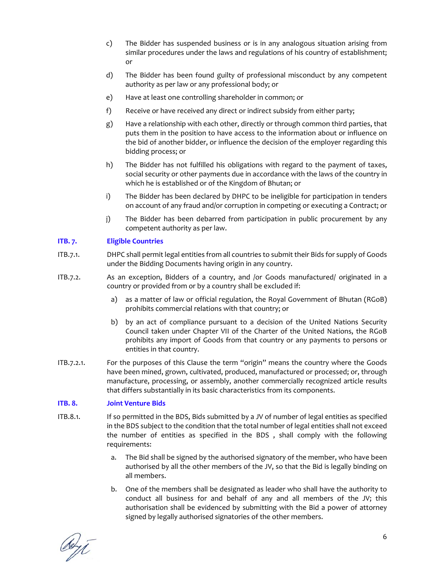- c) The Bidder has suspended business or is in any analogous situation arising from similar procedures under the laws and regulations of his country of establishment; or
- d) The Bidder has been found guilty of professional misconduct by any competent authority as per law or any professional body; or
- e) Have at least one controlling shareholder in common; or
- f) Receive or have received any direct or indirect subsidy from either party;
- g) Have a relationship with each other, directly or through common third parties, that puts them in the position to have access to the information about or influence on the bid of another bidder, or influence the decision of the employer regarding this bidding process; or
- h) The Bidder has not fulfilled his obligations with regard to the payment of taxes, social security or other payments due in accordance with the laws of the country in which he is established or of the Kingdom of Bhutan; or
- i) The Bidder has been declared by DHPC to be ineligible for participation in tenders on account of any fraud and/or corruption in competing or executing a Contract; or
- j) The Bidder has been debarred from participation in public procurement by any competent authority as per law.

#### **ITB. 7. Eligible Countries**

- ITB.7.1. DHPC shall permit legal entities from all countries to submit their Bids for supply of Goods under the Bidding Documents having origin in any country.
- ITB.7.2. As an exception, Bidders of a country, and /or Goods manufactured/ originated in a country or provided from or by a country shall be excluded if:
	- a) as a matter of law or official regulation, the Royal Government of Bhutan (RGoB) prohibits commercial relations with that country; or
	- b) by an act of compliance pursuant to a decision of the United Nations Security Council taken under Chapter VII of the Charter of the United Nations, the RGoB prohibits any import of Goods from that country or any payments to persons or entities in that country.
- ITB.7.2.1. For the purposes of this Clause the term "origin" means the country where the Goods have been mined, grown, cultivated, produced, manufactured or processed; or, through manufacture, processing, or assembly, another commercially recognized article results that differs substantially in its basic characteristics from its components.

#### **ITB. 8. Joint Venture Bids**

- ITB.8.1. If so permitted in the BDS, Bids submitted by a JV of number of legal entities as specified in the BDS subject to the condition that the total number of legal entities shall not exceed the number of entities as specified in the BDS , shall comply with the following requirements:
	- a. The Bid shall be signed by the authorised signatory of the member, who have been authorised by all the other members of the JV, so that the Bid is legally binding on all members.
	- b. One of the members shall be designated as leader who shall have the authority to conduct all business for and behalf of any and all members of the JV; this authorisation shall be evidenced by submitting with the Bid a power of attorney signed by legally authorised signatories of the other members.

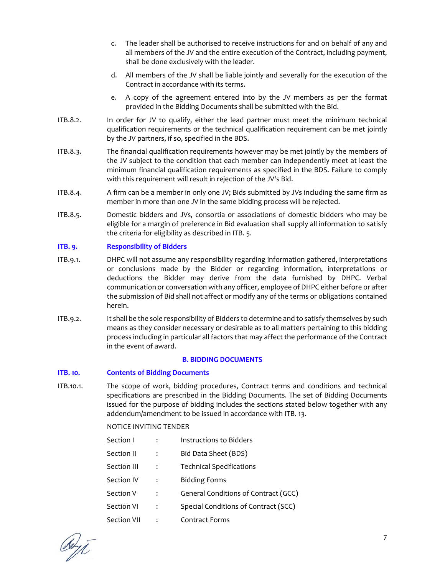- c. The leader shall be authorised to receive instructions for and on behalf of any and all members of the JV and the entire execution of the Contract, including payment, shall be done exclusively with the leader.
- d. All members of the JV shall be liable jointly and severally for the execution of the Contract in accordance with its terms.
- e. A copy of the agreement entered into by the JV members as per the format provided in the Bidding Documents shall be submitted with the Bid.
- ITB.8.2. In order for JV to qualify, either the lead partner must meet the minimum technical qualification requirements or the technical qualification requirement can be met jointly by the JV partners, if so, specified in the BDS.
- ITB.8.3. The financial qualification requirements however may be met jointly by the members of the JV subject to the condition that each member can independently meet at least the minimum financial qualification requirements as specified in the BDS. Failure to comply with this requirement will result in rejection of the JV's Bid.
- ITB.8.4. A firm can be a member in only one JV; Bids submitted by JVs including the same firm as member in more than one JV in the same bidding process will be rejected.
- ITB.8.5. Domestic bidders and JVs, consortia or associations of domestic bidders who may be eligible for a margin of preference in Bid evaluation shall supply all information to satisfy the criteria for eligibility as described in ITB. 5.

#### **ITB. 9. Responsibility of Bidders**

- ITB.9.1. DHPC will not assume any responsibility regarding information gathered, interpretations or conclusions made by the Bidder or regarding information, interpretations or deductions the Bidder may derive from the data furnished by DHPC. Verbal communication or conversation with any officer, employee of DHPC either before or after the submission of Bid shall not affect or modify any of the terms or obligations contained herein.
- ITB.9.2. It shall be the sole responsibility of Bidders to determine and to satisfy themselves by such means as they consider necessary or desirable as to all matters pertaining to this bidding process including in particular all factors that may affect the performance of the Contract in the event of award.

#### **B. BIDDING DOCUMENTS**

# **ITB. 10. Contents of Bidding Documents**

ITB.10.1. The scope of work, bidding procedures, Contract terms and conditions and technical specifications are prescribed in the Bidding Documents. The set of Bidding Documents issued for the purpose of bidding includes the sections stated below together with any addendum/amendment to be issued in accordance with ITB. 13.

#### NOTICE INVITING TENDER

| Section I   |   | Instructions to Bidders              |
|-------------|---|--------------------------------------|
| Section II  |   | Bid Data Sheet (BDS)                 |
| Section III |   | <b>Technical Specifications</b>      |
| Section IV  | ፡ | <b>Bidding Forms</b>                 |
| Section V   |   | General Conditions of Contract (GCC) |
| Section VI  | : | Special Conditions of Contract (SCC) |
| Section VII |   | <b>Contract Forms</b>                |

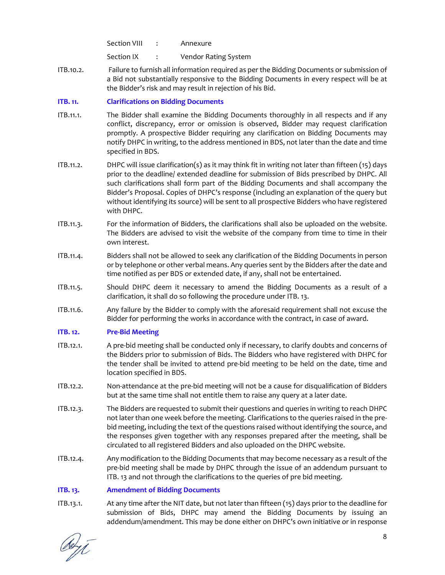Section VIII : Annexure

Section IX : Vendor Rating System

ITB.10.2. Failure to furnish all information required as per the Bidding Documents or submission of a Bid not substantially responsive to the Bidding Documents in every respect will be at the Bidder's risk and may result in rejection of his Bid.

# **ITB. 11. Clarifications on Bidding Documents**

- ITB.11.1. The Bidder shall examine the Bidding Documents thoroughly in all respects and if any conflict, discrepancy, error or omission is observed, Bidder may request clarification promptly. A prospective Bidder requiring any clarification on Bidding Documents may notify DHPC in writing, to the address mentioned in BDS, not later than the date and time specified in BDS.
- ITB.11.2. DHPC will issue clarification(s) as it may think fit in writing not later than fifteen (15) days prior to the deadline/ extended deadline for submission of Bids prescribed by DHPC. All such clarifications shall form part of the Bidding Documents and shall accompany the Bidder's Proposal. Copies of DHPC's response (including an explanation of the query but without identifying its source) will be sent to all prospective Bidders who have registered with DHPC.
- ITB.11.3. For the information of Bidders, the clarifications shall also be uploaded on the website. The Bidders are advised to visit the website of the company from time to time in their own interest.
- ITB.11.4. Bidders shall not be allowed to seek any clarification of the Bidding Documents in person or by telephone or other verbal means. Any queries sent by the Bidders after the date and time notified as per BDS or extended date, if any, shall not be entertained.
- ITB.11.5. Should DHPC deem it necessary to amend the Bidding Documents as a result of a clarification, it shall do so following the procedure under ITB. 13.
- ITB.11.6. Any failure by the Bidder to comply with the aforesaid requirement shall not excuse the Bidder for performing the works in accordance with the contract, in case of award.

# **ITB. 12. Pre‐Bid Meeting**

- ITB.12.1. A pre-bid meeting shall be conducted only if necessary, to clarify doubts and concerns of the Bidders prior to submission of Bids. The Bidders who have registered with DHPC for the tender shall be invited to attend pre‐bid meeting to be held on the date, time and location specified in BDS.
- ITB.12.2. Non‐attendance at the pre‐bid meeting will not be a cause for disqualification of Bidders but at the same time shall not entitle them to raise any query at a later date.
- ITB.12.3. The Bidders are requested to submit their questions and queries in writing to reach DHPC not later than one week before the meeting. Clarifications to the queries raised in the pre‐ bid meeting, including the text of the questions raised without identifying the source, and the responses given together with any responses prepared after the meeting, shall be circulated to all registered Bidders and also uploaded on the DHPC website.
- ITB.12.4. Any modification to the Bidding Documents that may become necessary as a result of the pre‐bid meeting shall be made by DHPC through the issue of an addendum pursuant to ITB. 13 and not through the clarifications to the queries of pre bid meeting.

# **ITB. 13. Amendment of Bidding Documents**

ITB.13.1. At any time after the NIT date, but not later than fifteen (15) days prior to the deadline for submission of Bids, DHPC may amend the Bidding Documents by issuing an addendum/amendment. This may be done either on DHPC's own initiative or in response

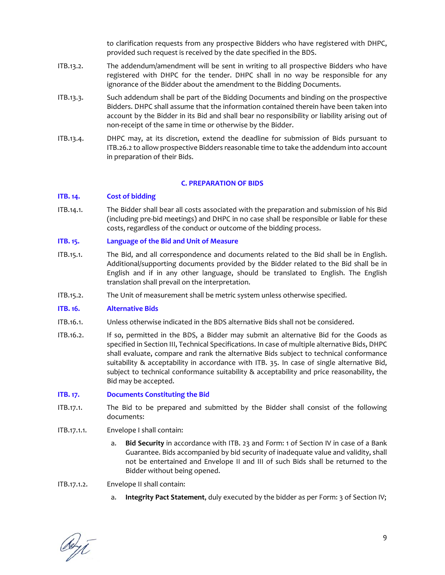to clarification requests from any prospective Bidders who have registered with DHPC, provided such request is received by the date specified in the BDS.

- ITB.13.2. The addendum/amendment will be sent in writing to all prospective Bidders who have registered with DHPC for the tender. DHPC shall in no way be responsible for any ignorance of the Bidder about the amendment to the Bidding Documents.
- ITB.13.3. Such addendum shall be part of the Bidding Documents and binding on the prospective Bidders. DHPC shall assume that the information contained therein have been taken into account by the Bidder in its Bid and shall bear no responsibility or liability arising out of non-receipt of the same in time or otherwise by the Bidder.
- ITB.13.4. DHPC may, at its discretion, extend the deadline for submission of Bids pursuant to ITB.26.2 to allow prospective Bidders reasonable time to take the addendum into account in preparation of their Bids.

#### **C. PREPARATION OF BIDS**

#### **ITB. 14. Cost of bidding**

ITB.14.1. The Bidder shall bear all costs associated with the preparation and submission of his Bid (including pre‐bid meetings) and DHPC in no case shall be responsible or liable for these costs, regardless of the conduct or outcome of the bidding process.

#### **ITB. 15. Language of the Bid and Unit of Measure**

- ITB.15.1. The Bid, and all correspondence and documents related to the Bid shall be in English. Additional/supporting documents provided by the Bidder related to the Bid shall be in English and if in any other language, should be translated to English. The English translation shall prevail on the interpretation.
- ITB.15.2. The Unit of measurement shall be metric system unless otherwise specified.

#### **ITB. 16. Alternative Bids**

- ITB.16.1. Unless otherwise indicated in the BDS alternative Bids shall not be considered.
- ITB.16.2. If so, permitted in the BDS, a Bidder may submit an alternative Bid for the Goods as specified in Section III, Technical Specifications. In case of multiple alternative Bids, DHPC shall evaluate, compare and rank the alternative Bids subject to technical conformance suitability & acceptability in accordance with ITB. 35. In case of single alternative Bid, subject to technical conformance suitability & acceptability and price reasonability, the Bid may be accepted.

#### **ITB. 17. Documents Constituting the Bid**

- ITB.17.1. The Bid to be prepared and submitted by the Bidder shall consist of the following documents:
- ITB.17.1.1. Envelope I shall contain:
	- a. **Bid Security** in accordance with ITB. 23 and Form: 1 of Section IV in case of a Bank Guarantee. Bids accompanied by bid security of inadequate value and validity, shall not be entertained and Envelope II and III of such Bids shall be returned to the Bidder without being opened.

#### ITB.17.1.2. Envelope II shall contain:

a. **Integrity Pact Statement**, duly executed by the bidder as per Form: 3 of Section IV;

debyt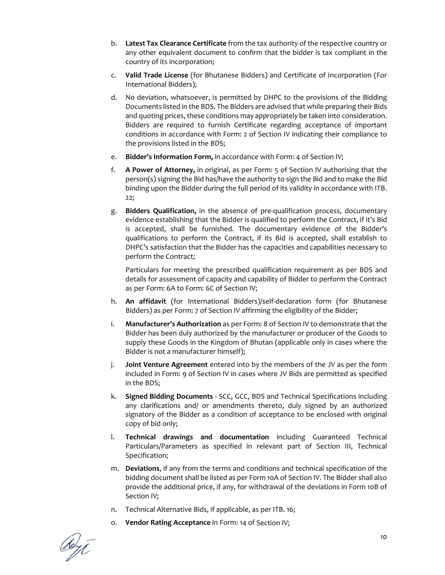- b. **Latest Tax Clearance Certificate** from the tax authority of the respective country or any other equivalent document to confirm that the bidder is tax compliant in the country of its incorporation;
- c. **Valid Trade License** (for Bhutanese Bidders) and Certificate of Incorporation (For International Bidders);
- d. No deviation, whatsoever, is permitted by DHPC to the provisions of the Bidding Documents listed in the BDS. The Bidders are advised that while preparing their Bids and quoting prices, these conditions may appropriately be taken into consideration. Bidders are required to furnish Certificate regarding acceptance of important conditions in accordance with Form: 2 of Section IV indicating their compliance to the provisions listed in the BDS;
- e. **Bidder's Information Form,** in accordance with Form: 4 of Section IV;
- f. **A Power of Attorney,** in original, as per Form: 5 of Section IV authorising that the person(s) signing the Bid has/have the authority to sign the Bid and to make the Bid binding upon the Bidder during the full period of its validity in accordance with ITB. 22;
- g. **Bidders Qualification,** in the absence of pre‐qualification process, documentary evidence establishing that the Bidder is qualified to perform the Contract, if it's Bid is accepted, shall be furnished. The documentary evidence of the Bidder's qualifications to perform the Contract, if its Bid is accepted, shall establish to DHPC's satisfaction that the Bidder has the capacities and capabilities necessary to perform the Contract;

Particulars for meeting the prescribed qualification requirement as per BDS and details for assessment of capacity and capability of Bidder to perform the Contract as per Form: 6A to Form: 6C of Section IV;

- h. **An affidavit** (for International Bidders)/self‐declaration form (for Bhutanese Bidders) as per Form: 7 of Section IV affirming the eligibility of the Bidder;
- i. **Manufacturer's Authorization** as per Form: 8 of Section IV to demonstrate that the Bidder has been duly authorized by the manufacturer or producer of the Goods to supply these Goods in the Kingdom of Bhutan (applicable only in cases where the Bidder is not a manufacturer himself);
- j. **Joint Venture Agreement** entered into by the members of the JV as per the form included in Form: 9 of Section IV in cases where JV Bids are permitted as specified in the BDS;
- k. **Signed Bidding Documents** ‐ SCC, GCC, BDS and Technical Specifications including any clarifications and/ or amendments thereto, duly signed by an authorized signatory of the Bidder as a condition of acceptance to be enclosed with original copy of bid only;
- l. **Technical drawings and documentation** including Guaranteed Technical Particulars/Parameters as specified in relevant part of Section III, Technical Specification;
- m. **Deviations**, if any from the terms and conditions and technical specification of the bidding document shall be listed as per Form 10A of Section IV. The Bidder shall also provide the additional price, if any, for withdrawal of the deviations in Form 10B of Section IV;
- n. Technical Alternative Bids, if applicable, as per ITB. 16;
- o. **Vendor Rating Acceptance** in Form: 14 of Section IV;

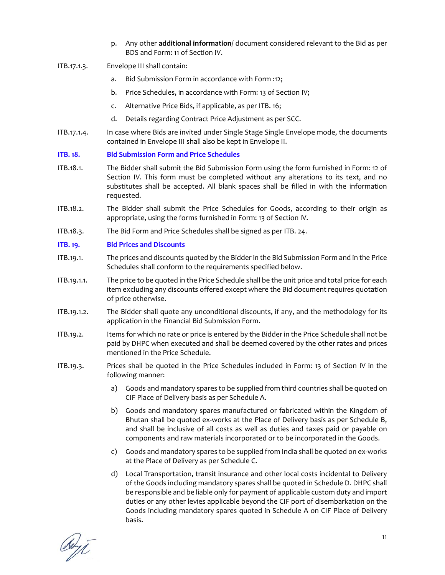- p. Any other **additional information**/ document considered relevant to the Bid as per BDS and Form: 11 of Section IV.
- ITB.17.1.3. Envelope III shall contain:
	- a. Bid Submission Form in accordance with Form :12;
	- b. Price Schedules, in accordance with Form: 13 of Section IV;
	- c. Alternative Price Bids, if applicable, as per ITB. 16;
	- d. Details regarding Contract Price Adjustment as per SCC.
- ITB.17.1.4. In case where Bids are invited under Single Stage Single Envelope mode, the documents contained in Envelope III shall also be kept in Envelope II.

# **ITB. 18. Bid Submission Form and Price Schedules**

- ITB.18.1. The Bidder shall submit the Bid Submission Form using the form furnished in Form: 12 of Section IV. This form must be completed without any alterations to its text, and no substitutes shall be accepted. All blank spaces shall be filled in with the information requested.
- ITB.18.2. The Bidder shall submit the Price Schedules for Goods, according to their origin as appropriate, using the forms furnished in Form: 13 of Section IV.
- ITB.18.3. The Bid Form and Price Schedules shall be signed as per ITB. 24.

# **ITB. 19. Bid Prices and Discounts**

- ITB.19.1. The prices and discounts quoted by the Bidder in the Bid Submission Form and in the Price Schedules shall conform to the requirements specified below.
- ITB.19.1.1. The price to be quoted in the Price Schedule shall be the unit price and total price for each item excluding any discounts offered except where the Bid document requires quotation of price otherwise.
- ITB.19.1.2. The Bidder shall quote any unconditional discounts, if any, and the methodology for its application in the Financial Bid Submission Form.
- ITB.19.2. Items for which no rate or price is entered by the Bidder in the Price Schedule shall not be paid by DHPC when executed and shall be deemed covered by the other rates and prices mentioned in the Price Schedule.
- ITB.19.3. Prices shall be quoted in the Price Schedules included in Form: 13 of Section IV in the following manner:
	- a) Goods and mandatory spares to be supplied from third countries shall be quoted on CIF Place of Delivery basis as per Schedule A.
	- b) Goods and mandatory spares manufactured or fabricated within the Kingdom of Bhutan shall be quoted ex-works at the Place of Delivery basis as per Schedule B, and shall be inclusive of all costs as well as duties and taxes paid or payable on components and raw materials incorporated or to be incorporated in the Goods.
	- c) Goods and mandatory spares to be supplied from India shall be quoted on ex-works at the Place of Delivery as per Schedule C.
	- d) Local Transportation, transit insurance and other local costs incidental to Delivery of the Goods including mandatory spares shall be quoted in Schedule D. DHPC shall be responsible and be liable only for payment of applicable custom duty and import duties or any other levies applicable beyond the CIF port of disembarkation on the Goods including mandatory spares quoted in Schedule A on CIF Place of Delivery basis.

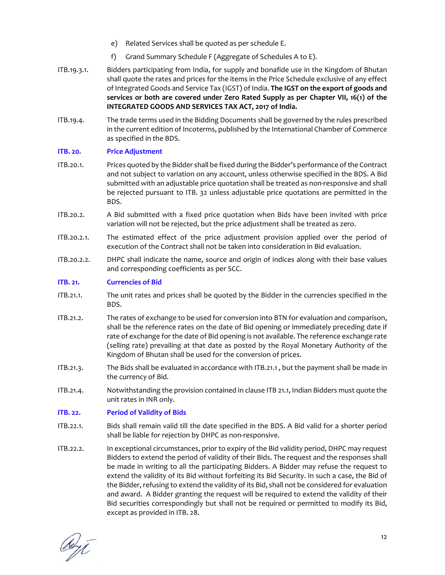- e) Related Services shall be quoted as per schedule E.
- f) Grand Summary Schedule F (Aggregate of Schedules A to E).
- ITB.19.3.1. Bidders participating from India, for supply and bonafide use in the Kingdom of Bhutan shall quote the rates and prices for the items in the Price Schedule exclusive of any effect of Integrated Goods and Service Tax (IGST) of India. **The IGST on the export of goods and services or both are covered under Zero Rated Supply as per Chapter VII, 16(1) of the INTEGRATED GOODS AND SERVICES TAX ACT, 2017 of India.**
- ITB.19.4. The trade terms used in the Bidding Documents shall be governed by the rules prescribed in the current edition of Incoterms, published by the International Chamber of Commerce as specified in the BDS.

#### **ITB. 20. Price Adjustment**

- ITB.20.1. Prices quoted by the Bidder shall be fixed during the Bidder's performance ofthe Contract and not subject to variation on any account, unless otherwise specified in the BDS. A Bid submitted with an adjustable price quotation shall be treated as non-responsive and shall be rejected pursuant to ITB. 32 unless adjustable price quotations are permitted in the BDS.
- ITB.20.2. A Bid submitted with a fixed price quotation when Bids have been invited with price variation will not be rejected, but the price adjustment shall be treated as zero.
- ITB.20.2.1. The estimated effect of the price adjustment provision applied over the period of execution of the Contract shall not be taken into consideration in Bid evaluation.
- ITB.20.2.2. DHPC shall indicate the name, source and origin of indices along with their base values and corresponding coefficients as per SCC.

#### **ITB. 21. Currencies of Bid**

- ITB.21.1. The unit rates and prices shall be quoted by the Bidder in the currencies specified in the BDS.
- ITB.21.2. The rates of exchange to be used for conversion into BTN for evaluation and comparison, shall be the reference rates on the date of Bid opening or immediately preceding date if rate of exchange for the date of Bid opening is not available. The reference exchange rate (selling rate) prevailing at that date as posted by the Royal Monetary Authority of the Kingdom of Bhutan shall be used for the conversion of prices.
- ITB.21.3. The Bids shall be evaluated in accordance with ITB.21.1 , but the payment shall be made in the currency of Bid.
- ITB.21.4. Notwithstanding the provision contained in clause ITB 21.1, Indian Bidders must quote the unit rates in INR only.

#### **ITB. 22. Period of Validity of Bids**

- ITB.22.1. Bids shall remain valid till the date specified in the BDS. A Bid valid for a shorter period shall be liable for rejection by DHPC as non‐responsive.
- ITB.22.2. In exceptional circumstances, prior to expiry of the Bid validity period, DHPC may request Bidders to extend the period of validity of their Bids. The request and the responses shall be made in writing to all the participating Bidders. A Bidder may refuse the request to extend the validity of its Bid without forfeiting its Bid Security. In such a case, the Bid of the Bidder, refusing to extend the validity of its Bid, shall not be considered for evaluation and award. A Bidder granting the request will be required to extend the validity of their Bid securities correspondingly but shall not be required or permitted to modify its Bid, except as provided in ITB. 28.

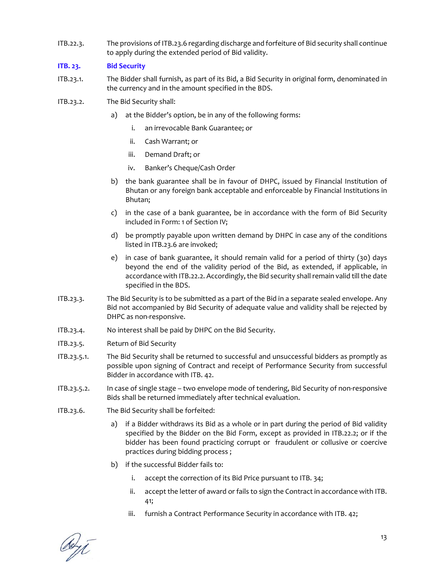ITB.22.3. The provisions of ITB.23.6 regarding discharge and forfeiture of Bid security shall continue to apply during the extended period of Bid validity.

# **ITB. 23. Bid Security**

- ITB.23.1. The Bidder shall furnish, as part of its Bid, a Bid Security in original form, denominated in the currency and in the amount specified in the BDS.
- ITB.23.2. The Bid Security shall:
	- a) at the Bidder's option, be in any of the following forms:
		- i. an irrevocable Bank Guarantee; or
		- ii. Cash Warrant; or
		- iii. Demand Draft; or
		- iv. Banker's Cheque/Cash Order
	- b) the bank guarantee shall be in favour of DHPC, issued by Financial Institution of Bhutan or any foreign bank acceptable and enforceable by Financial Institutions in Bhutan;
	- c) in the case of a bank guarantee, be in accordance with the form of Bid Security included in Form: 1 of Section IV;
	- d) be promptly payable upon written demand by DHPC in case any of the conditions listed in ITB.23.6 are invoked;
	- e) in case of bank guarantee, it should remain valid for a period of thirty (30) days beyond the end of the validity period of the Bid, as extended, if applicable, in accordance with ITB.22.2. Accordingly, the Bid security shall remain valid till the date specified in the BDS.
- ITB.23.3. The Bid Security is to be submitted as a part of the Bid in a separate sealed envelope. Any Bid not accompanied by Bid Security of adequate value and validity shall be rejected by DHPC as non‐responsive.
- ITB.23.4. No interest shall be paid by DHPC on the Bid Security.
- ITB.23.5. Return of Bid Security
- ITB.23.5.1. The Bid Security shall be returned to successful and unsuccessful bidders as promptly as possible upon signing of Contract and receipt of Performance Security from successful Bidder in accordance with ITB. 42.
- ITB.23.5.2. In case of single stage two envelope mode of tendering, Bid Security of non-responsive Bids shall be returned immediately after technical evaluation.
- ITB.23.6. The Bid Security shall be forfeited:
	- a) if a Bidder withdraws its Bid as a whole or in part during the period of Bid validity specified by the Bidder on the Bid Form, except as provided in ITB.22.2; or if the bidder has been found practicing corrupt or fraudulent or collusive or coercive practices during bidding process ;
	- b) if the successful Bidder fails to:
		- i. accept the correction of its Bid Price pursuant to ITB. 34;
		- ii. accept the letter of award or fails to sign the Contract in accordance with ITB. 41;
		- iii. furnish a Contract Performance Security in accordance with ITB. 42;

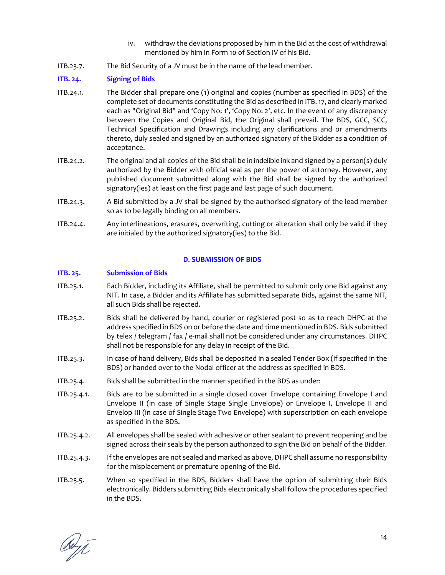- iv. withdraw the deviations proposed by him in the Bid at the cost of withdrawal mentioned by him in Form 10 of Section IV of his Bid.
- ITB.23.7. The Bid Security of a JV must be in the name of the lead member.

### **ITB. 24. Signing of Bids**

- ITB.24.1. The Bidder shall prepare one (1) original and copies (number as specified in BDS) of the complete set of documents constituting the Bid as described in ITB.17, and clearly marked each as "Original Bid" and 'Copy No: 1', 'Copy No: 2', etc. In the event of any discrepancy between the Copies and Original Bid, the Original shall prevail. The BDS, GCC, SCC, Technical Specification and Drawings including any clarifications and or amendments thereto, duly sealed and signed by an authorized signatory of the Bidder as a condition of acceptance.
- ITB.24.2. The original and all copies of the Bid shall be in indelible ink and signed by a person(s) duly authorized by the Bidder with official seal as per the power of attorney. However, any published document submitted along with the Bid shall be signed by the authorized signatory(ies) at least on the first page and last page of such document.
- ITB.24.3. A Bid submitted by a JV shall be signed by the authorised signatory of the lead member so as to be legally binding on all members.
- ITB.24.4. Any interlineations, erasures, overwriting, cutting or alteration shall only be valid if they are initialed by the authorized signatory(ies) to the Bid.

#### **D. SUBMISSION OF BIDS**

#### **ITB. 25. Submission of Bids**

- ITB.25.1. Each Bidder, including its Affiliate, shall be permitted to submit only one Bid against any NIT. In case, a Bidder and its Affiliate has submitted separate Bids, against the same NIT, all such Bids shall be rejected.
- ITB.25.2. Bids shall be delivered by hand, courier or registered post so as to reach DHPC at the address specified in BDS on or before the date and time mentioned in BDS. Bids submitted by telex / telegram / fax / e‐mail shall not be considered under any circumstances. DHPC shall not be responsible for any delay in receipt of the Bid.
- ITB.25.3. In case of hand delivery, Bids shall be deposited in a sealed Tender Box (if specified in the BDS) or handed over to the Nodal officer at the address as specified in BDS.
- ITB.25.4. Bids shall be submitted in the manner specified in the BDS as under:
- ITB.25.4.1. Bids are to be submitted in a single closed cover Envelope containing Envelope I and Envelope II (in case of Single Stage Single Envelope) or Envelope I, Envelope II and Envelop III (in case of Single Stage Two Envelope) with superscription on each envelope as specified in the BDS.
- ITB.25.4.2. All envelopes shall be sealed with adhesive or other sealant to prevent reopening and be signed across their seals by the person authorized to sign the Bid on behalf of the Bidder.
- ITB.25.4.3. If the envelopes are not sealed and marked as above, DHPC shall assume no responsibility for the misplacement or premature opening of the Bid.
- ITB.25.5. When so specified in the BDS, Bidders shall have the option of submitting their Bids electronically. Bidders submitting Bids electronically shall follow the procedures specified in the BDS.

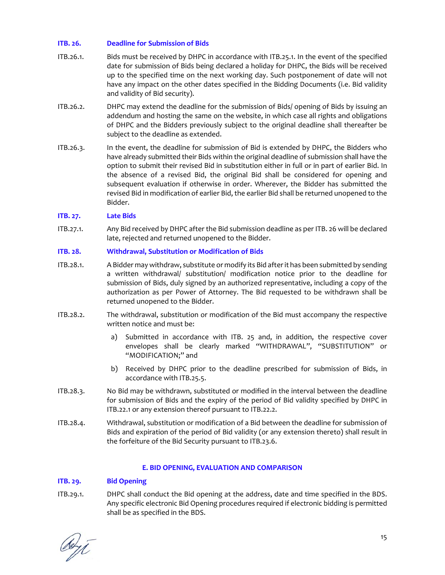# **ITB. 26. Deadline for Submission of Bids**

- ITB.26.1. Bids must be received by DHPC in accordance with ITB.25.1. In the event of the specified date for submission of Bids being declared a holiday for DHPC, the Bids will be received up to the specified time on the next working day. Such postponement of date will not have any impact on the other dates specified in the Bidding Documents (i.e. Bid validity and validity of Bid security).
- ITB.26.2. DHPC may extend the deadline for the submission of Bids/ opening of Bids by issuing an addendum and hosting the same on the website, in which case all rights and obligations of DHPC and the Bidders previously subject to the original deadline shall thereafter be subject to the deadline as extended.
- ITB.26.3. In the event, the deadline for submission of Bid is extended by DHPC, the Bidders who have already submitted their Bids within the original deadline of submission shall have the option to submit their revised Bid in substitution either in full or in part of earlier Bid. In the absence of a revised Bid, the original Bid shall be considered for opening and subsequent evaluation if otherwise in order. Wherever, the Bidder has submitted the revised Bid in modification of earlier Bid, the earlier Bid shall be returned unopened to the Bidder.

# **ITB. 27. Late Bids**

ITB.27.1. Any Bid received by DHPC after the Bid submission deadline as per ITB. 26 will be declared late, rejected and returned unopened to the Bidder.

#### **ITB. 28. Withdrawal, Substitution or Modification of Bids**

- ITB.28.1. A Bidder may withdraw, substitute or modify its Bid afterit has been submitted by sending a written withdrawal/ substitution/ modification notice prior to the deadline for submission of Bids, duly signed by an authorized representative, including a copy of the authorization as per Power of Attorney. The Bid requested to be withdrawn shall be returned unopened to the Bidder.
- ITB.28.2. The withdrawal, substitution or modification of the Bid must accompany the respective written notice and must be:
	- a) Submitted in accordance with ITB. 25 and, in addition, the respective cover envelopes shall be clearly marked "WITHDRAWAL", "SUBSTITUTION" or "MODIFICATION;" and
	- b) Received by DHPC prior to the deadline prescribed for submission of Bids, in accordance with ITB.25.5.
- ITB.28.3. No Bid may be withdrawn, substituted or modified in the interval between the deadline for submission of Bids and the expiry of the period of Bid validity specified by DHPC in ITB.22.1 or any extension thereof pursuant to ITB.22.2.
- ITB.28.4. Withdrawal, substitution or modification of a Bid between the deadline for submission of Bids and expiration of the period of Bid validity (or any extension thereto) shall result in the forfeiture of the Bid Security pursuant to ITB.23.6.

# **E. BID OPENING, EVALUATION AND COMPARISON**

# **ITB. 29. Bid Opening**

ITB.29.1. DHPC shall conduct the Bid opening at the address, date and time specified in the BDS. Any specific electronic Bid Opening procedures required if electronic bidding is permitted shall be as specified in the BDS.

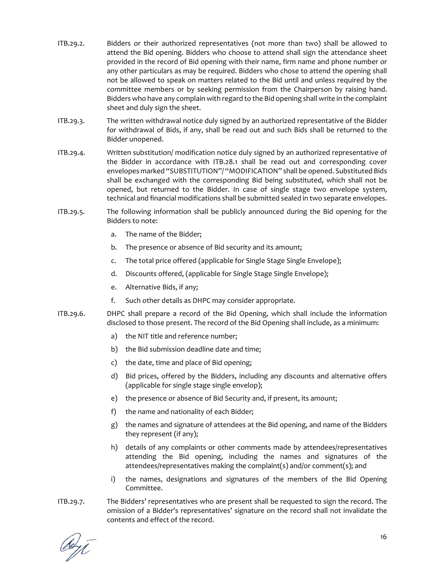- ITB.29.2. Bidders or their authorized representatives (not more than two) shall be allowed to attend the Bid opening. Bidders who choose to attend shall sign the attendance sheet provided in the record of Bid opening with their name, firm name and phone number or any other particulars as may be required. Bidders who chose to attend the opening shall not be allowed to speak on matters related to the Bid until and unless required by the committee members or by seeking permission from the Chairperson by raising hand. Bidders who have any complain with regard to the Bid opening shall write in the complaint sheet and duly sign the sheet.
- ITB.29.3. The written withdrawal notice duly signed by an authorized representative of the Bidder for withdrawal of Bids, if any, shall be read out and such Bids shall be returned to the Bidder unopened.
- ITB.29.4. Written substitution/ modification notice duly signed by an authorized representative of the Bidder in accordance with ITB.28.1 shall be read out and corresponding cover envelopes marked "SUBSTITUTION"/ "MODIFICATION" shall be opened. Substituted Bids shall be exchanged with the corresponding Bid being substituted, which shall not be opened, but returned to the Bidder. In case of single stage two envelope system, technical and financial modifications shall be submitted sealed in two separate envelopes.
- ITB.29.5. The following information shall be publicly announced during the Bid opening for the Bidders to note:
	- a. The name of the Bidder;
	- b. The presence or absence of Bid security and its amount;
	- c. The total price offered (applicable for Single Stage Single Envelope);
	- d. Discounts offered, (applicable for Single Stage Single Envelope);
	- e. Alternative Bids, if any;
	- f. Such other details as DHPC may consider appropriate.
- ITB.29.6. DHPC shall prepare a record of the Bid Opening, which shall include the information disclosed to those present. The record of the Bid Opening shall include, as a minimum:
	- a) the NIT title and reference number;
	- b) the Bid submission deadline date and time;
	- c) the date, time and place of Bid opening;
	- d) Bid prices, offered by the Bidders, including any discounts and alternative offers (applicable for single stage single envelop);
	- e) the presence or absence of Bid Security and, if present, its amount;
	- f) the name and nationality of each Bidder;
	- g) the names and signature of attendees at the Bid opening, and name of the Bidders they represent (if any);
	- h) details of any complaints or other comments made by attendees/representatives attending the Bid opening, including the names and signatures of the attendees/representatives making the complaint(s) and/or comment(s); and
	- i) the names, designations and signatures of the members of the Bid Opening Committee.
- ITB.29.7. The Bidders' representatives who are present shall be requested to sign the record. The omission of a Bidder's representatives' signature on the record shall not invalidate the contents and effect of the record.

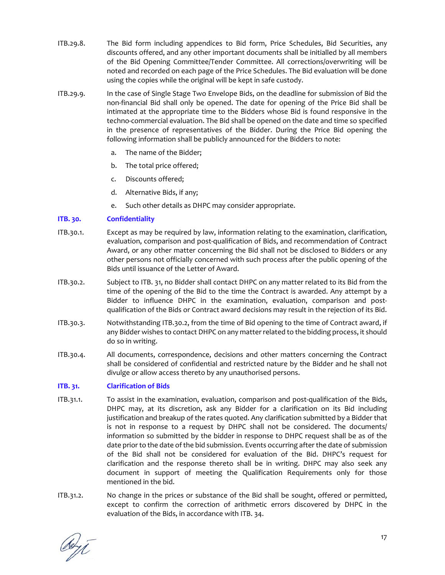- ITB.29.8. The Bid form including appendices to Bid form, Price Schedules, Bid Securities, any discounts offered, and any other important documents shall be initialled by all members of the Bid Opening Committee/Tender Committee. All corrections/overwriting will be noted and recorded on each page of the Price Schedules. The Bid evaluation will be done using the copies while the original will be kept in safe custody.
- ITB.29.9. In the case of Single Stage Two Envelope Bids, on the deadline for submission of Bid the non‐financial Bid shall only be opened. The date for opening of the Price Bid shall be intimated at the appropriate time to the Bidders whose Bid is found responsive in the techno‐commercial evaluation. The Bid shall be opened on the date and time so specified in the presence of representatives of the Bidder. During the Price Bid opening the following information shall be publicly announced for the Bidders to note:
	- a. The name of the Bidder;
	- b. The total price offered;
	- c. Discounts offered;
	- d. Alternative Bids, if any;
	- e. Such other details as DHPC may consider appropriate.

#### **ITB. 30. Confidentiality**

- ITB.30.1. Except as may be required by law, information relating to the examination, clarification, evaluation, comparison and post‐qualification of Bids, and recommendation of Contract Award, or any other matter concerning the Bid shall not be disclosed to Bidders or any other persons not officially concerned with such process after the public opening of the Bids until issuance of the Letter of Award.
- ITB.30.2. Subject to ITB. 31, no Bidder shall contact DHPC on any matter related to its Bid from the time of the opening of the Bid to the time the Contract is awarded. Any attempt by a Bidder to influence DHPC in the examination, evaluation, comparison and postqualification of the Bids or Contract award decisions may result in the rejection of its Bid.
- ITB.30.3. Notwithstanding ITB.30.2, from the time of Bid opening to the time of Contract award, if any Bidder wishes to contact DHPC on any matter related to the bidding process, it should do so in writing.
- ITB.30.4. All documents, correspondence, decisions and other matters concerning the Contract shall be considered of confidential and restricted nature by the Bidder and he shall not divulge or allow access thereto by any unauthorised persons.

#### **ITB. 31. Clarification of Bids**

- ITB.31.1. To assist in the examination, evaluation, comparison and post-qualification of the Bids, DHPC may, at its discretion, ask any Bidder for a clarification on its Bid including justification and breakup of the rates quoted. Any clarification submitted by a Bidder that is not in response to a request by DHPC shall not be considered. The documents/ information so submitted by the bidder in response to DHPC request shall be as of the date prior to the date of the bid submission. Events occurring after the date of submission of the Bid shall not be considered for evaluation of the Bid. DHPC's request for clarification and the response thereto shall be in writing. DHPC may also seek any document in support of meeting the Qualification Requirements only for those mentioned in the bid.
- ITB.31.2. No change in the prices or substance of the Bid shall be sought, offered or permitted, except to confirm the correction of arithmetic errors discovered by DHPC in the evaluation of the Bids, in accordance with ITB. 34.

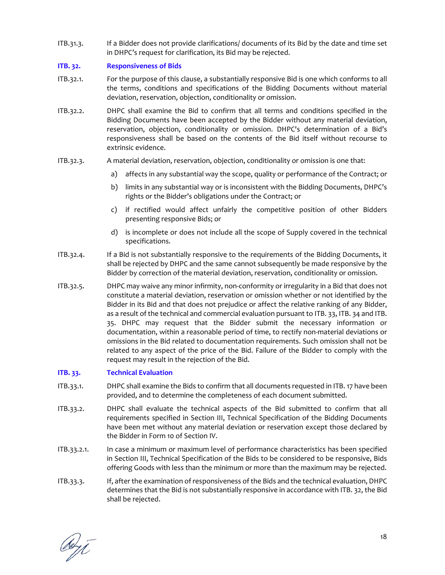ITB.31.3. If a Bidder does not provide clarifications/ documents of its Bid by the date and time set in DHPC's request for clarification, its Bid may be rejected.

# **ITB. 32. Responsiveness of Bids**

- ITB.32.1. For the purpose of this clause, a substantially responsive Bid is one which conforms to all the terms, conditions and specifications of the Bidding Documents without material deviation, reservation, objection, conditionality or omission.
- ITB.32.2. DHPC shall examine the Bid to confirm that all terms and conditions specified in the Bidding Documents have been accepted by the Bidder without any material deviation, reservation, objection, conditionality or omission. DHPC's determination of a Bid's responsiveness shall be based on the contents of the Bid itself without recourse to extrinsic evidence.
- ITB.32.3. A material deviation, reservation, objection, conditionality or omission is one that:
	- a) affects in any substantial way the scope, quality or performance of the Contract; or
	- b) limits in any substantial way or is inconsistent with the Bidding Documents, DHPC's rights or the Bidder's obligations under the Contract; or
	- c) if rectified would affect unfairly the competitive position of other Bidders presenting responsive Bids; or
	- d) is incomplete or does not include all the scope of Supply covered in the technical specifications.
- ITB.32.4. If a Bid is not substantially responsive to the requirements of the Bidding Documents, it shall be rejected by DHPC and the same cannot subsequently be made responsive by the Bidder by correction of the material deviation, reservation, conditionality or omission.
- ITB.32.5. DHPC may waive any minor infirmity, non‐conformity or irregularity in a Bid that does not constitute a material deviation, reservation or omission whether or not identified by the Bidder in its Bid and that does not prejudice or affect the relative ranking of any Bidder, as a result of the technical and commercial evaluation pursuant to ITB. 33, ITB. 34 and ITB. 35. DHPC may request that the Bidder submit the necessary information or documentation, within a reasonable period of time, to rectify non-material deviations or omissions in the Bid related to documentation requirements. Such omission shall not be related to any aspect of the price of the Bid. Failure of the Bidder to comply with the request may result in the rejection of the Bid.

# **ITB. 33. Technical Evaluation**

- ITB.33.1. DHPC shall examine the Bids to confirm that all documents requested in ITB. 17 have been provided, and to determine the completeness of each document submitted.
- ITB.33.2. DHPC shall evaluate the technical aspects of the Bid submitted to confirm that all requirements specified in Section III, Technical Specification of the Bidding Documents have been met without any material deviation or reservation except those declared by the Bidder in Form 10 of Section IV.
- ITB.33.2.1. In case a minimum or maximum level of performance characteristics has been specified in Section III, Technical Specification of the Bids to be considered to be responsive, Bids offering Goods with less than the minimum or more than the maximum may be rejected.
- ITB.33.3. If, after the examination of responsiveness of the Bids and the technical evaluation, DHPC determines that the Bid is not substantially responsive in accordance with ITB. 32, the Bid shall be rejected.

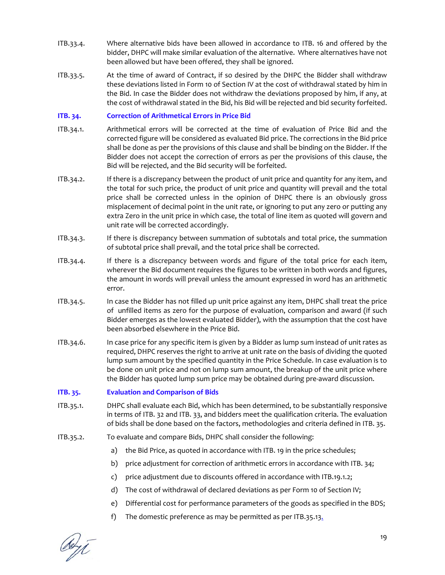- ITB.33.4. Where alternative bids have been allowed in accordance to ITB. 16 and offered by the bidder, DHPC will make similar evaluation of the alternative. Where alternatives have not been allowed but have been offered, they shall be ignored.
- ITB.33.5. At the time of award of Contract, if so desired by the DHPC the Bidder shall withdraw these deviations listed in Form 10 of Section IV at the cost of withdrawal stated by him in the Bid. In case the Bidder does not withdraw the deviations proposed by him, if any, at the cost of withdrawal stated in the Bid, his Bid will be rejected and bid security forfeited.

# **ITB. 34. Correction of Arithmetical Errors in Price Bid**

- ITB.34.1. Arithmetical errors will be corrected at the time of evaluation of Price Bid and the corrected figure will be considered as evaluated Bid price. The corrections in the Bid price shall be done as per the provisions of this clause and shall be binding on the Bidder. If the Bidder does not accept the correction of errors as per the provisions of this clause, the Bid will be rejected, and the Bid security will be forfeited.
- ITB.34.2. If there is a discrepancy between the product of unit price and quantity for any item, and the total for such price, the product of unit price and quantity will prevail and the total price shall be corrected unless in the opinion of DHPC there is an obviously gross misplacement of decimal point in the unit rate, or ignoring to put any zero or putting any extra Zero in the unit price in which case, the total of line item as quoted will govern and unit rate will be corrected accordingly.
- ITB.34.3. If there is discrepancy between summation of subtotals and total price, the summation of subtotal price shall prevail, and the total price shall be corrected.
- ITB.34.4. If there is a discrepancy between words and figure of the total price for each item, wherever the Bid document requires the figures to be written in both words and figures, the amount in words will prevail unless the amount expressed in word has an arithmetic error.
- ITB.34.5. In case the Bidder has not filled up unit price against any item, DHPC shall treat the price of unfilled items as zero for the purpose of evaluation, comparison and award (if such Bidder emerges as the lowest evaluated Bidder), with the assumption that the cost have been absorbed elsewhere in the Price Bid.
- ITB.34.6. In case price for any specific item is given by a Bidder as lump sum instead of unit rates as required, DHPC reserves the right to arrive at unit rate on the basis of dividing the quoted lump sum amount by the specified quantity in the Price Schedule. In case evaluation is to be done on unit price and not on lump sum amount, the breakup of the unit price where the Bidder has quoted lump sum price may be obtained during pre‐award discussion.

#### **ITB. 35. Evaluation and Comparison of Bids**

- ITB.35.1. DHPC shall evaluate each Bid, which has been determined, to be substantially responsive in terms of ITB. 32 and ITB. 33, and bidders meet the qualification criteria. The evaluation of bids shall be done based on the factors, methodologies and criteria defined in ITB. 35.
- ITB.35.2. To evaluate and compare Bids, DHPC shall consider the following:
	- a) the Bid Price, as quoted in accordance with ITB. 19 in the price schedules;
	- b) price adjustment for correction of arithmetic errors in accordance with ITB. 34;
	- c) price adjustment due to discounts offered in accordance with ITB.19.1.2;
	- d) The cost of withdrawal of declared deviations as per Form 10 of Section IV;
	- e) Differential cost for performance parameters of the goods as specified in the BDS;
	- f) The domestic preference as may be permitted as per ITB.35.13.

Ceyt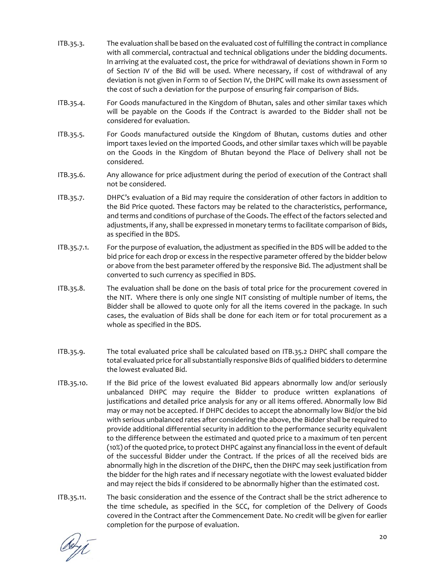- ITB.35.3. The evaluation shall be based on the evaluated cost of fulfilling the contract in compliance with all commercial, contractual and technical obligations under the bidding documents. In arriving at the evaluated cost, the price for withdrawal of deviations shown in Form 10 of Section IV of the Bid will be used. Where necessary, if cost of withdrawal of any deviation is not given in Form 10 of Section IV, the DHPC will make its own assessment of the cost of such a deviation for the purpose of ensuring fair comparison of Bids.
- ITB.35.4. For Goods manufactured in the Kingdom of Bhutan, sales and other similar taxes which will be payable on the Goods if the Contract is awarded to the Bidder shall not be considered for evaluation.
- ITB.35.5. For Goods manufactured outside the Kingdom of Bhutan, customs duties and other import taxes levied on the imported Goods, and other similar taxes which will be payable on the Goods in the Kingdom of Bhutan beyond the Place of Delivery shall not be considered.
- ITB.35.6. Any allowance for price adjustment during the period of execution of the Contract shall not be considered.
- ITB.35.7. DHPC's evaluation of a Bid may require the consideration of other factors in addition to the Bid Price quoted. These factors may be related to the characteristics, performance, and terms and conditions of purchase of the Goods. The effect of the factors selected and adjustments, if any, shall be expressed in monetary terms to facilitate comparison of Bids, as specified in the BDS.
- ITB.35.7.1. For the purpose of evaluation, the adjustment as specified in the BDS will be added to the bid price for each drop or excess in the respective parameter offered by the bidder below or above from the best parameter offered by the responsive Bid. The adjustment shall be converted to such currency as specified in BDS.
- ITB.35.8. The evaluation shall be done on the basis of total price for the procurement covered in the NIT. Where there is only one single NIT consisting of multiple number of items, the Bidder shall be allowed to quote only for all the items covered in the package. In such cases, the evaluation of Bids shall be done for each item or for total procurement as a whole as specified in the BDS.
- ITB.35.9. The total evaluated price shall be calculated based on ITB.35.2 DHPC shall compare the total evaluated price for all substantially responsive Bids of qualified bidders to determine the lowest evaluated Bid.
- ITB.35.10. If the Bid price of the lowest evaluated Bid appears abnormally low and/or seriously unbalanced DHPC may require the Bidder to produce written explanations of justifications and detailed price analysis for any or all items offered. Abnormally low Bid may or may not be accepted. If DHPC decides to accept the abnormally low Bid/or the bid with serious unbalanced rates after considering the above, the Bidder shall be required to provide additional differential security in addition to the performance security equivalent to the difference between the estimated and quoted price to a maximum of ten percent (10%) of the quoted price, to protect DHPC against any financial loss in the event of default of the successful Bidder under the Contract. If the prices of all the received bids are abnormally high in the discretion of the DHPC, then the DHPC may seek justification from the bidder for the high rates and if necessary negotiate with the lowest evaluated bidder and may reject the bids if considered to be abnormally higher than the estimated cost.
- ITB.35.11. The basic consideration and the essence of the Contract shall be the strict adherence to the time schedule, as specified in the SCC, for completion of the Delivery of Goods covered in the Contract after the Commencement Date. No credit will be given for earlier completion for the purpose of evaluation.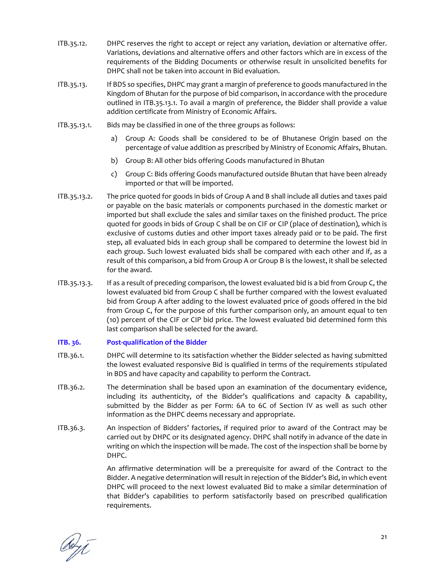- ITB.35.12. DHPC reserves the right to accept or reject any variation, deviation or alternative offer. Variations, deviations and alternative offers and other factors which are in excess of the requirements of the Bidding Documents or otherwise result in unsolicited benefits for DHPC shall not be taken into account in Bid evaluation.
- ITB.35.13. If BDS so specifies, DHPC may grant a margin of preference to goods manufactured in the Kingdom of Bhutan for the purpose of bid comparison, in accordance with the procedure outlined in ITB.35.13.1. To avail a margin of preference, the Bidder shall provide a value addition certificate from Ministry of Economic Affairs.
- ITB.35.13.1. Bids may be classified in one of the three groups as follows:
	- a) Group A: Goods shall be considered to be of Bhutanese Origin based on the percentage of value addition as prescribed by Ministry of Economic Affairs, Bhutan.
	- b) Group B: All other bids offering Goods manufactured in Bhutan
	- c) Group C: Bids offering Goods manufactured outside Bhutan that have been already imported or that will be imported.
- ITB.35.13.2. The price quoted for goods in bids of Group A and B shall include all duties and taxes paid or payable on the basic materials or components purchased in the domestic market or imported but shall exclude the sales and similar taxes on the finished product. The price quoted for goods in bids of Group C shall be on CIF or CIP (place of destination), which is exclusive of customs duties and other import taxes already paid or to be paid. The first step, all evaluated bids in each group shall be compared to determine the lowest bid in each group. Such lowest evaluated bids shall be compared with each other and if, as a result of this comparison, a bid from Group A or Group B is the lowest, it shall be selected for the award.
- ITB.35.13.3. If as a result of preceding comparison, the lowest evaluated bid is a bid from Group C, the lowest evaluated bid from Group C shall be further compared with the lowest evaluated bid from Group A after adding to the lowest evaluated price of goods offered in the bid from Group C, for the purpose of this further comparison only, an amount equal to ten (10) percent of the CIF or CIP bid price. The lowest evaluated bid determined form this last comparison shall be selected for the award.

# **ITB. 36. Post‐qualification of the Bidder**

- ITB.36.1. DHPC will determine to its satisfaction whether the Bidder selected as having submitted the lowest evaluated responsive Bid is qualified in terms of the requirements stipulated in BDS and have capacity and capability to perform the Contract.
- ITB.36.2. The determination shall be based upon an examination of the documentary evidence, including its authenticity, of the Bidder's qualifications and capacity & capability, submitted by the Bidder as per Form: 6A to 6C of Section IV as well as such other information as the DHPC deems necessary and appropriate.
- ITB.36.3. An inspection of Bidders' factories, if required prior to award of the Contract may be carried out by DHPC or its designated agency. DHPC shall notify in advance of the date in writing on which the inspection will be made. The cost of the inspection shall be borne by DHPC.

 An affirmative determination will be a prerequisite for award of the Contract to the Bidder. A negative determination will result in rejection of the Bidder's Bid, in which event DHPC will proceed to the next lowest evaluated Bid to make a similar determination of that Bidder's capabilities to perform satisfactorily based on prescribed qualification requirements.

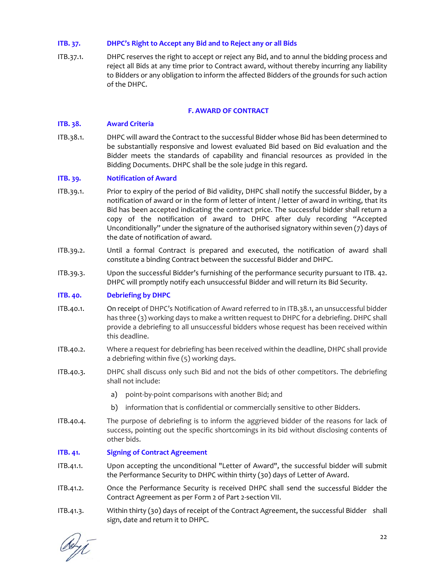# **ITB. 37. DHPC's Right to Accept any Bid and to Reject any or all Bids**

ITB.37.1. DHPC reserves the right to accept or reject any Bid, and to annul the bidding process and reject all Bids at any time prior to Contract award, without thereby incurring any liability to Bidders or any obligation to inform the affected Bidders of the grounds for such action of the DHPC.

#### **F. AWARD OF CONTRACT**

### **ITB. 38. Award Criteria**

ITB.38.1. DHPC will award the Contract to the successful Bidder whose Bid has been determined to be substantially responsive and lowest evaluated Bid based on Bid evaluation and the Bidder meets the standards of capability and financial resources as provided in the Bidding Documents. DHPC shall be the sole judge in this regard.

#### **ITB. 39. Notification of Award**

- ITB.39.1. Prior to expiry of the period of Bid validity, DHPC shall notify the successful Bidder, by a notification of award or in the form of letter of intent / letter of award in writing, that its Bid has been accepted indicating the contract price. The successful bidder shall return a copy of the notification of award to DHPC after duly recording "Accepted Unconditionally" under the signature of the authorised signatory within seven (7) days of the date of notification of award.
- ITB.39.2. Until a formal Contract is prepared and executed, the notification of award shall constitute a binding Contract between the successful Bidder and DHPC.
- ITB.39.3. Upon the successful Bidder's furnishing of the performance security pursuant to ITB. 42. DHPC will promptly notify each unsuccessful Bidder and will return its Bid Security.

# **ITB. 40. Debriefing by DHPC**

- ITB.40.1. On receipt of DHPC's Notification of Award referred to in ITB.38.1, an unsuccessful bidder has three (3) working days to make a written request to DHPC for a debriefing. DHPC shall provide a debriefing to all unsuccessful bidders whose request has been received within this deadline.
- ITB.40.2. Where a request for debriefing has been received within the deadline, DHPC shall provide a debriefing within five (5) working days.
- ITB.40.3. DHPC shall discuss only such Bid and not the bids of other competitors. The debriefing shall not include:
	- a) point-by-point comparisons with another Bid; and
	- b) information that is confidential or commercially sensitive to other Bidders.
- ITB.40.4. The purpose of debriefing is to inform the aggrieved bidder of the reasons for lack of success, pointing out the specific shortcomings in its bid without disclosing contents of other bids.

# **ITB. 41. Signing of Contract Agreement**

- ITB.41.1. Upon accepting the unconditional "Letter of Award", the successful bidder will submit the Performance Security to DHPC within thirty (30) days of Letter of Award.
- ITB.41.2. Once the Performance Security is received DHPC shall send the successful Bidder the Contract Agreement as per Form 2 of Part 2‐section VII.
- ITB.41.3. Within thirty (30) days of receipt of the Contract Agreement, the successful Bidder shall sign, date and return it to DHPC.

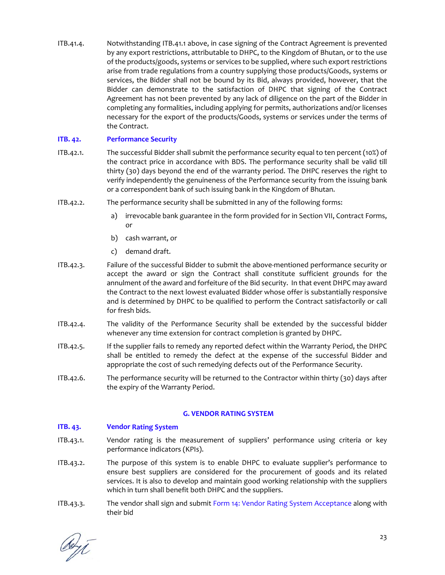ITB.41.4. Notwithstanding ITB.41.1 above, in case signing of the Contract Agreement is prevented by any export restrictions, attributable to DHPC, to the Kingdom of Bhutan, or to the use of the products/goods, systems or services to be supplied, where such export restrictions arise from trade regulations from a country supplying those products/Goods, systems or services, the Bidder shall not be bound by its Bid, always provided, however, that the Bidder can demonstrate to the satisfaction of DHPC that signing of the Contract Agreement has not been prevented by any lack of diligence on the part of the Bidder in completing any formalities, including applying for permits, authorizations and/or licenses necessary for the export of the products/Goods, systems or services under the terms of the Contract.

# **ITB. 42. Performance Security**

- ITB.42.1. The successful Bidder shall submit the performance security equal to ten percent (10%) of the contract price in accordance with BDS. The performance security shall be valid till thirty (30) days beyond the end of the warranty period. The DHPC reserves the right to verify independently the genuineness of the Performance security from the issuing bank or a correspondent bank of such issuing bank in the Kingdom of Bhutan.
- ITB.42.2. The performance security shall be submitted in any of the following forms:
	- a) irrevocable bank guarantee in the form provided for in Section VII, Contract Forms, or
	- b) cash warrant, or
	- c) demand draft.
- ITB.42.3. Failure of the successful Bidder to submit the above‐mentioned performance security or accept the award or sign the Contract shall constitute sufficient grounds for the annulment of the award and forfeiture of the Bid security. In that event DHPC may award the Contract to the next lowest evaluated Bidder whose offer is substantially responsive and is determined by DHPC to be qualified to perform the Contract satisfactorily or call for fresh bids.
- ITB.42.4. The validity of the Performance Security shall be extended by the successful bidder whenever any time extension for contract completion is granted by DHPC.
- ITB.42.5. If the supplier fails to remedy any reported defect within the Warranty Period, the DHPC shall be entitled to remedy the defect at the expense of the successful Bidder and appropriate the cost of such remedying defects out of the Performance Security.
- ITB.42.6. The performance security will be returned to the Contractor within thirty (30) days after the expiry of the Warranty Period.

# **G. VENDOR RATING SYSTEM**

# **ITB. 43. Vendor Rating System**

- ITB.43.1. Vendor rating is the measurement of suppliers' performance using criteria or key performance indicators (KPIs).
- ITB.43.2. The purpose of this system is to enable DHPC to evaluate supplier's performance to ensure best suppliers are considered for the procurement of goods and its related services. It is also to develop and maintain good working relationship with the suppliers which in turn shall benefit both DHPC and the suppliers.
- ITB.43.3. The vendor shall sign and submit Form 14: Vendor Rating System Acceptance along with their bid

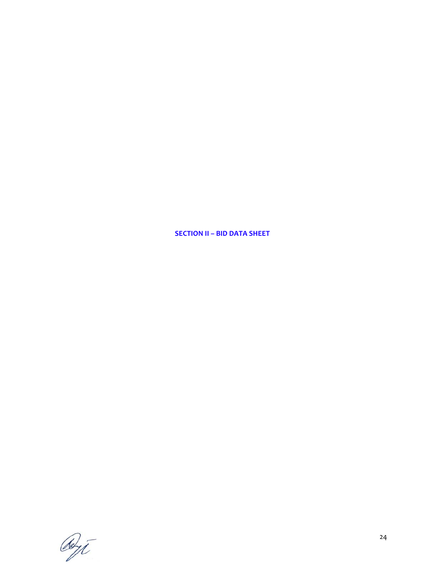**SECTION II – BID DATA SHEET**

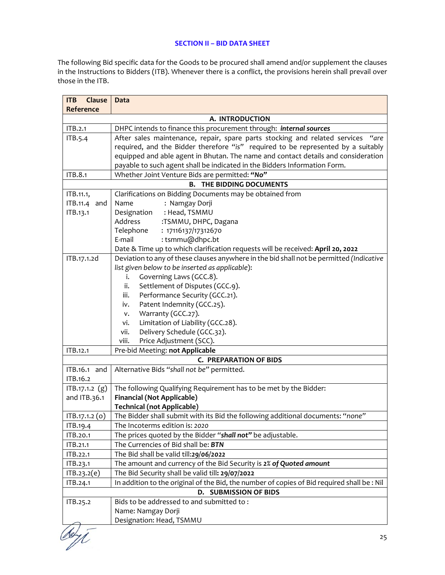#### **SECTION II – BID DATA SHEET**

The following Bid specific data for the Goods to be procured shall amend and/or supplement the clauses in the Instructions to Bidders (ITB). Whenever there is a conflict, the provisions herein shall prevail over those in the ITB.

| Clause<br><b>ITB</b> | Data                                                                                        |  |
|----------------------|---------------------------------------------------------------------------------------------|--|
| Reference            |                                                                                             |  |
|                      | A. INTRODUCTION                                                                             |  |
| ITB.2.1              | DHPC intends to finance this procurement through: internal sources                          |  |
| ITB.5.4              | After sales maintenance, repair, spare parts stocking and related services "are             |  |
|                      | required, and the Bidder therefore "is" required to be represented by a suitably            |  |
|                      | equipped and able agent in Bhutan. The name and contact details and consideration           |  |
|                      | payable to such agent shall be indicated in the Bidders Information Form.                   |  |
| ITB.8.1              | Whether Joint Venture Bids are permitted: "No"                                              |  |
|                      | THE BIDDING DOCUMENTS<br>В.                                                                 |  |
| ITB.11.1,            | Clarifications on Bidding Documents may be obtained from                                    |  |
| ITB.11.4 and         | : Namgay Dorji<br>Name                                                                      |  |
| ITB.13.1             | : Head, TSMMU<br>Designation                                                                |  |
|                      | Address<br>:TSMMU, DHPC, Dagana                                                             |  |
|                      | Telephone<br>: 17116137/17312670                                                            |  |
|                      | E-mail<br>: tsmmu@dhpc.bt                                                                   |  |
|                      | Date & Time up to which clarification requests will be received: April 20, 2022             |  |
| ITB.17.1.2d          | Deviation to any of these clauses anywhere in the bid shall not be permitted (Indicative    |  |
|                      | list given below to be inserted as applicable):                                             |  |
|                      | Governing Laws (GCC.8).<br>i.                                                               |  |
|                      | Settlement of Disputes (GCC.9).<br>ii.                                                      |  |
|                      | Performance Security (GCC.21).<br>iii.                                                      |  |
|                      | Patent Indemnity (GCC.25).<br>iv.<br>Warranty (GCC.27).                                     |  |
|                      | v.<br>Limitation of Liability (GCC.28).<br>vi.                                              |  |
|                      | Delivery Schedule (GCC.32).<br>vii.                                                         |  |
|                      | viii.<br>Price Adjustment (SCC).                                                            |  |
| ITB.12.1             | Pre-bid Meeting: not Applicable                                                             |  |
|                      | <b>C. PREPARATION OF BIDS</b>                                                               |  |
| ITB.16.1 and         | Alternative Bids "shall not be" permitted.                                                  |  |
| ITB.16.2             |                                                                                             |  |
| ITB.17.1.2 (g)       | The following Qualifying Requirement has to be met by the Bidder:                           |  |
| and ITB.36.1         | <b>Financial (Not Applicable)</b>                                                           |  |
|                      | <b>Technical (not Applicable)</b>                                                           |  |
| $IFB.17.1.2$ (0)     | The Bidder shall submit with its Bid the following additional documents: "none"             |  |
| ITB.19.4             | The Incoterms edition is: 2020                                                              |  |
| ITB.20.1             | The prices quoted by the Bidder "shall not" be adjustable.                                  |  |
| ITB.21.1             | The Currencies of Bid shall be: BTN                                                         |  |
| ITB.22.1             | The Bid shall be valid till:29/06/2022                                                      |  |
| ITB.23.1             | The amount and currency of the Bid Security is 2% of Quoted amount                          |  |
| ITB.23.2(e)          | The Bid Security shall be valid till: 29/07/2022                                            |  |
| ITB.24.1             | In addition to the original of the Bid, the number of copies of Bid required shall be : Nil |  |
|                      | D. SUBMISSION OF BIDS                                                                       |  |
| ITB.25.2             | Bids to be addressed to and submitted to:                                                   |  |
|                      | Name: Namgay Dorji                                                                          |  |
|                      | Designation: Head, TSMMU                                                                    |  |
|                      |                                                                                             |  |

deyt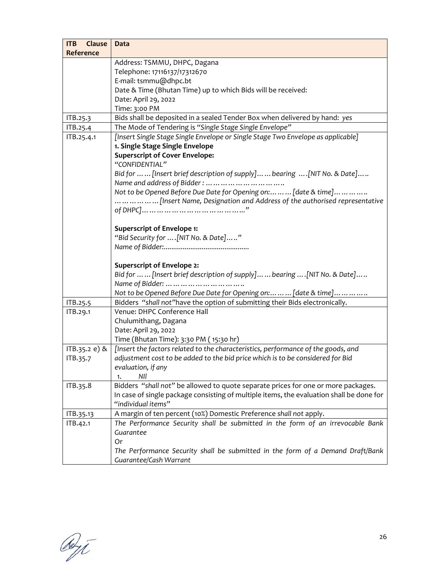| <b>ITB</b><br>Clause | Data                                                                                     |
|----------------------|------------------------------------------------------------------------------------------|
| <b>Reference</b>     |                                                                                          |
|                      | Address: TSMMU, DHPC, Dagana                                                             |
|                      | Telephone: 17116137/17312670                                                             |
|                      | E-mail: tsmmu@dhpc.bt                                                                    |
|                      | Date & Time (Bhutan Time) up to which Bids will be received:                             |
|                      | Date: April 29, 2022                                                                     |
|                      | Time: 3:00 PM                                                                            |
| ITB.25.3             | Bids shall be deposited in a sealed Tender Box when delivered by hand: yes               |
| ITB.25.4             | The Mode of Tendering is "Single Stage Single Envelope"                                  |
| ITB.25.4.1           | [Insert Single Stage Single Envelope or Single Stage Two Envelope as applicable]         |
|                      | 1. Single Stage Single Envelope                                                          |
|                      | <b>Superscript of Cover Envelope:</b>                                                    |
|                      | "CONFIDENTIAL"                                                                           |
|                      | Bid for   [Insert brief description of supply]  bearing  [NIT No. & Date]                |
|                      |                                                                                          |
|                      | Not to be Opened Before Due Date for Opening on:   [date & time]                         |
|                      | [Insert Name, Designation and Address of the authorised representative                   |
|                      |                                                                                          |
|                      |                                                                                          |
|                      | <b>Superscript of Envelope 1:</b>                                                        |
|                      | "Bid Security for  [NIT No. & Date]"                                                     |
|                      |                                                                                          |
|                      |                                                                                          |
|                      | <b>Superscript of Envelope 2:</b>                                                        |
|                      | Bid for   [Insert brief description of supply]  bearing  [NIT No. & Date]                |
|                      | Not to be Opened Before Due Date for Opening on:   [date & time]                         |
| ITB.25.5             | Bidders "shall not" have the option of submitting their Bids electronically.             |
| ITB.29.1             | Venue: DHPC Conference Hall                                                              |
|                      | Chulumithang, Dagana                                                                     |
|                      | Date: April 29, 2022                                                                     |
|                      | Time (Bhutan Time): 3:30 PM (15:30 hr)                                                   |
| ITB.35.2 e) &        | [Insert the factors related to the characteristics, performance of the goods, and        |
| ITB.35.7             | adjustment cost to be added to the bid price which is to be considered for Bid           |
|                      | evaluation, if any                                                                       |
|                      | NII<br>1.                                                                                |
| ITB.35.8             | Bidders "shall not" be allowed to quote separate prices for one or more packages.        |
|                      | In case of single package consisting of multiple items, the evaluation shall be done for |
|                      | "individual items"                                                                       |
| ITB.35.13            | A margin of ten percent (10%) Domestic Preference shall not apply.                       |
| ITB.42.1             | The Performance Security shall be submitted in the form of an irrevocable Bank           |
|                      | Guarantee                                                                                |
|                      | 0r                                                                                       |
|                      | The Performance Security shall be submitted in the form of a Demand Draft/Bank           |
|                      | Guarantee/Cash Warrant                                                                   |

Reyt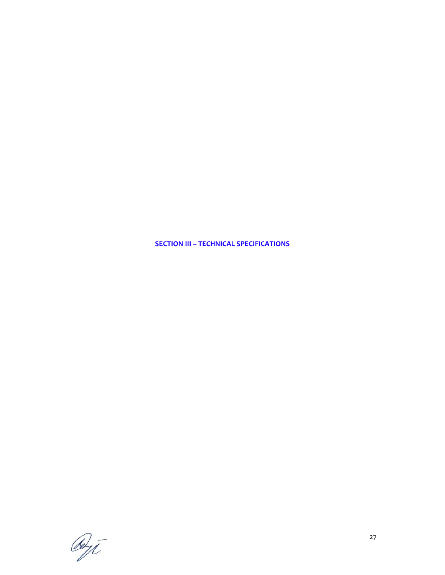**SECTION III – TECHNICAL SPECIFICATIONS**

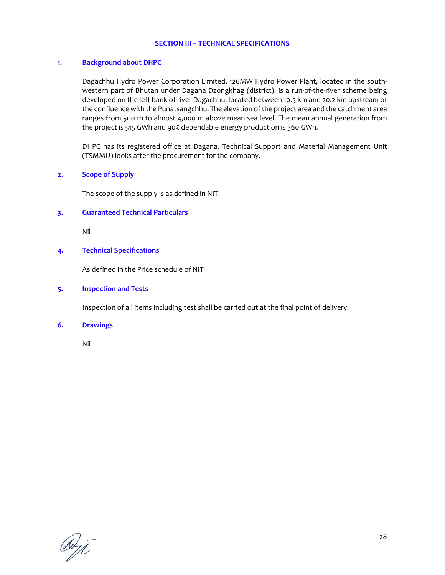#### **SECTION III – TECHNICAL SPECIFICATIONS**

#### **1. Background about DHPC**

Dagachhu Hydro Power Corporation Limited, 126MW Hydro Power Plant, located in the south‐ western part of Bhutan under Dagana Dzongkhag (district), is a run-of-the-river scheme being developed on the left bank of river Dagachhu, located between 10.5 km and 20.2 km upstream of the confluence with the Punatsangchhu. The elevation ofthe project area and the catchment area ranges from 500 m to almost 4,000 m above mean sea level. The mean annual generation from the project is 515 GWh and 90% dependable energy production is 360 GWh.

DHPC has its registered office at Dagana. Technical Support and Material Management Unit (TSMMU) looks after the procurement for the company.

#### **2. Scope of Supply**

The scope of the supply is as defined in NIT.

#### **3. Guaranteed Technical Particulars**

Nil

#### **4. Technical Specifications**

As defined in the Price schedule of NIT

#### **5. Inspection and Tests**

Inspection of all items including test shall be carried out at the final point of delivery.

#### **6. Drawings**

Nil

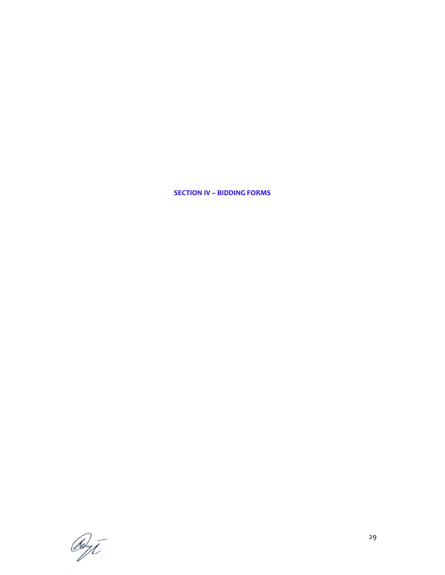**SECTION IV – BIDDING FORMS**

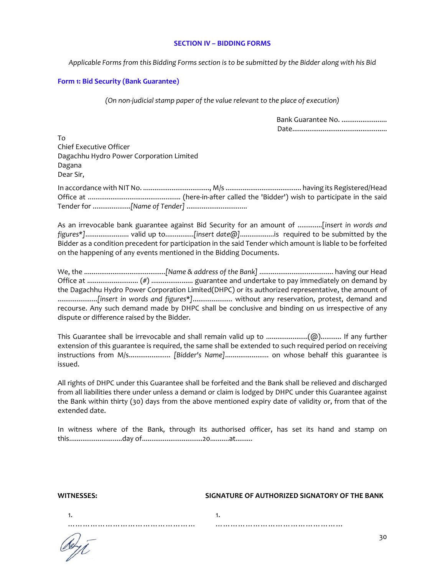#### **SECTION IV – BIDDING FORMS**

Applicable Forms from this Bidding Forms section is to be submitted by the Bidder along with his Bid

# **Form 1: Bid Security (Bank Guarantee)**

*(On non‐judicial stamp paper of the value relevant to the place of execution)*

| Bank Guarantee No. |
|--------------------|
|                    |

To Chief Executive Officer Dagachhu Hydro Power Corporation Limited Dagana Dear Sir,

In accordance with NIT No. ..................................., M/s ........................................ having its Registered/Head Office at ................................................. (here‐in‐after called the 'Bidder') wish to participate in the said Tender for ....................*[Name of Tender]* ................................

As an irrevocable bank guarantee against Bid Security for an amount of .............[*insert in words and figures\*]*....................... valid up to...............*[insert date@]*..................is required to be submitted by the Bidder as a condition precedent for participation in the said Tender which amount is liable to be forfeited on the happening of any events mentioned in the Bidding Documents.

We, the ...........................................*[Name & address of the Bank]* ....................................... having our Head Office at ........................... (#) ...................... guarantee and undertake to pay immediately on demand by the Dagachhu Hydro Power Corporation Limited(DHPC) or its authorized representative, the amount of .....................*[insert in words and figures*\**]*..................... without any reservation, protest, demand and recourse. Any such demand made by DHPC shall be conclusive and binding on us irrespective of any dispute or difference raised by the Bidder.

This Guarantee shall be irrevocable and shall remain valid up to ......................(@)........... If any further extension of this guarantee is required, the same shall be extended to such required period on receiving instructions from M/s...................... *[Bidder's Name]*....................... on whose behalf this guarantee is issued.

All rights of DHPC under this Guarantee shall be forfeited and the Bank shall be relieved and discharged from all liabilities there under unless a demand or claim is lodged by DHPC under this Guarantee against the Bank within thirty (30) days from the above mentioned expiry date of validity or, from that of the extended date.

In witness where of the Bank, through its authorised officer, has set its hand and stamp on this............................day of................................20..........at.........

1.

#### **WITNESSES: SIGNATURE OF AUTHORIZED SIGNATORY OF THE BANK**

1. ……………………………………

……………………………………………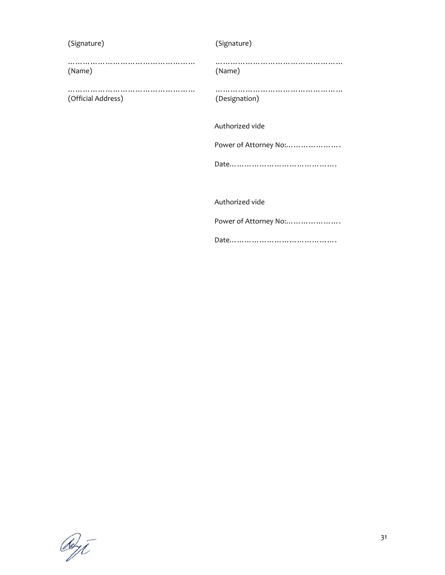| (Signature)        | (Signature)           |
|--------------------|-----------------------|
| (Name)             | (Name)                |
| (Official Address) | (Designation)         |
|                    | Authorized vide       |
|                    | Power of Attorney No: |
|                    |                       |
|                    |                       |
|                    | Authorized vide       |
|                    | Power of Attorney No: |
|                    |                       |

Och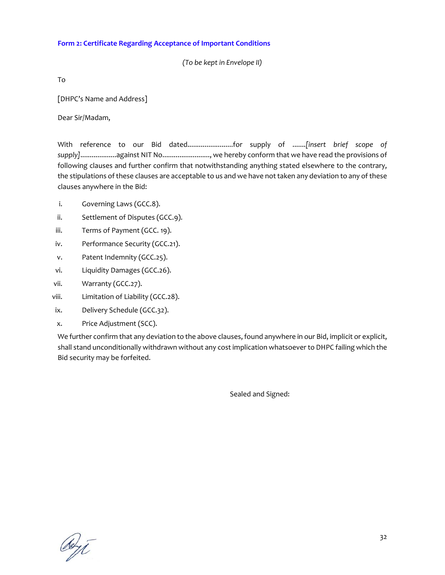# **Form 2: Certificate Regarding Acceptance of Important Conditions**

*(To be kept in Envelope II)*

To

[DHPC's Name and Address]

Dear Sir/Madam,

With reference to our Bid dated........................for supply of .......*[insert brief scope of supply]*...................against NIT No........................., we hereby conform that we have read the provisions of following clauses and further confirm that notwithstanding anything stated elsewhere to the contrary, the stipulations of these clauses are acceptable to us and we have not taken any deviation to any of these clauses anywhere in the Bid:

- i. Governing Laws (GCC.8).
- ii. Settlement of Disputes (GCC.9).
- iii. Terms of Payment (GCC. 19).
- iv. Performance Security (GCC.21).
- v. Patent Indemnity (GCC.25).
- vi. Liquidity Damages (GCC.26).
- vii. Warranty (GCC.27).
- viii. Limitation of Liability (GCC.28).
- ix. Delivery Schedule (GCC.32).
- x. Price Adjustment (SCC).

We further confirm that any deviation to the above clauses, found anywhere in our Bid, implicit or explicit, shall stand unconditionally withdrawn without any cost implication whatsoever to DHPC failing which the Bid security may be forfeited.

Sealed and Signed:

debyt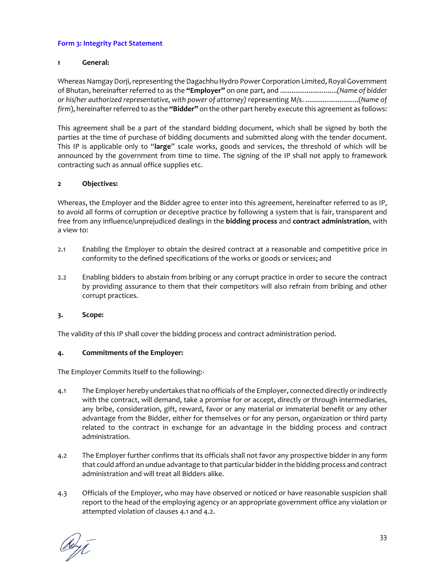### **Form 3: Integrity Pact Statement**

### **1 General:**

Whereas Namgay Dorji, representing the Dagachhu Hydro Power Corporation Limited, Royal Government of Bhutan, hereinafter referred to as the **"Employer"** on one part, and ..............................*(Name of bidder or his/her authorized representative, with power of attorney)* representing M/s. ............................(*Name of firm*), hereinafterreferred to as the **"Bidder"** on the other part hereby execute this agreement as follows:

This agreement shall be a part of the standard bidding document, which shall be signed by both the parties at the time of purchase of bidding documents and submitted along with the tender document. This IP is applicable only to "**large**" scale works, goods and services, the threshold of which will be announced by the government from time to time. The signing of the IP shall not apply to framework contracting such as annual office supplies etc.

# **2 Objectives:**

Whereas, the Employer and the Bidder agree to enter into this agreement, hereinafter referred to as IP, to avoid all forms of corruption or deceptive practice by following a system that is fair, transparent and free from any influence/unprejudiced dealings in the **bidding process** and **contract administration**, with a view to:

- 2.1 Enabling the Employer to obtain the desired contract at a reasonable and competitive price in conformity to the defined specifications of the works or goods or services; and
- 2.2 Enabling bidders to abstain from bribing or any corrupt practice in order to secure the contract by providing assurance to them that their competitors will also refrain from bribing and other corrupt practices.

### **3. Scope:**

The validity of this IP shall cover the bidding process and contract administration period.

### **4. Commitments of the Employer:**

The Employer Commits itself to the following:‐

- 4.1 The Employer hereby undertakes that no officials ofthe Employer, connected directly orindirectly with the contract, will demand, take a promise for or accept, directly or through intermediaries, any bribe, consideration, gift, reward, favor or any material or immaterial benefit or any other advantage from the Bidder, either for themselves or for any person, organization or third party related to the contract in exchange for an advantage in the bidding process and contract administration.
- 4.2 The Employer further confirms that its officials shall not favor any prospective bidder in any form that could afford an undue advantage to that particular bidderin the bidding process and contract administration and will treat all Bidders alike.
- 4.3 Officials of the Employer, who may have observed or noticed or have reasonable suspicion shall report to the head of the employing agency or an appropriate government office any violation or attempted violation of clauses 4.1 and 4.2.

deri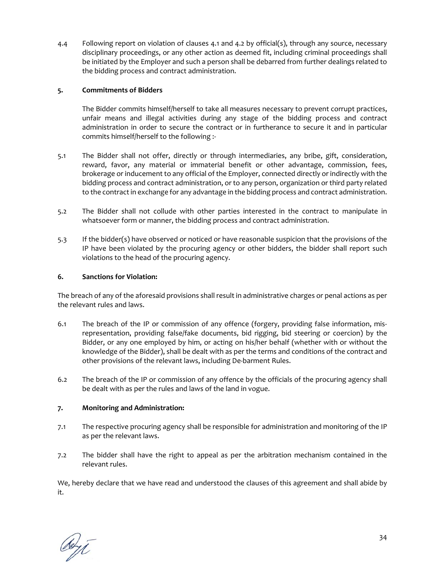4.4 Following report on violation of clauses 4.1 and 4.2 by official(s), through any source, necessary disciplinary proceedings, or any other action as deemed fit, including criminal proceedings shall be initiated by the Employer and such a person shall be debarred from further dealings related to the bidding process and contract administration.

# **5. Commitments of Bidders**

The Bidder commits himself/herself to take all measures necessary to prevent corrupt practices, unfair means and illegal activities during any stage of the bidding process and contract administration in order to secure the contract or in furtherance to secure it and in particular commits himself/herself to the following :‐

- 5.1 The Bidder shall not offer, directly or through intermediaries, any bribe, gift, consideration, reward, favor, any material or immaterial benefit or other advantage, commission, fees, brokerage or inducement to any official of the Employer, connected directly or indirectly with the bidding process and contract administration, or to any person, organization or third party related to the contract in exchange for any advantage in the bidding process and contract administration.
- 5.2 The Bidder shall not collude with other parties interested in the contract to manipulate in whatsoever form or manner, the bidding process and contract administration.
- 5.3 If the bidder(s) have observed or noticed or have reasonable suspicion that the provisions of the IP have been violated by the procuring agency or other bidders, the bidder shall report such violations to the head of the procuring agency.

### **6. Sanctions for Violation:**

The breach of any of the aforesaid provisions shall result in administrative charges or penal actions as per the relevant rules and laws.

- 6.1 The breach of the IP or commission of any offence (forgery, providing false information, mis‐ representation, providing false/fake documents, bid rigging, bid steering or coercion) by the Bidder, or any one employed by him, or acting on his/her behalf (whether with or without the knowledge of the Bidder), shall be dealt with as per the terms and conditions of the contract and other provisions of the relevant laws, including De‐barment Rules.
- 6.2 The breach of the IP or commission of any offence by the officials of the procuring agency shall be dealt with as per the rules and laws of the land in vogue.

# **7. Monitoring and Administration:**

- 7.1 The respective procuring agency shall be responsible for administration and monitoring of the IP as per the relevant laws.
- 7.2 The bidder shall have the right to appeal as per the arbitration mechanism contained in the relevant rules.

We, hereby declare that we have read and understood the clauses of this agreement and shall abide by it.

debyt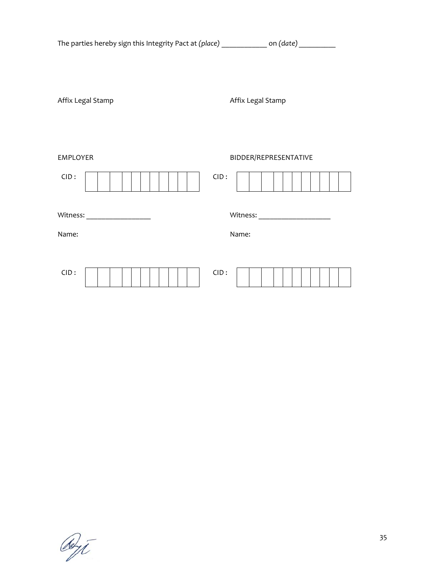| The parties hereby sign this Integrity Pact at (place) ______________ on (date) _________ |                                          |
|-------------------------------------------------------------------------------------------|------------------------------------------|
| Affix Legal Stamp                                                                         | Affix Legal Stamp                        |
| <b>EMPLOYER</b>                                                                           | BIDDER/REPRESENTATIVE                    |
| CID:                                                                                      | CID:                                     |
| Witness: ____________________<br>Name:                                                    | Witness: ______________________<br>Name: |
| CID:                                                                                      | CID:                                     |

Obji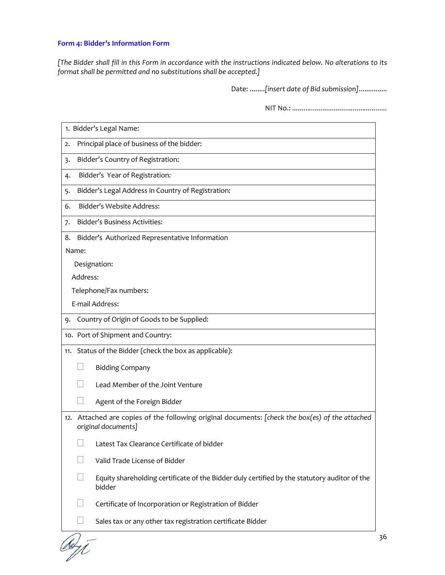# **Form 4: Bidder's Information Form**

[The Bidder shall fill in this Form in accordance with the instructions indicated below. No alterations to its *format shall be permitted and no substitutions shall be accepted.]*

Date: ........*[insert date of Bid submission]*...............

NIT No.: *..................................................*

| 1. Bidder's Legal Name:                                                                                                |
|------------------------------------------------------------------------------------------------------------------------|
| Principal place of business of the bidder:<br>2.                                                                       |
| Bidder's Country of Registration:<br>3.                                                                                |
| Bidder's Year of Registration:<br>4.                                                                                   |
| Bidder's Legal Address in Country of Registration:<br>5.                                                               |
| Bidder's Website Address:<br>6.                                                                                        |
| Bidder's Business Activities:<br>7.                                                                                    |
| Bidder's Authorized Representative Information<br>8.                                                                   |
| Name:                                                                                                                  |
| Designation:                                                                                                           |
| Address:                                                                                                               |
| Telephone/Fax numbers:                                                                                                 |
| E-mail Address:                                                                                                        |
| 9. Country of Origin of Goods to be Supplied:                                                                          |
| 10. Port of Shipment and Country:                                                                                      |
| 11. Status of the Bidder (check the box as applicable):                                                                |
| <b>Bidding Company</b>                                                                                                 |
| Lead Member of the Joint Venture                                                                                       |
| Agent of the Foreign Bidder                                                                                            |
| 12. Attached are copies of the following original documents: [check the box(es) of the attached<br>original documents] |
| Latest Tax Clearance Certificate of bidder                                                                             |
| Valid Trade License of Bidder                                                                                          |
| Equity shareholding certificate of the Bidder duly certified by the statutory auditor of the<br>bidder                 |
| Certificate of Incorporation or Registration of Bidder                                                                 |
| Sales tax or any other tax registration certificate Bidder                                                             |

debyt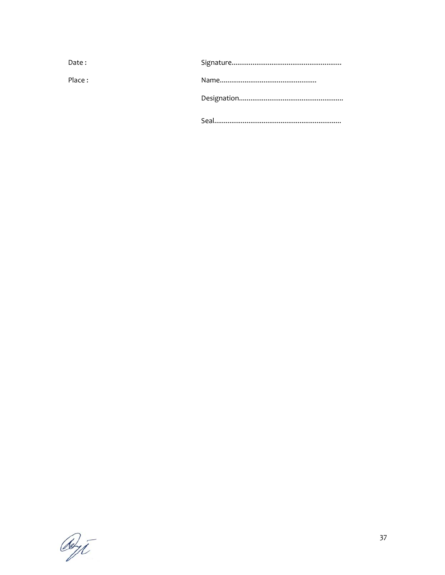| Date:  |  |
|--------|--|
| Place: |  |
|        |  |
|        |  |

Reyt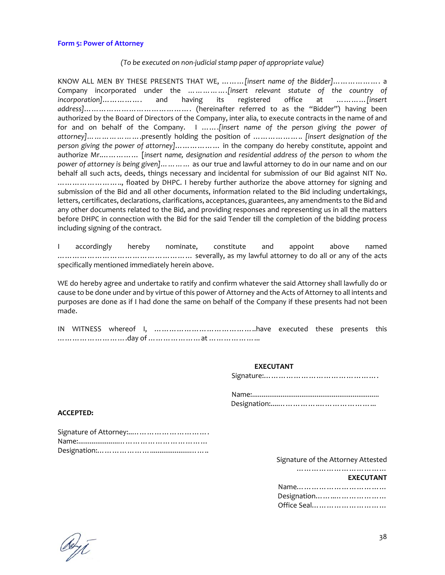#### **Form 5: Power of Attorney**

### *(To be executed on non‐judicial stamp paper of appropriate value)*

KNOW ALL MEN BY THESE PRESENTS THAT WE, ………*[insert name of the Bidder]*………………. a Company incorporated under the *…………….[insert relevant statute of the country of incorporation]*……………. and having its registered office at …………*[insert address]*……………………………………. (hereinafter referred to as the "Bidder") having been authorized by the Board of Directors of the Company, inter alia, to execute contracts in the name of and for and on behalf of the Company. I …….*[insert name of the person giving the power of attorney]…………………*.presently holding the position of ……………….. *[insert designation of the person giving the power of attorney]*……………… in the company do hereby constitute, appoint and authorize Mr.…………… [*insert name, designation and residential address of the person to whom the power of attorney is being given]…………* as our true and lawful attorney to do in our name and on our behalf all such acts, deeds, things necessary and incidental for submission of our Bid against NIT No. …………………….., floated by DHPC. I hereby further authorize the above attorney for signing and submission of the Bid and all other documents, information related to the Bid including undertakings, letters, certificates, declarations, clarifications, acceptances, guarantees, any amendments to the Bid and any other documents related to the Bid, and providing responses and representing us in all the matters before DHPC in connection with the Bid for the said Tender till the completion of the bidding process including signing of the contract.

I accordingly hereby nominate, constitute and appoint above named ……………………………………………… severally, as my lawful attorney to do all or any of the acts specifically mentioned immediately herein above.

WE do hereby agree and undertake to ratify and confirm whatever the said Attorney shall lawfully do or cause to be done under and by virtue of this power of Attorney and the Acts of Attorney to all intents and purposes are done as if I had done the same on behalf of the Company if these presents had not been made.

# **EXECUTANT EXECUTANT**

Signature:……………………………………….

#### **ACCEPTED:**

| Signature of Attorney: |
|------------------------|
|                        |
|                        |

Signature of the Attorney Attested

|             | <b>EXECUTANT</b> |
|-------------|------------------|
|             |                  |
| Designation |                  |
| Office Seal |                  |

deyt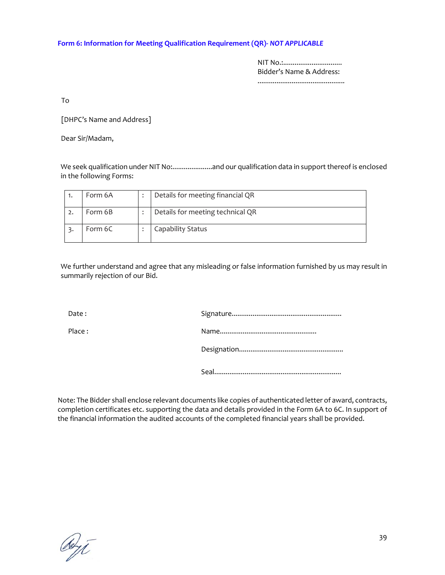### **Form 6: Information for Meeting Qualification Requirement (QR)‐** *NOT APPLICABLE*

NIT No.:............................... Bidder's Name & Address:

..............................................

To

[DHPC's Name and Address]

Dear Sir/Madam,

We seek qualification under NIT No:.........................and our qualification data in support thereof is enclosed in the following Forms:

|                | Form 6A | Details for meeting financial QR |
|----------------|---------|----------------------------------|
| $\overline{2}$ | Form 6B | Details for meeting technical QR |
|                | Form 6C | Capability Status                |

We further understand and agree that any misleading or false information furnished by us may result in summarily rejection of our Bid.

Date : Signature..........................................................

| Place. |  |
|--------|--|
|        |  |

Designation.......................................................

Seal...................................................................

Note: The Bidder shall enclose relevant documents like copies of authenticated letter of award, contracts, completion certificates etc. supporting the data and details provided in the Form 6A to 6C. In support of the financial information the audited accounts of the completed financial years shall be provided.

abyt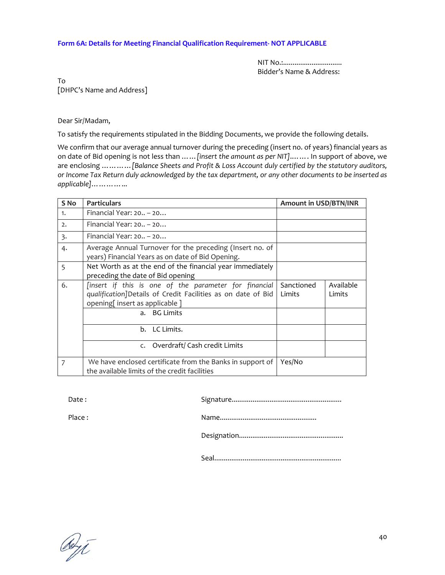### **Form 6A: Details for Meeting Financial Qualification Requirement‐ NOT APPLICABLE**

NIT No.:............................... Bidder's Name & Address:

To [DHPC's Name and Address]

Dear Sir/Madam,

To satisfy the requirements stipulated in the Bidding Documents, we provide the following details.

We confirm that our average annual turnover during the preceding (insert no. of years) financial years as on date of Bid opening is not less than ……*[insert the amount as per NIT]*.……. In support of above, we are enclosing …………*[Balance Sheets and Profit & Loss Account duly certified by the statutory auditors,* or Income Tax Return duly acknowledged by the tax department, or any other documents to be inserted as *applicable]*…………...

| S <sub>No</sub> | <b>Particulars</b>                                                                                                                                                     | <b>Amount in USD/BTN/INR</b> |                     |  |
|-----------------|------------------------------------------------------------------------------------------------------------------------------------------------------------------------|------------------------------|---------------------|--|
| 1.              | Financial Year: 20 - 20                                                                                                                                                |                              |                     |  |
| 2.              | Financial Year: $20 - 20$                                                                                                                                              |                              |                     |  |
| $\overline{3}$  | Financial Year: $20 - 20$                                                                                                                                              |                              |                     |  |
| 4.              | Average Annual Turnover for the preceding (Insert no. of<br>years) Financial Years as on date of Bid Opening.                                                          |                              |                     |  |
| 5               | Net Worth as at the end of the financial year immediately<br>preceding the date of Bid opening                                                                         |                              |                     |  |
| 6.              | [insert if this is one of the parameter for financial<br>qualification]Details of Credit Facilities as on date of Bid<br>opening[insert as applicable]<br>a. BG Limits | Sanctioned<br>Limits         | Available<br>Limits |  |
|                 | b. LC Limits.                                                                                                                                                          |                              |                     |  |
|                 | Overdraft/ Cash credit Limits<br>$\mathsf{C}$ .                                                                                                                        |                              |                     |  |
| 7               | We have enclosed certificate from the Banks in support of<br>the available limits of the credit facilities                                                             | Yes/No                       |                     |  |

Date : Signature..........................................................

Place : Name...................................................

Designation.......................................................

Seal...................................................................

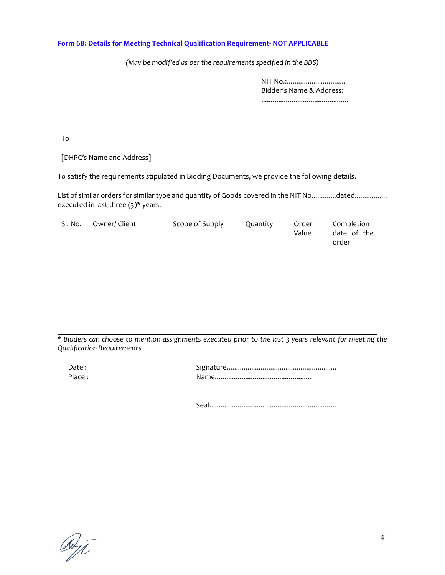### **Form 6B: Details for Meeting Technical Qualification Requirement‐ NOT APPLICABLE**

*(May be modified as per the requirements specified in the BDS)*

NIT No.:.................................. Bidder's Name & Address: ..............................................

To

[DHPC's Name and Address]

To satisfy the requirements stipulated in Bidding Documents, we provide the following details.

List of similar orders for similar type and quantity of Goods covered in the NIT No.............dated..............., executed in last three  $(3)^*$  years:

| Sl. No. | Owner/ Client | Scope of Supply | Quantity | Order<br>Value | Completion<br>date of the<br>order |
|---------|---------------|-----------------|----------|----------------|------------------------------------|
|         |               |                 |          |                |                                    |
|         |               |                 |          |                |                                    |
|         |               |                 |          |                |                                    |
|         |               |                 |          |                |                                    |

\* Bidders can choose to mention assignments executed prior to the last 3 years relevant for meeting the *Qualification Requirements*

| Date:  |  |
|--------|--|
| Place: |  |

Seal...................................................................

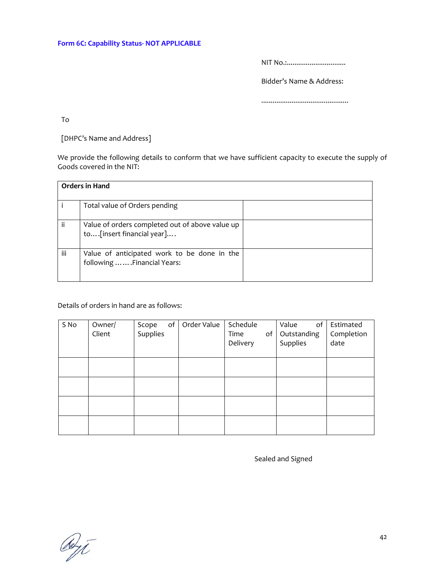NIT No.:.................................

Bidder's Name & Address:

..............................................

To

[DHPC's Name and Address]

We provide the following details to conform that we have sufficient capacity to execute the supply of Goods covered in the NIT:

|     | <b>Orders in Hand</b>                                                         |  |  |
|-----|-------------------------------------------------------------------------------|--|--|
|     | Total value of Orders pending                                                 |  |  |
| ii  | Value of orders completed out of above value up<br>to [insert financial year] |  |  |
| iii | Value of anticipated work to be done in the<br>following  Financial Years:    |  |  |

Details of orders in hand are as follows:

| S No | Owner/<br>Client | of<br>Scope<br>Supplies | Order Value | Schedule<br>Time<br>of<br>Delivery | of<br>Value<br>Outstanding<br>Supplies | Estimated<br>Completion<br>date |
|------|------------------|-------------------------|-------------|------------------------------------|----------------------------------------|---------------------------------|
|      |                  |                         |             |                                    |                                        |                                 |
|      |                  |                         |             |                                    |                                        |                                 |
|      |                  |                         |             |                                    |                                        |                                 |
|      |                  |                         |             |                                    |                                        |                                 |

Sealed and Signed

Obji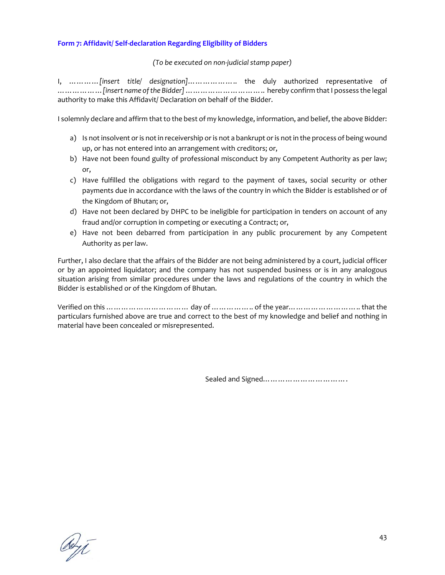# **Form 7: Affidavit/ Self‐declaration Regarding Eligibility of Bidders**

*(To be executed on non‐judicial stamp paper)*

I, …………*[insert title/ designation]*……………….. the duly authorized representative of ………………*[insert name ofthe Bidder]*………………………….. hereby confirm thatI possess the legal authority to make this Affidavit/ Declaration on behalf of the Bidder.

I solemnly declare and affirm that to the best of my knowledge, information, and belief, the above Bidder:

- a) Is not insolvent or is not in receivership or is not a bankrupt or is not in the process of being wound up, or has not entered into an arrangement with creditors; or,
- b) Have not been found guilty of professional misconduct by any Competent Authority as per law; or,
- c) Have fulfilled the obligations with regard to the payment of taxes, social security or other payments due in accordance with the laws of the country in which the Bidder is established or of the Kingdom of Bhutan; or,
- d) Have not been declared by DHPC to be ineligible for participation in tenders on account of any fraud and/or corruption in competing or executing a Contract; or,
- e) Have not been debarred from participation in any public procurement by any Competent Authority as per law.

Further, I also declare that the affairs of the Bidder are not being administered by a court, judicial officer or by an appointed liquidator; and the company has not suspended business or is in any analogous situation arising from similar procedures under the laws and regulations of the country in which the Bidder is established or of the Kingdom of Bhutan.

Verified on this …………………………… day of …………….. of the year……………………….. that the particulars furnished above are true and correct to the best of my knowledge and belief and nothing in material have been concealed or misrepresented.

Sealed and Signed…………………………….

debyt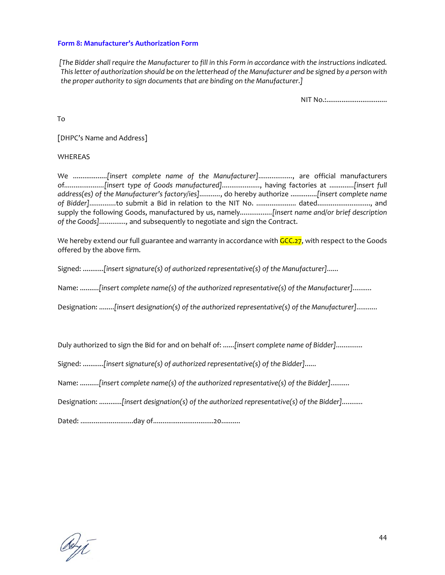### **Form 8: Manufacturer's Authorization Form**

[The Bidder shall require the Manufacturer to fill in this Form in accordance with the instructions indicated. *Thisletter of authorization should be on the letterhead ofthe Manufacturer and be signed by a person with the proper authority to sign documents that are binding on the Manufacturer.]*

NIT No.:.................................

To

[DHPC's Name and Address]

### WHEREAS

We ..................*[insert complete name of the Manufacturer]..................*, are official manufacturers of*.....................[insert type of Goods manufactured]....................*, having factories at .............*[insert full address(es) of the Manufacturer's factory/ies]...........*, do hereby authorize ..............*[insert complete name of Bidder]..............*to submit a Bid in relation to the NIT No. ..................... dated............................, and supply the following Goods, manufactured by us, namely*.................[insert name and/or brief description of the Goods]..............,* and subsequently to negotiate and sign the Contract.

We hereby extend our full guarantee and warranty in accordance with  $GCC.27$ , with respect to the Goods offered by the above firm.

Signed: ...........*[insert signature(s) of authorized representative(s) of the Manufacturer]......*

Name: ..........*[insert complete name(s) of the authorized representative(s) of the Manufacturer]..........*

Designation: ........*[insert designation(s) of the authorized representative(s) of the Manufacturer]...........*

Duly authorized to sign the Bid for and on behalf of: ......*[insert complete name of Bidder]..............*

Signed: ...........*[insert signature(s) of authorized representative(s) of the Bidder]......*

Name: ..........*[insert complete name(s) of the authorized representative(s) of the Bidder]..........*

Designation: ............*[insert designation(s) of the authorized representative(s) of the Bidder]...........*

Dated: ............................day of................................20..........

debyt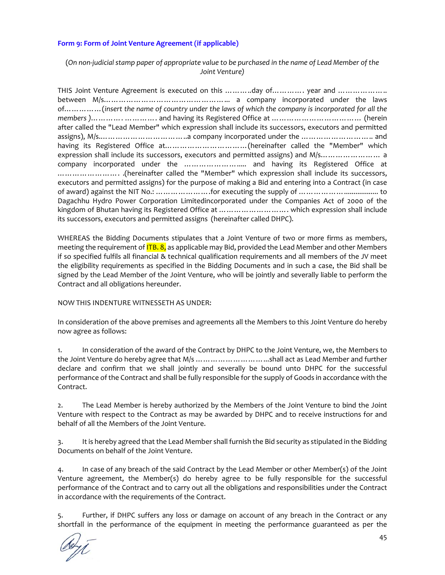# **Form 9: Form of Joint Venture Agreement (if applicable)**

# (On non-judicial stamp paper of appropriate value to be purchased in the name of Lead Member of the *Joint Venture)*

THIS Joint Venture Agreement is executed on this ………..day of…………. year and ……………….. between M/s…………………………………………... a company incorporated under the laws of……………(*insert the name of country under the laws of which the company is incorporated for all the members )*…………. …………. and having its Registered Office at ……………………………… (herein after called the "Lead Member" which expression shall include its successors, executors and permitted assigns), M/s.……………………………..a company incorporated under the ……………………….. and having its Registered Office at……………………………(hereinafter called the "Member" which expression shall include its successors, executors and permitted assigns) and M/s………………………… a company incorporated under the …………………..... and having its Registered Office at ……………………. .(hereinafter called the "Member" which expression shall include its successors, executors and permitted assigns) for the purpose of making a Bid and entering into a Contract (in case of award) against the NIT No.: ………………….for executing the supply of ……………….................. to Dagachhu Hydro Power Corporation Limitedincorporated under the Companies Act of 2000 of the kingdom of Bhutan having its Registered Office at ............................... which expression shall include its successors, executors and permitted assigns (hereinafter called DHPC).

WHEREAS the Bidding Documents stipulates that a Joint Venture of two or more firms as members, meeting the requirement of **ITB. 8,** as applicable may Bid, provided the Lead Member and other Members if so specified fulfils all financial & technical qualification requirements and all members of the JV meet the eligibility requirements as specified in the Bidding Documents and in such a case, the Bid shall be signed by the Lead Member of the Joint Venture, who will be jointly and severally liable to perform the Contract and all obligations hereunder.

### NOW THIS INDENTURE WITNESSETH AS UNDER:

In consideration of the above premises and agreements all the Members to this Joint Venture do hereby now agree as follows:

1. In consideration of the award of the Contract by DHPC to the Joint Venture, we, the Members to the Joint Venture do hereby agree that M/s ………………………...shall act as Lead Member and further declare and confirm that we shall jointly and severally be bound unto DHPC for the successful performance of the Contract and shall be fully responsible for the supply of Goods in accordance with the Contract.

2. The Lead Member is hereby authorized by the Members of the Joint Venture to bind the Joint Venture with respect to the Contract as may be awarded by DHPC and to receive instructions for and behalf of all the Members of the Joint Venture.

3. It is hereby agreed that the Lead Member shall furnish the Bid security as stipulated in the Bidding Documents on behalf of the Joint Venture.

4. In case of any breach of the said Contract by the Lead Member or other Member(s) of the Joint Venture agreement, the Member(s) do hereby agree to be fully responsible for the successful performance of the Contract and to carry out all the obligations and responsibilities under the Contract in accordance with the requirements of the Contract.

5. Further, if DHPC suffers any loss or damage on account of any breach in the Contract or any shortfall in the performance of the equipment in meeting the performance guaranteed as per the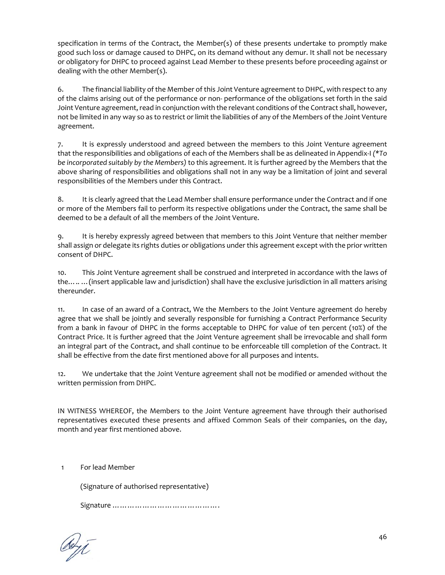specification in terms of the Contract, the Member(s) of these presents undertake to promptly make good such loss or damage caused to DHPC, on its demand without any demur. It shall not be necessary or obligatory for DHPC to proceed against Lead Member to these presents before proceeding against or dealing with the other Member(s).

6. The financial liability of the Member of this Joint Venture agreement to DHPC, with respect to any of the claims arising out of the performance or non‐ performance of the obligations set forth in the said Joint Venture agreement, read in conjunction with the relevant conditions of the Contract shall, however, not be limited in any way so as to restrict or limit the liabilities of any of the Members of the Joint Venture agreement.

7. It is expressly understood and agreed between the members to this Joint Venture agreement that the responsibilities and obligations of each of the Members shall be as delineated in Appendix‐I *(\*To be incorporated suitably by the Members)* to this agreement. It is further agreed by the Members that the above sharing of responsibilities and obligations shall not in any way be a limitation of joint and several responsibilities of the Members under this Contract.

8. It is clearly agreed that the Lead Member shall ensure performance under the Contract and if one or more of the Members fail to perform its respective obligations under the Contract, the same shall be deemed to be a default of all the members of the Joint Venture.

9. It is hereby expressly agreed between that members to this Joint Venture that neither member shall assign or delegate its rights duties or obligations under this agreement except with the prior written consent of DHPC.

10. This Joint Venture agreement shall be construed and interpreted in accordance with the laws of the….. …(insert applicable law and jurisdiction) shall have the exclusive jurisdiction in all matters arising thereunder.

11. In case of an award of a Contract, We the Members to the Joint Venture agreement do hereby agree that we shall be jointly and severally responsible for furnishing a Contract Performance Security from a bank in favour of DHPC in the forms acceptable to DHPC for value of ten percent (10%) of the Contract Price. It is further agreed that the Joint Venture agreement shall be irrevocable and shall form an integral part of the Contract, and shall continue to be enforceable till completion of the Contract. It shall be effective from the date first mentioned above for all purposes and intents.

12. We undertake that the Joint Venture agreement shall not be modified or amended without the written permission from DHPC.

IN WITNESS WHEREOF, the Members to the Joint Venture agreement have through their authorised representatives executed these presents and affixed Common Seals of their companies, on the day, month and year first mentioned above.

1 For lead Member

(Signature of authorised representative)

Signature …………………………………….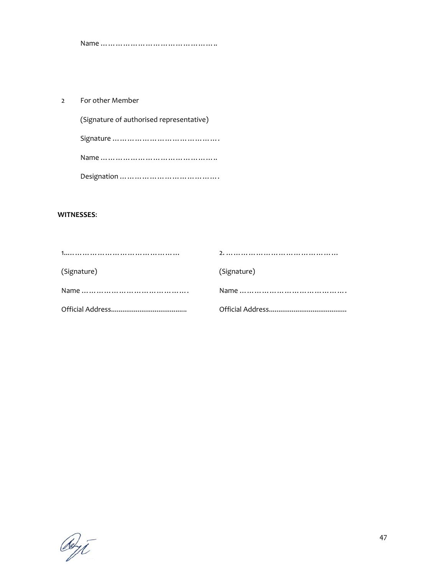Name ………………………………………..

2 For other Member

(Signature of authorised representative) Signature …………………………………… Name ……………………………………….. Designation ………………………………….

### **WITNESSES**:

| (Signature) | (Signature) |
|-------------|-------------|
|             |             |
|             |             |

OUT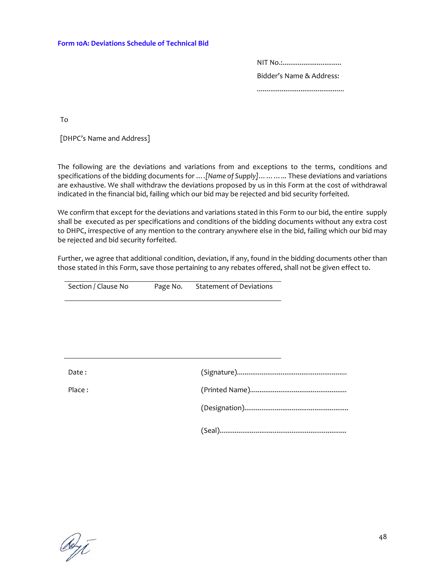NIT No.:............................... Bidder's Name & Address: ..............................................

To

[DHPC's Name and Address]

The following are the deviations and variations from and exceptions to the terms, conditions and specifications of the bidding documents for *….[Name of Supply]………...* These deviations and variations are exhaustive. We shall withdraw the deviations proposed by us in this Form at the cost of withdrawal indicated in the financial bid, failing which our bid may be rejected and bid security forfeited.

We confirm that except for the deviations and variations stated in this Form to our bid, the entire supply shall be executed as per specifications and conditions of the bidding documents without any extra cost to DHPC, irrespective of any mention to the contrary anywhere else in the bid, failing which our bid may be rejected and bid security forfeited.

Further, we agree that additional condition, deviation, if any, found in the bidding documents other than those stated in this Form, save those pertaining to any rebates offered, shall not be given effect to.

| Section / Clause No | Page No. Statement of Deviations |  |
|---------------------|----------------------------------|--|
|                     |                                  |  |
|                     |                                  |  |
|                     |                                  |  |
|                     |                                  |  |
| Date:               |                                  |  |
| Place:              |                                  |  |
|                     |                                  |  |
|                     |                                  |  |

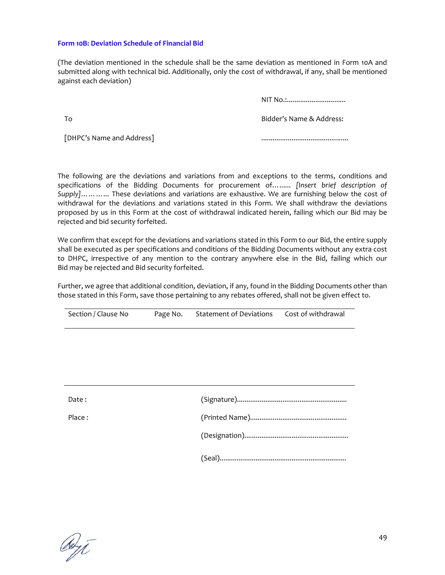#### **Form 10B: Deviation Schedule of Financial Bid**

(The deviation mentioned in the schedule shall be the same deviation as mentioned in Form 10A and submitted along with technical bid. Additionally, only the cost of withdrawal, if any, shall be mentioned against each deviation)

NIT No.:................................

To

Bidder's Name & Address:

[DHPC's Name and Address]

..............................................

The following are the deviations and variations from and exceptions to the terms, conditions and specifications of the Bidding Documents for procurement of*…...... [Insert brief description of Supply]………...* These deviations and variations are exhaustive. We are furnishing below the cost of withdrawal for the deviations and variations stated in this Form. We shall withdraw the deviations proposed by us in this Form at the cost of withdrawal indicated herein, failing which our Bid may be rejected and bid security forfeited.

We confirm that except for the deviations and variations stated in this Form to our Bid, the entire supply shall be executed as per specifications and conditions of the Bidding Documents without any extra cost to DHPC, irrespective of any mention to the contrary anywhere else in the Bid, failing which our Bid may be rejected and Bid security forfeited.

Further, we agree that additional condition, deviation, if any, found in the Bidding Documents other than those stated in this Form, save those pertaining to any rebates offered, shall not be given effect to.

| Section / Clause No | Page No. | Statement of Deviations | Cost of withdrawal |
|---------------------|----------|-------------------------|--------------------|
|                     |          |                         |                    |

| Date:  |  |
|--------|--|
| Place: |  |
|        |  |
|        |  |

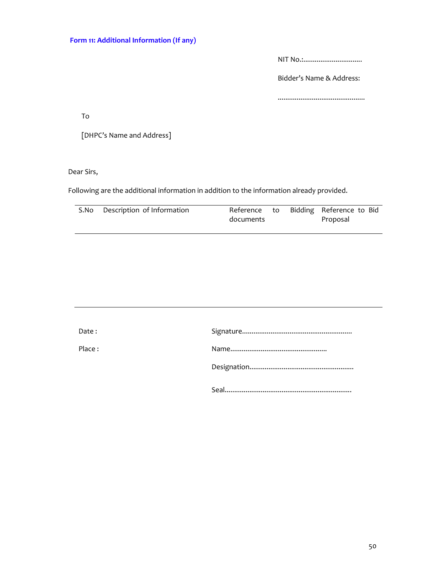NIT No.:...............................

Bidder's Name & Address:

..............................................

To

[DHPC's Name and Address]

Dear Sirs,

Following are the additional information in addition to the information already provided.

| S.No Description of Information | documents | Reference to Bidding Reference to Bid<br>Proposal |
|---------------------------------|-----------|---------------------------------------------------|
|                                 |           |                                                   |

| Date:  |  |
|--------|--|
| Place: |  |
|        |  |
|        |  |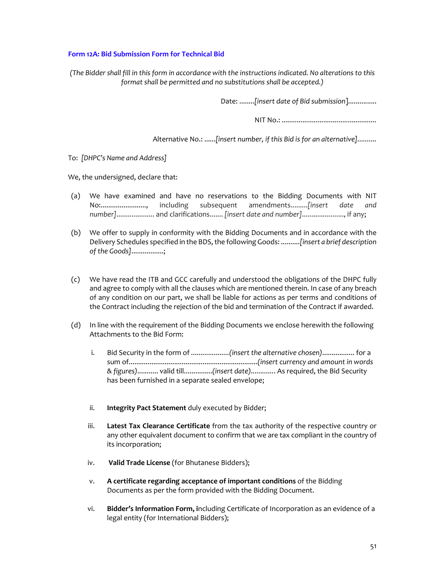# **Form 12A: Bid Submission Form for Technical Bid**

*(The Bidder shall fill in this form in accordance with the instructions indicated. No alterations to this format shall be permitted and no substitutions shall be accepted.)*

Date: ........*[insert date of Bid submission*]...............

NIT No.: *..................................................*

Alternative No.: ......*[insert number, if this Bid is for an alternative]..........*

To: *[DHPC's Name and Address]*

We, the undersigned, declare that:

- (a) We have examined and have no reservations to the Bidding Documents with NIT No:........................, including subsequent amendments.........*[insert date and number]*.................... and clarifications....... *[insert date and number]*......................, if any;
- (b) We offer to supply in conformity with the Bidding Documents and in accordance with the Delivery Schedules specified in the BDS,the following Goods: ..........*[insert a brief description of the Goods]*.................;
- (c) We have read the ITB and GCC carefully and understood the obligations of the DHPC fully and agree to comply with all the clauses which are mentioned therein. In case of any breach of any condition on our part, we shall be liable for actions as per terms and conditions of the Contract including the rejection of the bid and termination of the Contract if awarded.
- (d) In line with the requirement of the Bidding Documents we enclose herewith the following Attachments to the Bid Form:
	- i. Bid Security in the form of *....................(insert the alternative chosen)*................. for a sum of....................................................................*(insert currency and amount in words & figures)*........... valid till...............*(insert date)............*. As required, the Bid Security has been furnished in a separate sealed envelope;
	- ii. **Integrity Pact Statement** duly executed by Bidder;
	- iii. **Latest Tax Clearance Certificate** from the tax authority of the respective country or any other equivalent document to confirm that we are tax compliant in the country of its incorporation;
	- iv. **Valid Trade License** (for Bhutanese Bidders);
	- v. **A certificate regarding acceptance of important conditions** of the Bidding Documents as per the form provided with the Bidding Document.
	- vi. **Bidder's Information Form, i**ncluding Certificate of Incorporation as an evidence of a legal entity (for International Bidders);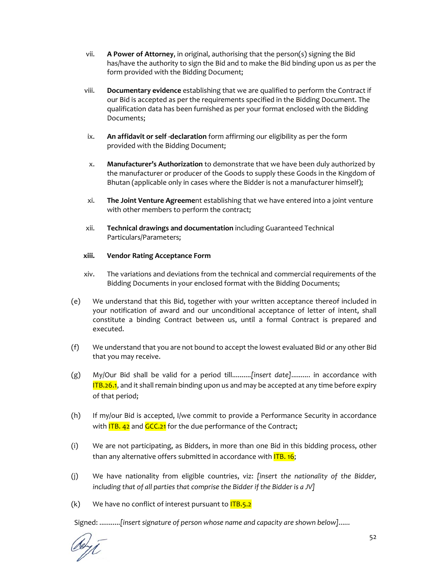- vii. **A Power of Attorney**, in original, authorising that the person(s) signing the Bid has/have the authority to sign the Bid and to make the Bid binding upon us as per the form provided with the Bidding Document;
- viii. **Documentary evidence** establishing that we are qualified to perform the Contract if our Bid is accepted as per the requirements specified in the Bidding Document. The qualification data has been furnished as per your format enclosed with the Bidding Documents;
- ix. **An affidavit or self ‐declaration** form affirming our eligibility as per the form provided with the Bidding Document;
- x. **Manufacturer's Authorization** to demonstrate that we have been duly authorized by the manufacturer or producer of the Goods to supply these Goods in the Kingdom of Bhutan (applicable only in cases where the Bidder is not a manufacturer himself);
- xi. **The Joint Venture Agreeme**nt establishing that we have entered into a joint venture with other members to perform the contract;
- xii. **Technical drawings and documentation** including Guaranteed Technical Particulars/Parameters;

### **xiii. Vendor Rating Acceptance Form**

- xiv. The variations and deviations from the technical and commercial requirements of the Bidding Documents in your enclosed format with the Bidding Documents;
- (e) We understand that this Bid, together with your written acceptance thereof included in your notification of award and our unconditional acceptance of letter of intent, shall constitute a binding Contract between us, until a formal Contract is prepared and executed.
- (f) We understand that you are not bound to accept the lowest evaluated Bid or any other Bid that you may receive.
- (g) My/Our Bid shall be valid for a period till..........*[insert date]*.......... in accordance with **ITB.26.1**, and it shall remain binding upon us and may be accepted at any time before expiry of that period;
- (h) If my/our Bid is accepted, I/we commit to provide a Performance Security in accordance with  $\overline{IB.42}$  and  $\overline{GCC.21}$  for the due performance of the Contract;
- (i) We are not participating, as Bidders, in more than one Bid in this bidding process, other than any alternative offers submitted in accordance with **ITB. 16;**
- (j) We have nationality from eligible countries, viz: *[insert the nationality of the Bidder, including that of all parties that comprise the Bidder if the Bidder is a JV]*
- $(k)$  We have no conflict of interest pursuant to  $\overline{IB.5.2}$

Signed: ...........*[insert signature of person whose name and capacity are shown below]......*

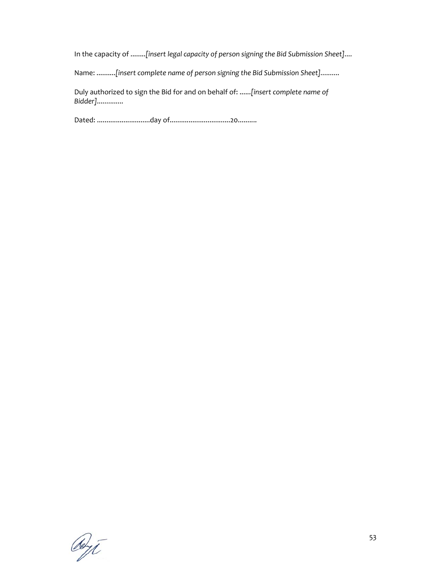In the capacity of ........*[insert legal capacity of person signing the Bid Submission Sheet]....*

Name: ..........*[insert complete name of person signing the Bid Submission Sheet]..........*

Duly authorized to sign the Bid for and on behalf of: ......*[insert complete name of Bidder]..............*

Dated: ............................day of................................20..........

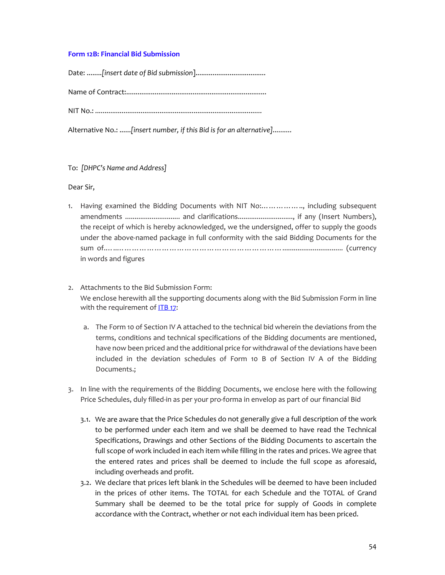# **Form 12B: Financial Bid Submission**

Date: ........*[insert date of Bid submission*]..................................... Name of Contract:.......................................................................... NIT No.: *........................................................................................*

Alternative No.: ......*[insert number, if this Bid is for an alternative]..........*

#### To: *[DHPC's Name and Address]*

Dear Sir,

- 1. Having examined the Bidding Documents with NIT No:…………….., including subsequent amendments ............................. and clarifications............................., if any (Insert Numbers), the receipt of which is hereby acknowledged, we the undersigned, offer to supply the goods under the above‐named package in full conformity with the said Bidding Documents for the sum of.…..…………………………………………………………................................ (currency in words and figures
- 2. Attachments to the Bid Submission Form: We enclose herewith all the supporting documents along with the Bid Submission Form in line with the requirement of ITB 17:
	- a. The Form 10 of Section IV A attached to the technical bid wherein the deviations from the terms, conditions and technical specifications of the Bidding documents are mentioned, have now been priced and the additional price for withdrawal of the deviations have been included in the deviation schedules of Form 10 B of Section IV A of the Bidding Documents.;
- 3. In line with the requirements of the Bidding Documents, we enclose here with the following Price Schedules, duly filled‐in as per your pro‐forma in envelop as part of our financial Bid
	- 3.1. We are aware that the Price Schedules do not generally give a full description of the work to be performed under each item and we shall be deemed to have read the Technical Specifications, Drawings and other Sections of the Bidding Documents to ascertain the full scope of work included in each item while filling in the rates and prices. We agree that the entered rates and prices shall be deemed to include the full scope as aforesaid, including overheads and profit.
	- 3.2. We declare that prices left blank in the Schedules will be deemed to have been included in the prices of other items. The TOTAL for each Schedule and the TOTAL of Grand Summary shall be deemed to be the total price for supply of Goods in complete accordance with the Contract, whether or not each individual item has been priced.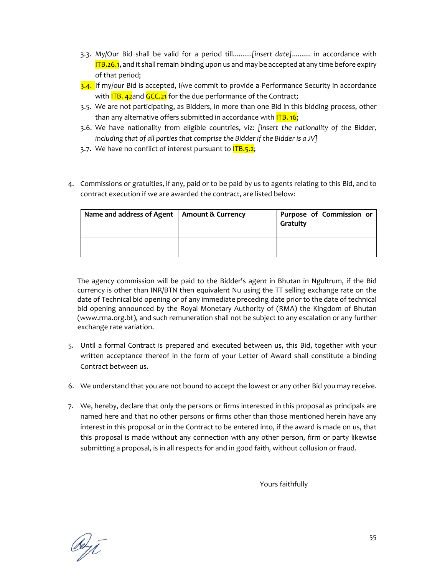- 3.3. My/Our Bid shall be valid for a period till..........*[insert date]*.......... in accordance with  $ITB.26.1$ , and it shall remain binding upon us and may be accepted at any time before expiry of that period;
- 3.4. If my/our Bid is accepted, I/we commit to provide a Performance Security in accordance with **ITB. 42**and GCC.21 for the due performance of the Contract;
- 3.5. We are not participating, as Bidders, in more than one Bid in this bidding process, other than any alternative offers submitted in accordance with **ITB. 16;**
- 3.6. We have nationality from eligible countries, viz: *[insert the nationality of the Bidder, including that of all parties that comprise the Bidder if the Bidder is a JV]*
- 3.7. We have no conflict of interest pursuant to **ITB.5.2**;
- 4. Commissions or gratuities, if any, paid or to be paid by us to agents relating to this Bid, and to contract execution if we are awarded the contract, are listed below:

| Name and address of Agent | <b>Amount &amp; Currency</b> | Purpose of Commission or<br>Gratuity |
|---------------------------|------------------------------|--------------------------------------|
|                           |                              |                                      |

The agency commission will be paid to the Bidder's agent in Bhutan in Ngultrum, if the Bid currency is other than INR/BTN then equivalent Nu using the TT selling exchange rate on the date of Technical bid opening or of any immediate preceding date prior to the date of technical bid opening announced by the Royal Monetary Authority of (RMA) the Kingdom of Bhutan (www.rma.org.bt), and such remuneration shall not be subject to any escalation or any further exchange rate variation.

- 5. Until a formal Contract is prepared and executed between us, this Bid, together with your written acceptance thereof in the form of your Letter of Award shall constitute a binding Contract between us.
- 6. We understand that you are not bound to accept the lowest or any other Bid you may receive.
- 7. We, hereby, declare that only the persons or firms interested in this proposal as principals are named here and that no other persons or firms other than those mentioned herein have any interest in this proposal or in the Contract to be entered into, if the award is made on us, that this proposal is made without any connection with any other person, firm or party likewise submitting a proposal, is in all respects for and in good faith, without collusion or fraud.

Yours faithfully

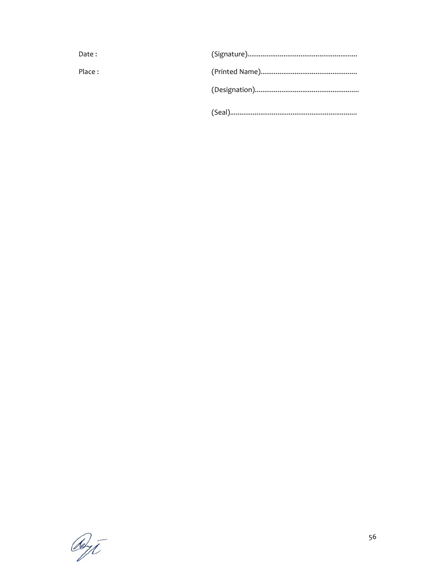| Date:  |  |
|--------|--|
| Place: |  |
|        |  |
|        |  |

Deyt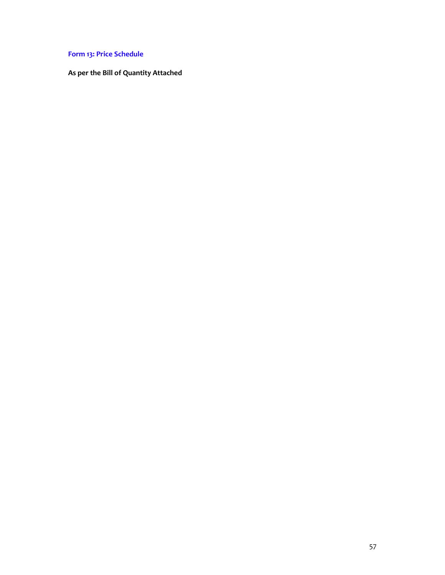# **Form 13: Price Schedule**

**As per the Bill of Quantity Attached**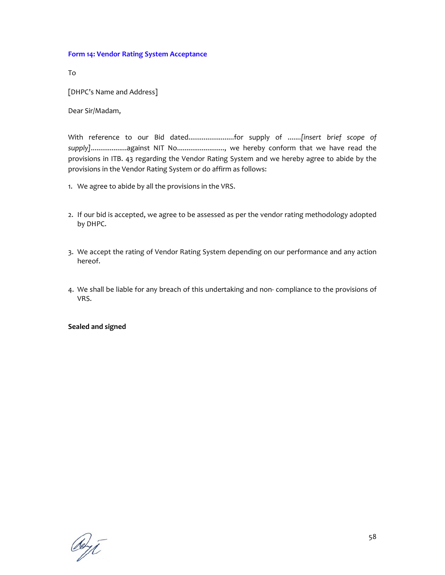### **Form 14: Vendor Rating System Acceptance**

To

[DHPC's Name and Address]

Dear Sir/Madam,

With reference to our Bid dated........................for supply of .......*[insert brief scope of supply]*...................against NIT No........................., we hereby conform that we have read the provisions in ITB. 43 regarding the Vendor Rating System and we hereby agree to abide by the provisions in the Vendor Rating System or do affirm as follows:

- 1. We agree to abide by all the provisions in the VRS.
- 2. If our bid is accepted, we agree to be assessed as per the vendor rating methodology adopted by DHPC.
- 3. We accept the rating of Vendor Rating System depending on our performance and any action hereof.
- 4. We shall be liable for any breach of this undertaking and non‐ compliance to the provisions of VRS.

**Sealed and signed**

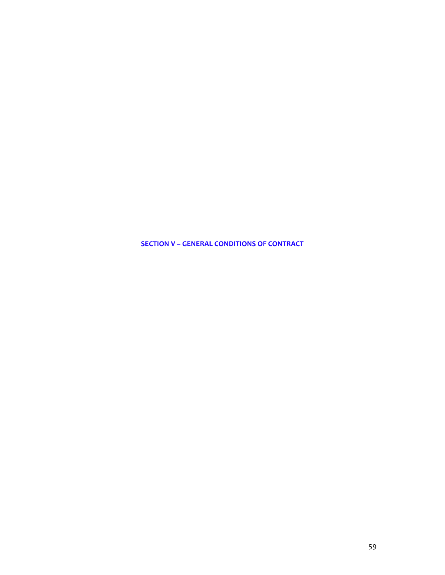**SECTION V – GENERAL CONDITIONS OF CONTRACT**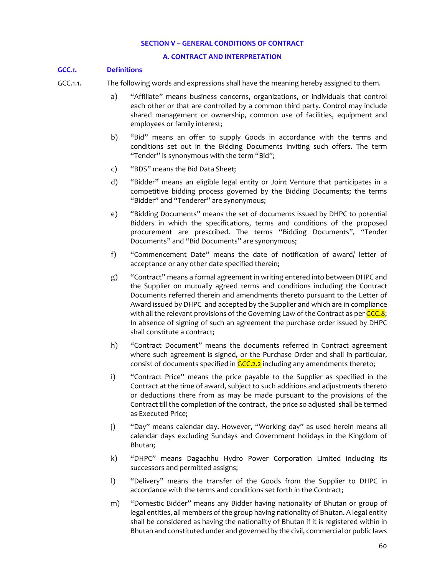#### **SECTION V – GENERAL CONDITIONS OF CONTRACT**

#### **A. CONTRACT AND INTERPRETATION**

#### **GCC.1. Definitions**

- GCC.1.1. The following words and expressions shall have the meaning hereby assigned to them.
	- a) "Affiliate" means business concerns, organizations, or individuals that control each other or that are controlled by a common third party. Control may include shared management or ownership, common use of facilities, equipment and employees or family interest;
	- b) "Bid" means an offer to supply Goods in accordance with the terms and conditions set out in the Bidding Documents inviting such offers. The term "Tender" is synonymous with the term "Bid";
	- c) "BDS" means the Bid Data Sheet;
	- d) "Bidder" means an eligible legal entity or Joint Venture that participates in a competitive bidding process governed by the Bidding Documents; the terms "Bidder" and "Tenderer" are synonymous;
	- e) "Bidding Documents" means the set of documents issued by DHPC to potential Bidders in which the specifications, terms and conditions of the proposed procurement are prescribed. The terms "Bidding Documents", "Tender Documents" and "Bid Documents" are synonymous;
	- f) "Commencement Date" means the date of notification of award/ letter of acceptance or any other date specified therein;
	- g) "Contract" means a formal agreement in writing entered into between DHPC and the Supplier on mutually agreed terms and conditions including the Contract Documents referred therein and amendments thereto pursuant to the Letter of Award issued by DHPC and accepted by the Supplier and which are in compliance with all the relevant provisions of the Governing Law of the Contract as per GCC.8; In absence of signing of such an agreement the purchase order issued by DHPC shall constitute a contract;
	- h) "Contract Document" means the documents referred in Contract agreement where such agreement is signed, or the Purchase Order and shall in particular, consist of documents specified in  $GCL2.2$  including any amendments thereto;
	- i) "Contract Price" means the price payable to the Supplier as specified in the Contract at the time of award, subject to such additions and adjustments thereto or deductions there from as may be made pursuant to the provisions of the Contract till the completion of the contract, the price so adjusted shall be termed as Executed Price;
	- j) "Day" means calendar day. However, "Working day" as used herein means all calendar days excluding Sundays and Government holidays in the Kingdom of Bhutan;
	- k) "DHPC" means Dagachhu Hydro Power Corporation Limited including its successors and permitted assigns;
	- l) "Delivery" means the transfer of the Goods from the Supplier to DHPC in accordance with the terms and conditions set forth in the Contract;
	- m) "Domestic Bidder" means any Bidder having nationality of Bhutan or group of legal entities, all members of the group having nationality of Bhutan. A legal entity shall be considered as having the nationality of Bhutan if it is registered within in Bhutan and constituted under and governed by the civil, commercial or public laws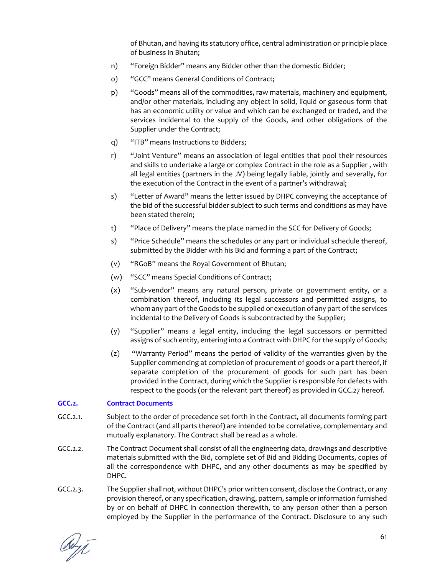of Bhutan, and having its statutory office, central administration or principle place of business in Bhutan;

- n) "Foreign Bidder" means any Bidder other than the domestic Bidder;
- o) "GCC" means General Conditions of Contract;
- p) "Goods" means all of the commodities, raw materials, machinery and equipment, and/or other materials, including any object in solid, liquid or gaseous form that has an economic utility or value and which can be exchanged or traded, and the services incidental to the supply of the Goods, and other obligations of the Supplier under the Contract;
- q) "ITB" means Instructions to Bidders;
- r) "Joint Venture" means an association of legal entities that pool their resources and skills to undertake a large or complex Contract in the role as a Supplier , with all legal entities (partners in the JV) being legally liable, jointly and severally, for the execution of the Contract in the event of a partner's withdrawal;
- s) "Letter of Award" means the letter issued by DHPC conveying the acceptance of the bid of the successful bidder subject to such terms and conditions as may have been stated therein;
- t) "Place of Delivery" means the place named in the SCC for Delivery of Goods;
- s) "Price Schedule" means the schedules or any part or individual schedule thereof, submitted by the Bidder with his Bid and forming a part of the Contract;
- (v) "RGoB" means the Royal Government of Bhutan;
- (w) "SCC" means Special Conditions of Contract;
- (x) "Sub‐vendor" means any natural person, private or government entity, or a combination thereof, including its legal successors and permitted assigns, to whom any part of the Goods to be supplied or execution of any part of the services incidental to the Delivery of Goods is subcontracted by the Supplier;
- (y) "Supplier" means a legal entity, including the legal successors or permitted assigns of such entity, entering into a Contract with DHPC for the supply of Goods;
- (z) "Warranty Period" means the period of validity of the warranties given by the Supplier commencing at completion of procurement of goods or a part thereof, if separate completion of the procurement of goods for such part has been provided in the Contract, during which the Supplier is responsible for defects with respect to the goods (or the relevant part thereof) as provided in GCC.27 hereof.

# **GCC.2. Contract Documents**

- GCC.2.1. Subject to the order of precedence set forth in the Contract, all documents forming part of the Contract (and all parts thereof) are intended to be correlative, complementary and mutually explanatory. The Contract shall be read as a whole.
- GCC.2.2. The Contract Document shall consist of all the engineering data, drawings and descriptive materials submitted with the Bid, complete set of Bid and Bidding Documents, copies of all the correspondence with DHPC, and any other documents as may be specified by DHPC.
- GCC.2.3. The Supplier shall not, without DHPC's prior written consent, disclose the Contract, or any provision thereof, or any specification, drawing, pattern, sample or information furnished by or on behalf of DHPC in connection therewith, to any person other than a person employed by the Supplier in the performance of the Contract. Disclosure to any such

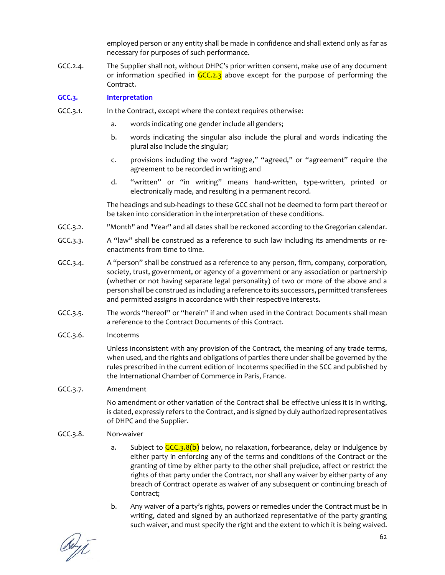employed person or any entity shall be made in confidence and shall extend only as far as necessary for purposes of such performance.

GCC.2.4. The Supplier shall not, without DHPC's prior written consent, make use of any document or information specified in  $GCC<sub>2.3</sub>$  above except for the purpose of performing the Contract.

### **GCC.3. Interpretation**

- GCC.3.1. In the Contract, except where the context requires otherwise:
	- a. words indicating one gender include all genders;
	- b. words indicating the singular also include the plural and words indicating the plural also include the singular;
	- c. provisions including the word "agree," "agreed," or "agreement" require the agreement to be recorded in writing; and
	- d. "written" or "in writing" means hand‐written, type‐written, printed or electronically made, and resulting in a permanent record.

The headings and sub‐headings to these GCC shall not be deemed to form part thereof or be taken into consideration in the interpretation of these conditions.

- GCC.3.2. "Month" and "Year" and all dates shall be reckoned according to the Gregorian calendar.
- GCC.3.3. A "law" shall be construed as a reference to such law including its amendments or reenactments from time to time.
- GCC.3.4. A "person" shall be construed as a reference to any person, firm, company, corporation, society, trust, government, or agency of a government or any association or partnership (whether or not having separate legal personality) of two or more of the above and a person shall be construed as including a reference to its successors, permitted transferees and permitted assigns in accordance with their respective interests.
- GCC.3.5. The words "hereof" or "herein" if and when used in the Contract Documents shall mean a reference to the Contract Documents of this Contract.

### GCC.3.6. Incoterms

Unless inconsistent with any provision of the Contract, the meaning of any trade terms, when used, and the rights and obligations of parties there under shall be governed by the rules prescribed in the current edition of Incoterms specified in the SCC and published by the International Chamber of Commerce in Paris, France.

### GCC.3.7. Amendment

No amendment or other variation of the Contract shall be effective unless it is in writing, is dated, expressly refers to the Contract, and is signed by duly authorized representatives of DHPC and the Supplier.

### GCC.3.8. Non‐waiver

- a. Subject to  $GCC<sub>3</sub>.8(b)$  below, no relaxation, forbearance, delay or indulgence by either party in enforcing any of the terms and conditions of the Contract or the granting of time by either party to the other shall prejudice, affect or restrict the rights of that party under the Contract, nor shall any waiver by either party of any breach of Contract operate as waiver of any subsequent or continuing breach of Contract;
- b. Any waiver of a party's rights, powers or remedies under the Contract must be in writing, dated and signed by an authorized representative of the party granting such waiver, and must specify the right and the extent to which it is being waived.

deyt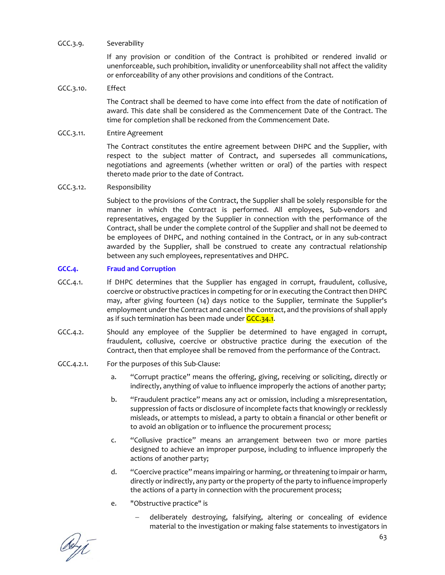# GCC.3.9. Severability

If any provision or condition of the Contract is prohibited or rendered invalid or unenforceable, such prohibition, invalidity or unenforceability shall not affect the validity or enforceability of any other provisions and conditions of the Contract.

### GCC.3.10. Effect

The Contract shall be deemed to have come into effect from the date of notification of award. This date shall be considered as the Commencement Date of the Contract. The time for completion shall be reckoned from the Commencement Date.

### GCC.3.11. Entire Agreement

The Contract constitutes the entire agreement between DHPC and the Supplier, with respect to the subject matter of Contract, and supersedes all communications, negotiations and agreements (whether written or oral) of the parties with respect thereto made prior to the date of Contract.

### GCC.3.12. Responsibility

Subject to the provisions of the Contract, the Supplier shall be solely responsible for the manner in which the Contract is performed. All employees, Sub‐vendors and representatives, engaged by the Supplier in connection with the performance of the Contract, shall be under the complete control of the Supplier and shall not be deemed to be employees of DHPC, and nothing contained in the Contract, or in any sub-contract awarded by the Supplier, shall be construed to create any contractual relationship between any such employees, representatives and DHPC.

# **GCC.4. Fraud and Corruption**

- GCC.4.1. If DHPC determines that the Supplier has engaged in corrupt, fraudulent, collusive, coercive or obstructive practices in competing for or in executing the Contract then DHPC may, after giving fourteen (14) days notice to the Supplier, terminate the Supplier's employment under the Contract and cancel the Contract, and the provisions of shall apply as if such termination has been made under GCC.34.1.
- GCC.4.2. Should any employee of the Supplier be determined to have engaged in corrupt, fraudulent, collusive, coercive or obstructive practice during the execution of the Contract, then that employee shall be removed from the performance of the Contract.

# GCC.4.2.1. For the purposes of this Sub‐Clause:

- a. "Corrupt practice" means the offering, giving, receiving or soliciting, directly or indirectly, anything of value to influence improperly the actions of another party;
- b. "Fraudulent practice" means any act or omission, including a misrepresentation, suppression of facts or disclosure of incomplete facts that knowingly or recklessly misleads, or attempts to mislead, a party to obtain a financial or other benefit or to avoid an obligation or to influence the procurement process;
- c. "Collusive practice" means an arrangement between two or more parties designed to achieve an improper purpose, including to influence improperly the actions of another party;
- d. "Coercive practice" means impairing or harming, orthreatening to impair or harm, directly or indirectly, any party or the property of the party to influence improperly the actions of a party in connection with the procurement process;
- e. "Obstructive practice" is
	- deliberately destroying, falsifying, altering or concealing of evidence material to the investigation or making false statements to investigators in

debyt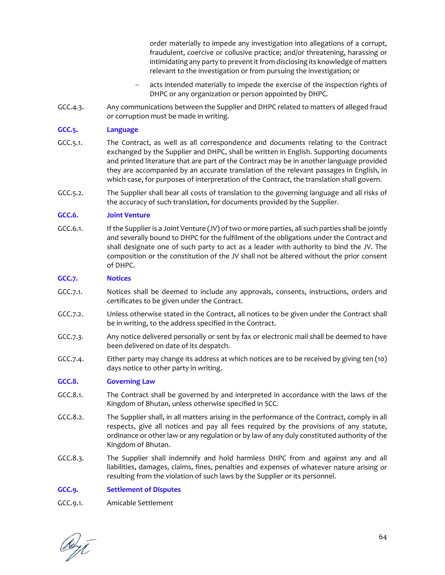order materially to impede any investigation into allegations of a corrupt, fraudulent, coercive or collusive practice; and/or threatening, harassing or intimidating any party to prevent it from disclosing its knowledge of matters relevant to the investigation or from pursuing the investigation; or

- acts intended materially to impede the exercise of the inspection rights of DHPC or any organization or person appointed by DHPC.
- GCC.4.3. Any communications between the Supplier and DHPC related to matters of alleged fraud or corruption must be made in writing.

### **GCC.5. Language**

- GCC.5.1. The Contract, as well as all correspondence and documents relating to the Contract exchanged by the Supplier and DHPC, shall be written in English. Supporting documents and printed literature that are part of the Contract may be in another language provided they are accompanied by an accurate translation of the relevant passages in English, in which case, for purposes of interpretation of the Contract, the translation shall govern.
- GCC.5.2. The Supplier shall bear all costs of translation to the governing language and all risks of the accuracy of such translation, for documents provided by the Supplier.

### **GCC.6. Joint Venture**

GCC.6.1. If the Supplier is a Joint Venture (JV) of two or more parties, all such parties shall be jointly and severally bound to DHPC for the fulfilment of the obligations under the Contract and shall designate one of such party to act as a leader with authority to bind the JV. The composition or the constitution of the JV shall not be altered without the prior consent of DHPC.

### **GCC.7. Notices**

- GCC.7.1. Notices shall be deemed to include any approvals, consents, instructions, orders and certificates to be given under the Contract.
- GCC.7.2. Unless otherwise stated in the Contract, all notices to be given under the Contract shall be in writing, to the address specified in the Contract.
- GCC.7.3. Any notice delivered personally or sent by fax or electronic mail shall be deemed to have been delivered on date of its despatch.
- GCC.7.4. Either party may change its address at which notices are to be received by giving ten (10) days notice to other party in writing.

# **GCC.8. Governing Law**

- GCC.8.1. The Contract shall be governed by and interpreted in accordance with the laws of the Kingdom of Bhutan, unless otherwise specified in SCC.
- GCC.8.2. The Supplier shall, in all matters arising in the performance of the Contract, comply in all respects, give all notices and pay all fees required by the provisions of any statute, ordinance or other law or any regulation or by law of any duly constituted authority of the Kingdom of Bhutan.
- GCC.8.3. The Supplier shall indemnify and hold harmless DHPC from and against any and all liabilities, damages, claims, fines, penalties and expenses of whatever nature arising or resulting from the violation of such laws by the Supplier or its personnel.

### **GCC.9. Settlement of Disputes**

GCC.9.1. Amicable Settlement

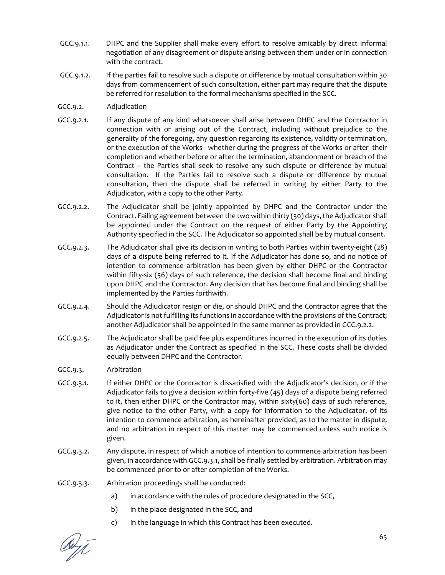- GCC.9.1.1. DHPC and the Supplier shall make every effort to resolve amicably by direct informal negotiation of any disagreement or dispute arising between them under or in connection with the contract.
- GCC.9.1.2. If the parties fail to resolve such a dispute or difference by mutual consultation within 30 days from commencement of such consultation, either part may require that the dispute be referred for resolution to the formal mechanisms specified in the SCC.
- GCC.9.2. Adjudication
- GCC.9.2.1. If any dispute of any kind whatsoever shall arise between DHPC and the Contractor in connection with or arising out of the Contract, including without prejudice to the generality of the foregoing, any question regarding its existence, validity or termination, or the execution of the Works– whether during the progress of the Works or after their completion and whether before or after the termination, abandonment or breach of the Contract – the Parties shall seek to resolve any such dispute or difference by mutual consultation. If the Parties fail to resolve such a dispute or difference by mutual consultation, then the dispute shall be referred in writing by either Party to the Adjudicator, with a copy to the other Party.
- GCC.9.2.2. The Adjudicator shall be jointly appointed by DHPC and the Contractor under the Contract. Failing agreement between the two within thirty (30) days, the Adjudicator shall be appointed under the Contract on the request of either Party by the Appointing Authority specified in the SCC. The Adjudicator so appointed shall be by mutual consent.
- GCC.9.2.3. The Adjudicator shall give its decision in writing to both Parties within twenty‐eight (28) days of a dispute being referred to it. If the Adjudicator has done so, and no notice of intention to commence arbitration has been given by either DHPC or the Contractor within fifty-six (56) days of such reference, the decision shall become final and binding upon DHPC and the Contractor. Any decision that has become final and binding shall be implemented by the Parties forthwith.
- GCC.9.2.4. Should the Adjudicator resign or die, or should DHPC and the Contractor agree that the Adjudicator is not fulfilling its functions in accordance with the provisions of the Contract; another Adjudicator shall be appointed in the same manner as provided in GCC.9.2.2.
- GCC.9.2.5. The Adjudicator shall be paid fee plus expenditures incurred in the execution of its duties as Adjudicator under the Contract as specified in the SCC. These costs shall be divided equally between DHPC and the Contractor.
- GCC.9.3. Arbitration
- GCC.9.3.1. If either DHPC or the Contractor is dissatisfied with the Adjudicator's decision, or if the Adjudicator fails to give a decision within forty‐five (45) days of a dispute being referred to it, then either DHPC or the Contractor may, within sixty(60) days of such reference, give notice to the other Party, with a copy for information to the Adjudicator, of its intention to commence arbitration, as hereinafter provided, as to the matter in dispute, and no arbitration in respect of this matter may be commenced unless such notice is given.
- GCC.9.3.2. Any dispute, in respect of which a notice of intention to commence arbitration has been given, in accordance with GCC.9.3.1, shall be finally settled by arbitration. Arbitration may be commenced prior to or after completion of the Works.
- GCC.9.3.3. Arbitration proceedings shall be conducted:
	- a) in accordance with the rules of procedure designated in the SCC,
	- b) in the place designated in the SCC, and
	- c) in the language in which this Contract has been executed.

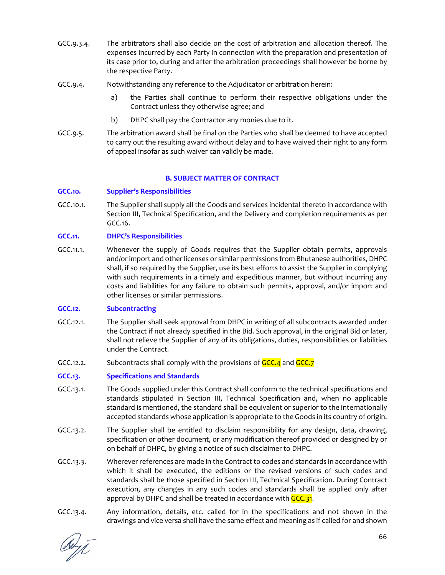- GCC.9.3.4. The arbitrators shall also decide on the cost of arbitration and allocation thereof. The expenses incurred by each Party in connection with the preparation and presentation of its case prior to, during and after the arbitration proceedings shall however be borne by the respective Party.
- GCC.9.4. Notwithstanding any reference to the Adjudicator or arbitration herein:
	- a) the Parties shall continue to perform their respective obligations under the Contract unless they otherwise agree; and
	- b) DHPC shall pay the Contractor any monies due to it.
- GCC.9.5. The arbitration award shall be final on the Parties who shall be deemed to have accepted to carry out the resulting award without delay and to have waived their right to any form of appeal insofar as such waiver can validly be made.

### **B. SUBJECT MATTER OF CONTRACT**

# **GCC.10. Supplier's Responsibilities**

GCC.10.1. The Supplier shall supply all the Goods and services incidental thereto in accordance with Section III, Technical Specification, and the Delivery and completion requirements as per GCC.16.

### **GCC.11. DHPC's Responsibilities**

GCC.11.1. Whenever the supply of Goods requires that the Supplier obtain permits, approvals and/or import and other licenses or similar permissions from Bhutanese authorities, DHPC shall, if so required by the Supplier, use its best efforts to assist the Supplier in complying with such requirements in a timely and expeditious manner, but without incurring any costs and liabilities for any failure to obtain such permits, approval, and/or import and other licenses or similar permissions.

### **GCC.12. Subcontracting**

- GCC.12.1. The Supplier shall seek approval from DHPC in writing of all subcontracts awarded under the Contract if not already specified in the Bid. Such approval, in the original Bid or later, shall not relieve the Supplier of any of its obligations, duties, responsibilities or liabilities under the Contract.
- GCC.12.2. Subcontracts shall comply with the provisions of GCC.4 and GCC.7

# **GCC.13. Specifications and Standards**

- GCC.13.1. The Goods supplied under this Contract shall conform to the technical specifications and standards stipulated in Section III, Technical Specification and, when no applicable standard is mentioned, the standard shall be equivalent or superior to the internationally accepted standards whose application is appropriate to the Goods in its country of origin.
- GCC.13.2. The Supplier shall be entitled to disclaim responsibility for any design, data, drawing, specification or other document, or any modification thereof provided or designed by or on behalf of DHPC, by giving a notice of such disclaimer to DHPC.
- GCC.13.3. Wherever references are made in the Contract to codes and standards in accordance with which it shall be executed, the editions or the revised versions of such codes and standards shall be those specified in Section III, Technical Specification. During Contract execution, any changes in any such codes and standards shall be applied only after approval by DHPC and shall be treated in accordance with GCC.31.
- GCC.13.4. Any information, details, etc. called for in the specifications and not shown in the drawings and vice versa shall have the same effect and meaning as if called for and shown

Dept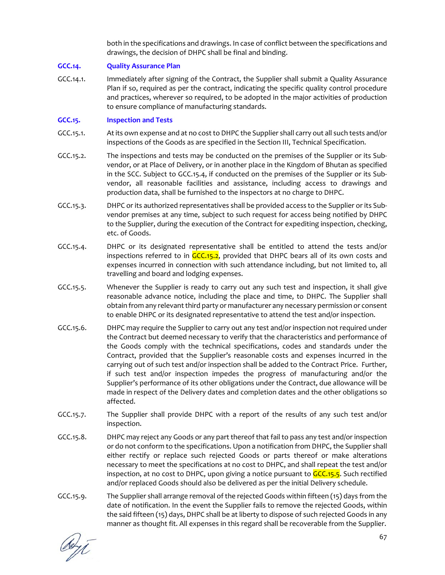both in the specifications and drawings. In case of conflict between the specifications and drawings, the decision of DHPC shall be final and binding.

# **GCC.14. Quality Assurance Plan**

GCC.14.1. Immediately after signing of the Contract, the Supplier shall submit a Quality Assurance Plan if so, required as per the contract, indicating the specific quality control procedure and practices, wherever so required, to be adopted in the major activities of production to ensure compliance of manufacturing standards.

# **GCC.15. Inspection and Tests**

- GCC.15.1. Atits own expense and at no costto DHPC the Supplier shall carry out all such tests and/or inspections of the Goods as are specified in the Section III, Technical Specification.
- GCC.15.2. The inspections and tests may be conducted on the premises of the Supplier or its Subvendor, or at Place of Delivery, or in another place in the Kingdom of Bhutan as specified in the SCC. Subject to GCC.15.4, if conducted on the premises of the Supplier or its Sub‐ vendor, all reasonable facilities and assistance, including access to drawings and production data, shall be furnished to the inspectors at no charge to DHPC.
- GCC.15.3. DHPC or its authorized representatives shall be provided access to the Supplier or its Subvendor premises at any time, subject to such request for access being notified by DHPC to the Supplier, during the execution of the Contract for expediting inspection, checking, etc. of Goods.
- GCC.15.4. DHPC or its designated representative shall be entitled to attend the tests and/or inspections referred to in  $GCC.15.2$ , provided that DHPC bears all of its own costs and expenses incurred in connection with such attendance including, but not limited to, all travelling and board and lodging expenses.
- GCC.15.5. Whenever the Supplier is ready to carry out any such test and inspection, it shall give reasonable advance notice, including the place and time, to DHPC. The Supplier shall obtain from any relevant third party or manufacturer any necessary permission or consent to enable DHPC or its designated representative to attend the test and/or inspection.
- GCC.15.6. DHPC may require the Supplier to carry out any test and/or inspection not required under the Contract but deemed necessary to verify that the characteristics and performance of the Goods comply with the technical specifications, codes and standards under the Contract, provided that the Supplier's reasonable costs and expenses incurred in the carrying out of such test and/or inspection shall be added to the Contract Price. Further, if such test and/or inspection impedes the progress of manufacturing and/or the Supplier's performance of its other obligations under the Contract, due allowance will be made in respect of the Delivery dates and completion dates and the other obligations so affected.
- GCC.15.7. The Supplier shall provide DHPC with a report of the results of any such test and/or inspection.
- GCC.15.8. DHPC may reject any Goods or any part thereof that fail to pass any test and/or inspection or do not conform to the specifications. Upon a notification from DHPC, the Supplier shall either rectify or replace such rejected Goods or parts thereof or make alterations necessary to meet the specifications at no cost to DHPC, and shall repeat the test and/or inspection, at no cost to DHPC, upon giving a notice pursuant to **GCC.15.5**. Such rectified and/or replaced Goods should also be delivered as per the initial Delivery schedule.
- GCC.15.9. The Supplier shall arrange removal of the rejected Goods within fifteen (15) days from the date of notification. In the event the Supplier fails to remove the rejected Goods, within the said fifteen (15) days, DHPC shall be at liberty to dispose of such rejected Goods in any manner as thought fit. All expenses in this regard shall be recoverable from the Supplier.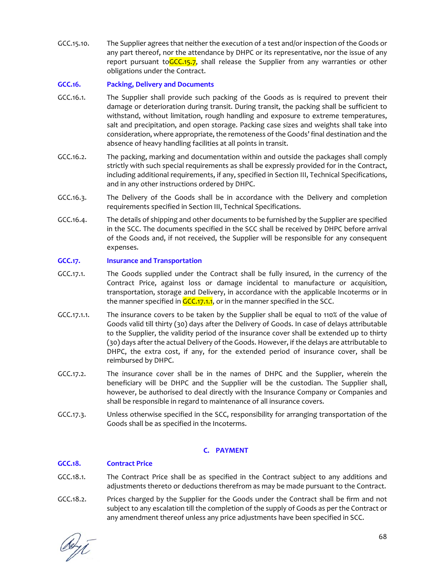GCC.15.10. The Supplier agrees that neither the execution of a test and/or inspection of the Goods or any part thereof, nor the attendance by DHPC or its representative, nor the issue of any report pursuant toGCC.15.7, shall release the Supplier from any warranties or other obligations under the Contract.

# **GCC.16. Packing, Delivery and Documents**

- GCC.16.1. The Supplier shall provide such packing of the Goods as is required to prevent their damage or deterioration during transit. During transit, the packing shall be sufficient to withstand, without limitation, rough handling and exposure to extreme temperatures, salt and precipitation, and open storage. Packing case sizes and weights shall take into consideration, where appropriate, the remoteness of the Goods' final destination and the absence of heavy handling facilities at all points in transit.
- GCC.16.2. The packing, marking and documentation within and outside the packages shall comply strictly with such special requirements as shall be expressly provided for in the Contract, including additional requirements, if any, specified in Section III, Technical Specifications, and in any other instructions ordered by DHPC.
- GCC.16.3. The Delivery of the Goods shall be in accordance with the Delivery and completion requirements specified in Section III, Technical Specifications.
- GCC.16.4. The details of shipping and other documents to be furnished by the Supplier are specified in the SCC. The documents specified in the SCC shall be received by DHPC before arrival of the Goods and, if not received, the Supplier will be responsible for any consequent expenses.

### **GCC.17. Insurance and Transportation**

- GCC.17.1. The Goods supplied under the Contract shall be fully insured, in the currency of the Contract Price, against loss or damage incidental to manufacture or acquisition, transportation, storage and Delivery, in accordance with the applicable Incoterms or in the manner specified in GCC.17.1.1, or in the manner specified in the SCC.
- GCC.17.1.1. The insurance covers to be taken by the Supplier shall be equal to 110% of the value of Goods valid till thirty (30) days after the Delivery of Goods. In case of delays attributable to the Supplier, the validity period of the insurance cover shall be extended up to thirty (30) days after the actual Delivery of the Goods. However, if the delays are attributable to DHPC, the extra cost, if any, for the extended period of insurance cover, shall be reimbursed by DHPC.
- GCC.17.2. The insurance cover shall be in the names of DHPC and the Supplier, wherein the beneficiary will be DHPC and the Supplier will be the custodian. The Supplier shall, however, be authorised to deal directly with the Insurance Company or Companies and shall be responsible in regard to maintenance of all insurance covers.
- GCC.17.3. Unless otherwise specified in the SCC, responsibility for arranging transportation of the Goods shall be as specified in the Incoterms.

# **C. PAYMENT**

### **GCC.18. Contract Price**

- GCC.18.1. The Contract Price shall be as specified in the Contract subject to any additions and adjustments thereto or deductions therefrom as may be made pursuant to the Contract.
- GCC.18.2. Prices charged by the Supplier for the Goods under the Contract shall be firm and not subject to any escalation till the completion of the supply of Goods as per the Contract or any amendment thereof unless any price adjustments have been specified in SCC.

deri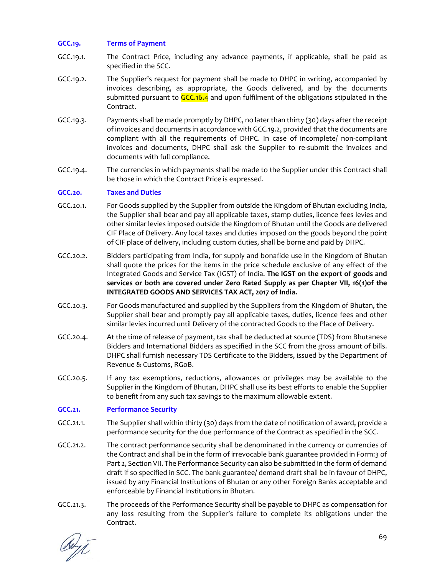# **GCC.19. Terms of Payment**

- GCC.19.1. The Contract Price, including any advance payments, if applicable, shall be paid as specified in the SCC.
- GCC.19.2. The Supplier's request for payment shall be made to DHPC in writing, accompanied by invoices describing, as appropriate, the Goods delivered, and by the documents submitted pursuant to  $GCC.16.4$  and upon fulfilment of the obligations stipulated in the Contract.
- GCC.19.3. Payments shall be made promptly by DHPC, no later than thirty (30) days after the receipt of invoices and documents in accordance with GCC.19.2, provided that the documents are compliant with all the requirements of DHPC. In case of incomplete/ non‐compliant invoices and documents, DHPC shall ask the Supplier to re‐submit the invoices and documents with full compliance.
- GCC.19.4. The currencies in which payments shall be made to the Supplier under this Contract shall be those in which the Contract Price is expressed.

# **GCC.20. Taxes and Duties**

- GCC.20.1. For Goods supplied by the Supplier from outside the Kingdom of Bhutan excluding India, the Supplier shall bear and pay all applicable taxes, stamp duties, licence fees levies and other similar levies imposed outside the Kingdom of Bhutan until the Goods are delivered CIF Place of Delivery. Any local taxes and duties imposed on the goods beyond the point of CIF place of delivery, including custom duties, shall be borne and paid by DHPC.
- GCC.20.2. Bidders participating from India, for supply and bonafide use in the Kingdom of Bhutan shall quote the prices for the items in the price schedule exclusive of any effect of the Integrated Goods and Service Tax (IGST) of India. **The IGST on the export of goods and services or both are covered under Zero Rated Supply as per Chapter VII, 16(1)of the INTEGRATED GOODS AND SERVICES TAX ACT, 2017 of India.**
- GCC.20.3. For Goods manufactured and supplied by the Suppliers from the Kingdom of Bhutan, the Supplier shall bear and promptly pay all applicable taxes, duties, licence fees and other similar levies incurred until Delivery of the contracted Goods to the Place of Delivery.
- GCC.20.4. At the time of release of payment, tax shall be deducted at source (TDS) from Bhutanese Bidders and International Bidders as specified in the SCC from the gross amount of bills. DHPC shall furnish necessary TDS Certificate to the Bidders, issued by the Department of Revenue & Customs, RGoB.
- GCC.20.5. If any tax exemptions, reductions, allowances or privileges may be available to the Supplier in the Kingdom of Bhutan, DHPC shall use its best efforts to enable the Supplier to benefit from any such tax savings to the maximum allowable extent.

# **GCC.21. Performance Security**

- GCC.21.1. The Supplier shall within thirty (30) days from the date of notification of award, provide a performance security for the due performance of the Contract as specified in the SCC.
- GCC.21.2. The contract performance security shall be denominated in the currency or currencies of the Contract and shall be in the form of irrevocable bank guarantee provided in Form:3 of Part 2, Section VII. The Performance Security can also be submitted in the form of demand draft if so specified in SCC. The bank guarantee/ demand draft shall be in favour of DHPC, issued by any Financial Institutions of Bhutan or any other Foreign Banks acceptable and enforceable by Financial Institutions in Bhutan.
- GCC.21.3. The proceeds of the Performance Security shall be payable to DHPC as compensation for any loss resulting from the Supplier's failure to complete its obligations under the Contract.

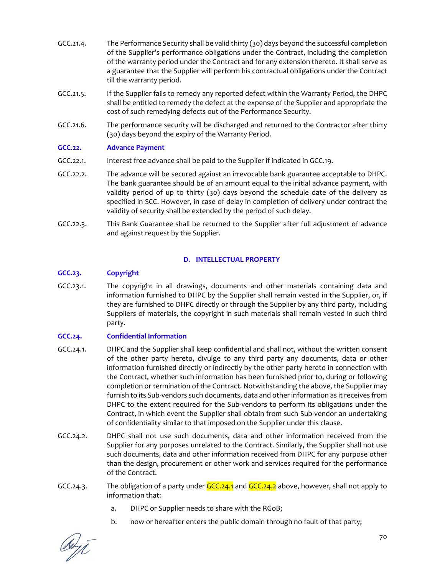- GCC.21.4. The Performance Security shall be valid thirty (30) days beyond the successful completion of the Supplier's performance obligations under the Contract, including the completion of the warranty period under the Contract and for any extension thereto. It shall serve as a guarantee that the Supplier will perform his contractual obligations under the Contract till the warranty period.
- GCC.21.5. If the Supplier fails to remedy any reported defect within the Warranty Period, the DHPC shall be entitled to remedy the defect at the expense of the Supplier and appropriate the cost of such remedying defects out of the Performance Security.
- GCC.21.6. The performance security will be discharged and returned to the Contractor after thirty (30) days beyond the expiry of the Warranty Period.

# **GCC.22. Advance Payment**

- GCC.22.1. Interest free advance shall be paid to the Supplier if indicated in GCC.19.
- GCC.22.2. The advance will be secured against an irrevocable bank guarantee acceptable to DHPC. The bank guarantee should be of an amount equal to the initial advance payment, with validity period of up to thirty (30) days beyond the schedule date of the delivery as specified in SCC. However, in case of delay in completion of delivery under contract the validity of security shall be extended by the period of such delay.
- GCC.22.3. This Bank Guarantee shall be returned to the Supplier after full adjustment of advance and against request by the Supplier.

# **D. INTELLECTUAL PROPERTY**

# **GCC.23. Copyright**

GCC.23.1. The copyright in all drawings, documents and other materials containing data and information furnished to DHPC by the Supplier shall remain vested in the Supplier, or, if they are furnished to DHPC directly or through the Supplier by any third party, including Suppliers of materials, the copyright in such materials shall remain vested in such third party.

# **GCC.24. Confidential Information**

- GCC.24.1. DHPC and the Supplier shall keep confidential and shall not, without the written consent of the other party hereto, divulge to any third party any documents, data or other information furnished directly or indirectly by the other party hereto in connection with the Contract, whether such information has been furnished prior to, during or following completion or termination of the Contract. Notwithstanding the above, the Supplier may furnish to its Sub‐vendors such documents, data and other information as it receives from DHPC to the extent required for the Sub‐vendors to perform its obligations under the Contract, in which event the Supplier shall obtain from such Sub‐vendor an undertaking of confidentiality similar to that imposed on the Supplier under this clause.
- GCC.24.2. DHPC shall not use such documents, data and other information received from the Supplier for any purposes unrelated to the Contract. Similarly, the Supplier shall not use such documents, data and other information received from DHPC for any purpose other than the design, procurement or other work and services required for the performance of the Contract.
- GCC.24.3. The obligation of a party under  $GCC.24.1$  and  $GCC.24.2$  above, however, shall not apply to information that:
	- a. DHPC or Supplier needs to share with the RGoB;
	- b. now or hereafter enters the public domain through no fault of that party;

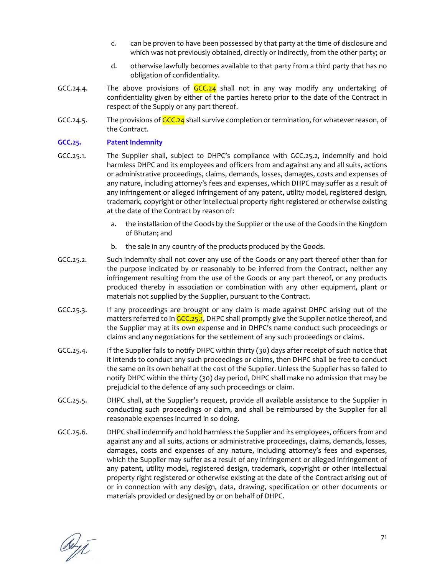- c. can be proven to have been possessed by that party at the time of disclosure and which was not previously obtained, directly or indirectly, from the other party; or
- d. otherwise lawfully becomes available to that party from a third party that has no obligation of confidentiality.
- GCC.24.4. The above provisions of  $GCC.24$  shall not in any way modify any undertaking of confidentiality given by either of the parties hereto prior to the date of the Contract in respect of the Supply or any part thereof.
- GCC.24.5. The provisions of  $GCC.24$  shall survive completion or termination, for whatever reason, of the Contract.

### **GCC.25. Patent Indemnity**

- GCC.25.1. The Supplier shall, subject to DHPC's compliance with GCC.25.2, indemnify and hold harmless DHPC and its employees and officers from and against any and all suits, actions or administrative proceedings, claims, demands, losses, damages, costs and expenses of any nature, including attorney's fees and expenses, which DHPC may suffer as a result of any infringement or alleged infringement of any patent, utility model, registered design, trademark, copyright or other intellectual property right registered or otherwise existing at the date of the Contract by reason of:
	- a. the installation of the Goods by the Supplier or the use of the Goods in the Kingdom of Bhutan; and
	- b. the sale in any country of the products produced by the Goods.
- GCC.25.2. Such indemnity shall not cover any use of the Goods or any part thereof other than for the purpose indicated by or reasonably to be inferred from the Contract, neither any infringement resulting from the use of the Goods or any part thereof, or any products produced thereby in association or combination with any other equipment, plant or materials not supplied by the Supplier, pursuant to the Contract.
- GCC.25.3. If any proceedings are brought or any claim is made against DHPC arising out of the matters referred to in GCC.25.1, DHPC shall promptly give the Supplier notice thereof, and the Supplier may at its own expense and in DHPC's name conduct such proceedings or claims and any negotiations for the settlement of any such proceedings or claims.
- GCC.25.4. If the Supplier fails to notify DHPC within thirty (30) days after receipt of such notice that it intends to conduct any such proceedings or claims, then DHPC shall be free to conduct the same on its own behalf at the cost of the Supplier. Unless the Supplier has so failed to notify DHPC within the thirty (30) day period, DHPC shall make no admission that may be prejudicial to the defence of any such proceedings or claim.
- GCC.25.5. DHPC shall, at the Supplier's request, provide all available assistance to the Supplier in conducting such proceedings or claim, and shall be reimbursed by the Supplier for all reasonable expenses incurred in so doing.
- GCC.25.6. DHPC shall indemnify and hold harmless the Supplier and its employees, officers from and against any and all suits, actions or administrative proceedings, claims, demands, losses, damages, costs and expenses of any nature, including attorney's fees and expenses, which the Supplier may suffer as a result of any infringement or alleged infringement of any patent, utility model, registered design, trademark, copyright or other intellectual property right registered or otherwise existing at the date of the Contract arising out of or in connection with any design, data, drawing, specification or other documents or materials provided or designed by or on behalf of DHPC.

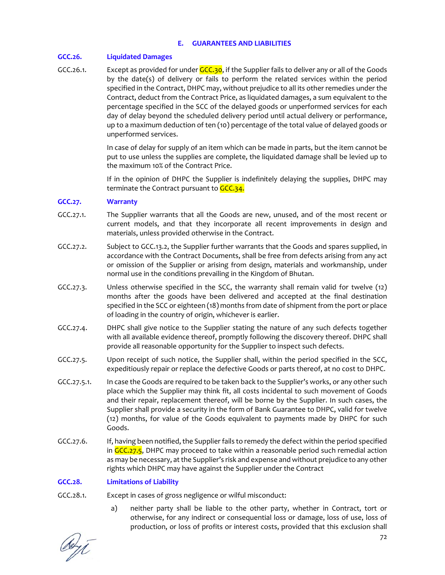### **E. GUARANTEES AND LIABILITIES**

### **GCC.26. Liquidated Damages**

GCC.26.1. Except as provided for under  $GCC.30$ , if the Supplier fails to deliver any or all of the Goods by the date(s) of delivery or fails to perform the related services within the period specified in the Contract, DHPC may, without prejudice to all its other remedies under the Contract, deduct from the Contract Price, as liquidated damages, a sum equivalent to the percentage specified in the SCC of the delayed goods or unperformed services for each day of delay beyond the scheduled delivery period until actual delivery or performance, up to a maximum deduction of ten (10) percentage of the total value of delayed goods or unperformed services.

> In case of delay for supply of an item which can be made in parts, but the item cannot be put to use unless the supplies are complete, the liquidated damage shall be levied up to the maximum 10% of the Contract Price.

> If in the opinion of DHPC the Supplier is indefinitely delaying the supplies, DHPC may terminate the Contract pursuant to GCC.34.

### **GCC.27. Warranty**

- GCC.27.1. The Supplier warrants that all the Goods are new, unused, and of the most recent or current models, and that they incorporate all recent improvements in design and materials, unless provided otherwise in the Contract.
- GCC.27.2. Subject to GCC.13.2, the Supplier further warrants that the Goods and spares supplied, in accordance with the Contract Documents, shall be free from defects arising from any act or omission of the Supplier or arising from design, materials and workmanship, under normal use in the conditions prevailing in the Kingdom of Bhutan.
- GCC.27.3. Unless otherwise specified in the SCC, the warranty shall remain valid for twelve (12) months after the goods have been delivered and accepted at the final destination specified in the SCC or eighteen (18) months from date of shipment from the port or place of loading in the country of origin, whichever is earlier.
- GCC.27.4. DHPC shall give notice to the Supplier stating the nature of any such defects together with all available evidence thereof, promptly following the discovery thereof. DHPC shall provide all reasonable opportunity for the Supplier to inspect such defects.
- GCC.27.5. Upon receipt of such notice, the Supplier shall, within the period specified in the SCC, expeditiously repair or replace the defective Goods or parts thereof, at no cost to DHPC.
- GCC.27.5.1. In case the Goods are required to be taken back to the Supplier's works, or any other such place which the Supplier may think fit, all costs incidental to such movement of Goods and their repair, replacement thereof, will be borne by the Supplier. In such cases, the Supplier shall provide a security in the form of Bank Guarantee to DHPC, valid for twelve (12) months, for value of the Goods equivalent to payments made by DHPC for such Goods.
- GCC.27.6. If, having been notified, the Supplier fails to remedy the defect within the period specified in GCC.27.5, DHPC may proceed to take within a reasonable period such remedial action as may be necessary, atthe Supplier's risk and expense and without prejudice to any other rights which DHPC may have against the Supplier under the Contract

### **GCC.28. Limitations of Liability**

- GCC.28.1. Except in cases of gross negligence or wilful misconduct:
	- a) neither party shall be liable to the other party, whether in Contract, tort or otherwise, for any indirect or consequential loss or damage, loss of use, loss of production, or loss of profits or interest costs, provided that this exclusion shall

Ceyî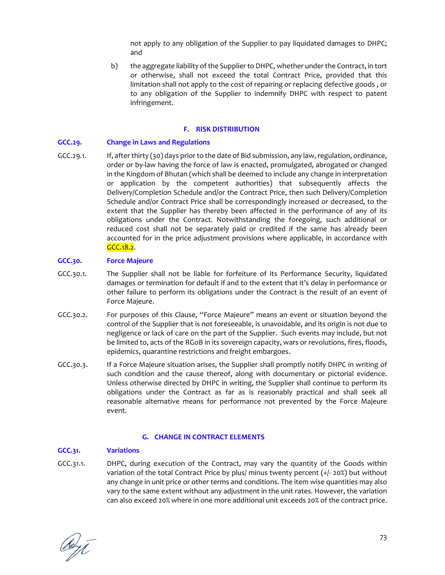not apply to any obligation of the Supplier to pay liquidated damages to DHPC; and

b) the aggregate liability of the Supplier to DHPC, whether under the Contract, in tort or otherwise, shall not exceed the total Contract Price, provided that this limitation shall not apply to the cost of repairing or replacing defective goods , or to any obligation of the Supplier to indemnify DHPC with respect to patent infringement.

#### **F. RISK DISTRIBUTION**

#### **GCC.29. Change in Laws and Regulations**

GCC.29.1. If, after thirty (30) days prior to the date of Bid submission, any law, regulation, ordinance, order or by‐law having the force of law is enacted, promulgated, abrogated or changed in the Kingdom of Bhutan (which shall be deemed to include any change in interpretation or application by the competent authorities) that subsequently affects the Delivery/Completion Schedule and/or the Contract Price, then such Delivery/Completion Schedule and/or Contract Price shall be correspondingly increased or decreased, to the extent that the Supplier has thereby been affected in the performance of any of its obligations under the Contract. Notwithstanding the foregoing, such additional or reduced cost shall not be separately paid or credited if the same has already been accounted for in the price adjustment provisions where applicable, in accordance with GCC.18.2.

### **GCC.30. Force Majeure**

- GCC.30.1. The Supplier shall not be liable for forfeiture of its Performance Security, liquidated damages or termination for default if and to the extent that it's delay in performance or other failure to perform its obligations under the Contract is the result of an event of Force Majeure.
- GCC.30.2. For purposes of this Clause, "Force Majeure" means an event or situation beyond the control of the Supplier that is not foreseeable, is unavoidable, and its origin is not due to negligence or lack of care on the part of the Supplier. Such events may include, but not be limited to, acts of the RGoB in its sovereign capacity, wars or revolutions, fires, floods, epidemics, quarantine restrictions and freight embargoes.
- GCC.30.3. If a Force Majeure situation arises, the Supplier shall promptly notify DHPC in writing of such condition and the cause thereof, along with documentary or pictorial evidence. Unless otherwise directed by DHPC in writing, the Supplier shall continue to perform its obligations under the Contract as far as is reasonably practical and shall seek all reasonable alternative means for performance not prevented by the Force Majeure event.

#### **G. CHANGE IN CONTRACT ELEMENTS**

#### **GCC.31. Variations**

GCC.31.1. DHPC, during execution of the Contract, may vary the quantity of the Goods within variation of the total Contract Price by plus/ minus twenty percent (+/‐ 20%) but without any change in unit price or other terms and conditions. The item wise quantities may also vary to the same extent without any adjustment in the unit rates. However, the variation can also exceed 20% where in one more additional unit exceeds 20% of the contract price.

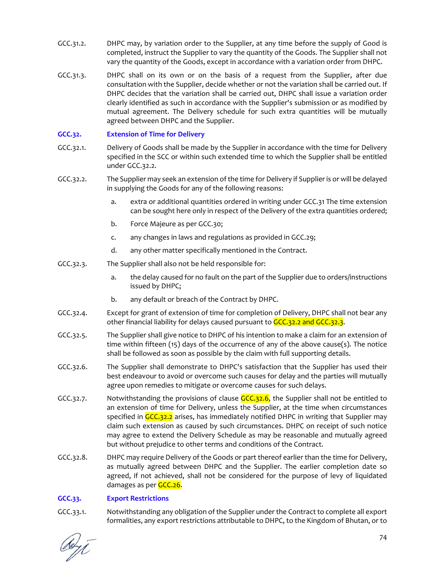- GCC.31.2. DHPC may, by variation order to the Supplier, at any time before the supply of Good is completed, instruct the Supplier to vary the quantity of the Goods. The Supplier shall not vary the quantity of the Goods, except in accordance with a variation order from DHPC.
- GCC.31.3. DHPC shall on its own or on the basis of a request from the Supplier, after due consultation with the Supplier, decide whether or not the variation shall be carried out. If DHPC decides that the variation shall be carried out, DHPC shall issue a variation order clearly identified as such in accordance with the Supplier's submission or as modified by mutual agreement. The Delivery schedule for such extra quantities will be mutually agreed between DHPC and the Supplier.

# **GCC.32. Extension of Time for Delivery**

- GCC.32.1. Delivery of Goods shall be made by the Supplier in accordance with the time for Delivery specified in the SCC or within such extended time to which the Supplier shall be entitled under GCC.32.2.
- GCC.32.2. The Supplier may seek an extension of the time for Delivery if Supplier is or will be delayed in supplying the Goods for any of the following reasons:
	- a. extra or additional quantities ordered in writing under GCC.31 The time extension can be sought here only in respect of the Delivery of the extra quantities ordered;
	- b. Force Majeure as per GCC.30;
	- c. any changes in laws and regulations as provided in GCC.29;
	- d. any other matter specifically mentioned in the Contract.
- GCC.32.3. The Supplier shall also not be held responsible for:
	- a. the delay caused for no fault on the part of the Supplier due to orders/instructions issued by DHPC;
	- b. any default or breach of the Contract by DHPC.
- GCC.32.4. Except for grant of extension of time for completion of Delivery, DHPC shall not bear any other financial liability for delays caused pursuant to GCC.32.2 and GCC.32.3.
- GCC.32.5. The Supplier shall give notice to DHPC of his intention to make a claim for an extension of time within fifteen  $(15)$  days of the occurrence of any of the above cause(s). The notice shall be followed as soon as possible by the claim with full supporting details.
- GCC.32.6. The Supplier shall demonstrate to DHPC's satisfaction that the Supplier has used their best endeavour to avoid or overcome such causes for delay and the parties will mutually agree upon remedies to mitigate or overcome causes for such delays.
- GCC.32.7. Notwithstanding the provisions of clause  $GCC.32.6$ , the Supplier shall not be entitled to an extension of time for Delivery, unless the Supplier, at the time when circumstances specified in GCC.32.2 arises, has immediately notified DHPC in writing that Supplier may claim such extension as caused by such circumstances. DHPC on receipt of such notice may agree to extend the Delivery Schedule as may be reasonable and mutually agreed but without prejudice to other terms and conditions of the Contract.
- GCC.32.8. DHPC may require Delivery of the Goods or part thereof earlier than the time for Delivery, as mutually agreed between DHPC and the Supplier. The earlier completion date so agreed, if not achieved, shall not be considered for the purpose of levy of liquidated damages as per GCC.26.

### **GCC.33. Export Restrictions**

GCC.33.1. Notwithstanding any obligation of the Supplier under the Contract to complete all export formalities, any export restrictions attributable to DHPC, to the Kingdom of Bhutan, or to

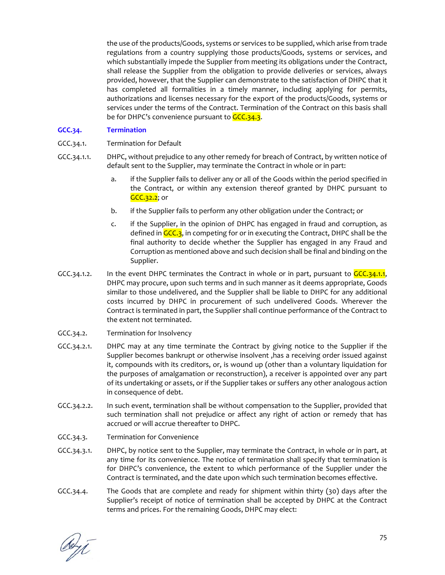the use of the products/Goods, systems or services to be supplied, which arise from trade regulations from a country supplying those products/Goods, systems or services, and which substantially impede the Supplier from meeting its obligations under the Contract, shall release the Supplier from the obligation to provide deliveries or services, always provided, however, that the Supplier can demonstrate to the satisfaction of DHPC that it has completed all formalities in a timely manner, including applying for permits, authorizations and licenses necessary for the export of the products/Goods, systems or services under the terms of the Contract. Termination of the Contract on this basis shall be for DHPC's convenience pursuant to GCC.34.3.

## **GCC.34. Termination**

- GCC.34.1. Termination for Default
- GCC.34.1.1. DHPC, without prejudice to any other remedy for breach of Contract, by written notice of default sent to the Supplier, may terminate the Contract in whole or in part:
	- a. if the Supplier fails to deliver any or all of the Goods within the period specified in the Contract, or within any extension thereof granted by DHPC pursuant to **GCC.32.2**; or
	- b. if the Supplier fails to perform any other obligation under the Contract; or
	- c. if the Supplier, in the opinion of DHPC has engaged in fraud and corruption, as defined in GCC.3, in competing for or in executing the Contract, DHPC shall be the final authority to decide whether the Supplier has engaged in any Fraud and Corruption as mentioned above and such decision shall be final and binding on the Supplier.
- GCC.34.1.2. In the event DHPC terminates the Contract in whole or in part, pursuant to  $GCC\cdot34.1.1$ , DHPC may procure, upon such terms and in such manner as it deems appropriate, Goods similar to those undelivered, and the Supplier shall be liable to DHPC for any additional costs incurred by DHPC in procurement of such undelivered Goods. Wherever the Contract is terminated in part, the Supplier shall continue performance of the Contract to the extent not terminated.
- GCC.34.2. Termination for Insolvency
- GCC.34.2.1. DHPC may at any time terminate the Contract by giving notice to the Supplier if the Supplier becomes bankrupt or otherwise insolvent ,has a receiving order issued against it, compounds with its creditors, or, is wound up (other than a voluntary liquidation for the purposes of amalgamation or reconstruction), a receiver is appointed over any part of its undertaking or assets, or if the Supplier takes or suffers any other analogous action in consequence of debt.
- GCC.34.2.2. In such event, termination shall be without compensation to the Supplier, provided that such termination shall not prejudice or affect any right of action or remedy that has accrued or will accrue thereafter to DHPC.
- GCC.34.3. Termination for Convenience
- GCC.34.3.1. DHPC, by notice sent to the Supplier, may terminate the Contract, in whole or in part, at any time for its convenience. The notice of termination shall specify that termination is for DHPC's convenience, the extent to which performance of the Supplier under the Contract is terminated, and the date upon which such termination becomes effective.
- GCC.34.4. The Goods that are complete and ready for shipment within thirty (30) days after the Supplier's receipt of notice of termination shall be accepted by DHPC at the Contract terms and prices. For the remaining Goods, DHPC may elect:

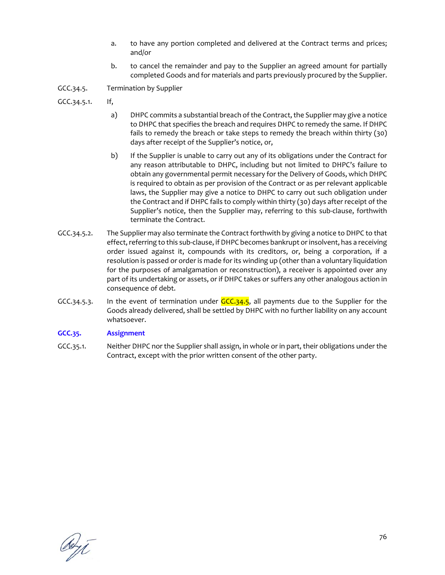- a. to have any portion completed and delivered at the Contract terms and prices; and/or
- b. to cancel the remainder and pay to the Supplier an agreed amount for partially completed Goods and for materials and parts previously procured by the Supplier.

GCC.34.5. Termination by Supplier

- GCC.34.5.1. If,
	- a) DHPC commits a substantial breach of the Contract, the Supplier may give a notice to DHPC that specifies the breach and requires DHPC to remedy the same. If DHPC fails to remedy the breach or take steps to remedy the breach within thirty (30) days after receipt of the Supplier's notice, or,
	- b) If the Supplier is unable to carry out any of its obligations under the Contract for any reason attributable to DHPC, including but not limited to DHPC's failure to obtain any governmental permit necessary for the Delivery of Goods, which DHPC is required to obtain as per provision of the Contract or as per relevant applicable laws, the Supplier may give a notice to DHPC to carry out such obligation under the Contract and if DHPC fails to comply within thirty (30) days after receipt of the Supplier's notice, then the Supplier may, referring to this sub-clause, forthwith terminate the Contract.
- GCC.34.5.2. The Supplier may also terminate the Contract forthwith by giving a notice to DHPC to that effect, referring to this sub-clause, if DHPC becomes bankrupt or insolvent, has a receiving order issued against it, compounds with its creditors, or, being a corporation, if a resolution is passed or order is made for its winding up (other than a voluntary liquidation for the purposes of amalgamation or reconstruction), a receiver is appointed over any part of its undertaking or assets, or if DHPC takes or suffers any other analogous action in consequence of debt.
- GCC.34.5.3. In the event of termination under  $GCC.34.5$ , all payments due to the Supplier for the Goods already delivered, shall be settled by DHPC with no further liability on any account whatsoever.

### **GCC.35. Assignment**

GCC.35.1. Neither DHPC nor the Supplier shall assign, in whole or in part, their obligations under the Contract, except with the prior written consent of the other party.

Reyt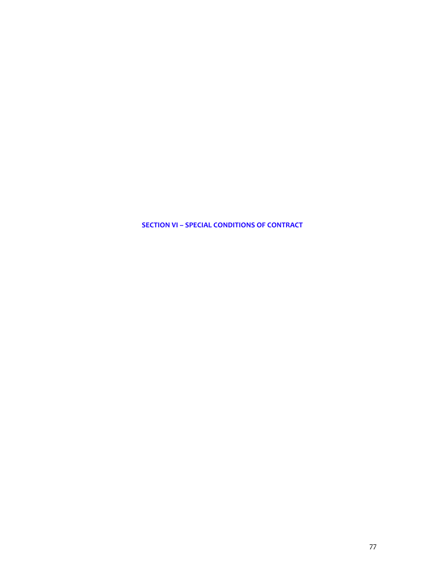**SECTION VI – SPECIAL CONDITIONS OF CONTRACT**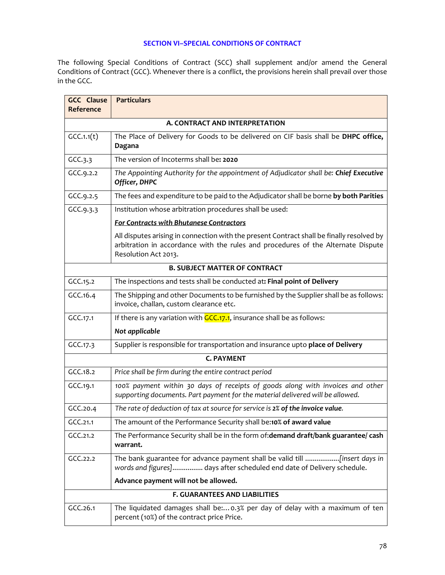# **SECTION VI–SPECIAL CONDITIONS OF CONTRACT**

The following Special Conditions of Contract (SCC) shall supplement and/or amend the General Conditions of Contract (GCC). Whenever there is a conflict, the provisions herein shall prevail over those in the GCC.

| <b>GCC Clause</b><br>Reference | <b>Particulars</b>                                                                                                                                                                                    |
|--------------------------------|-------------------------------------------------------------------------------------------------------------------------------------------------------------------------------------------------------|
|                                | A. CONTRACT AND INTERPRETATION                                                                                                                                                                        |
| GCC.1.1(t)                     | The Place of Delivery for Goods to be delivered on CIF basis shall be DHPC office,<br>Dagana                                                                                                          |
| GCC.3.3                        | The version of Incoterms shall be: 2020                                                                                                                                                               |
| GCC.9.2.2                      | The Appointing Authority for the appointment of Adjudicator shall be: Chief Executive<br>Officer, DHPC                                                                                                |
| GCC.9.2.5                      | The fees and expenditure to be paid to the Adjudicator shall be borne by both Parities                                                                                                                |
| GCC.9.3.3                      | Institution whose arbitration procedures shall be used:                                                                                                                                               |
|                                | For Contracts with Bhutanese Contractors                                                                                                                                                              |
|                                | All disputes arising in connection with the present Contract shall be finally resolved by<br>arbitration in accordance with the rules and procedures of the Alternate Dispute<br>Resolution Act 2013. |
|                                | <b>B. SUBJECT MATTER OF CONTRACT</b>                                                                                                                                                                  |
| GCC.15.2                       | The inspections and tests shall be conducted at: Final point of Delivery                                                                                                                              |
| GCC.16.4                       | The Shipping and other Documents to be furnished by the Supplier shall be as follows:<br>invoice, challan, custom clearance etc.                                                                      |
| GCC.17.1                       | If there is any variation with GCC.17.1, insurance shall be as follows:                                                                                                                               |
|                                | Not applicable                                                                                                                                                                                        |
| GCC.17.3                       | Supplier is responsible for transportation and insurance upto place of Delivery                                                                                                                       |
|                                | <b>C. PAYMENT</b>                                                                                                                                                                                     |
| GCC.18.2                       | Price shall be firm during the entire contract period                                                                                                                                                 |
| GCC.19.1                       | 100% payment within 30 days of receipts of goods along with invoices and other<br>supporting documents. Part payment for the material delivered will be allowed.                                      |
| GCC.20.4                       | The rate of deduction of tax at source for service is 2% of the invoice value.                                                                                                                        |
| GCC.21.1                       | The amount of the Performance Security shall be: <b>10% of award value</b>                                                                                                                            |
| GCC.21.2                       | The Performance Security shall be in the form of: demand draft/bank guarantee/ cash<br>warrant.                                                                                                       |
| GCC.22.2                       | words and figures] days after scheduled end date of Delivery schedule.                                                                                                                                |
|                                | Advance payment will not be allowed.                                                                                                                                                                  |
|                                | <b>F. GUARANTEES AND LIABILITIES</b>                                                                                                                                                                  |
| GCC.26.1                       | The liquidated damages shall be: 0.3% per day of delay with a maximum of ten<br>percent (10%) of the contract price Price.                                                                            |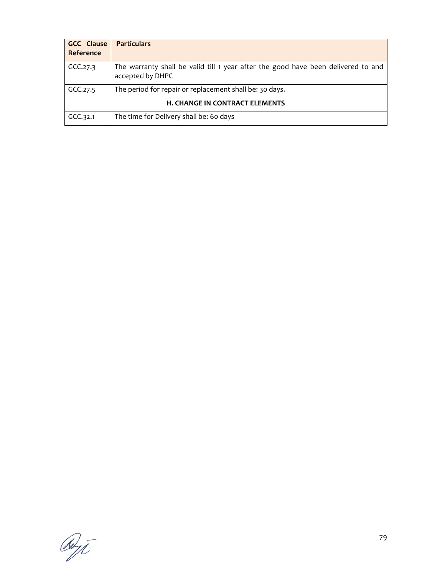| <b>GCC Clause</b><br>Reference        | <b>Particulars</b>                                                                                    |  |  |  |  |
|---------------------------------------|-------------------------------------------------------------------------------------------------------|--|--|--|--|
| GCC.27.3                              | The warranty shall be valid till 1 year after the good have been delivered to and<br>accepted by DHPC |  |  |  |  |
| GCC.27.5                              | The period for repair or replacement shall be: 30 days.                                               |  |  |  |  |
| <b>H. CHANGE IN CONTRACT ELEMENTS</b> |                                                                                                       |  |  |  |  |
| GCC.32.1                              | The time for Delivery shall be: 60 days                                                               |  |  |  |  |

Reyt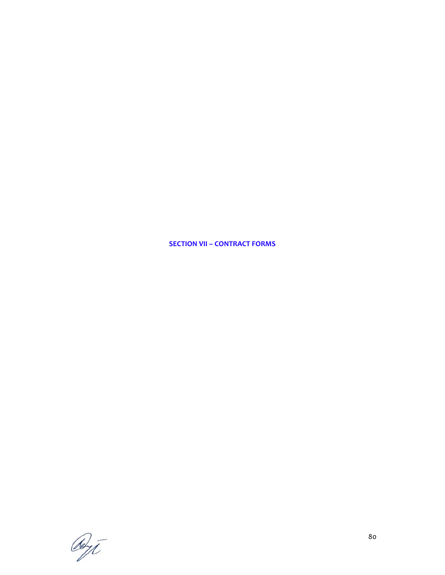**SECTION VII – CONTRACT FORMS**

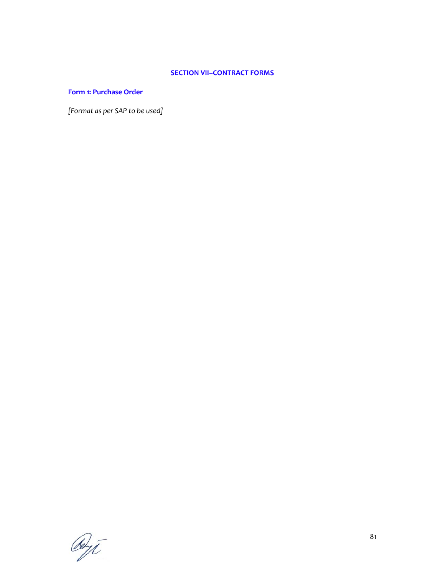# **SECTION VII–CONTRACT FORMS**

# **Form 1: Purchase Order**

*[Format as per SAP to be used]*

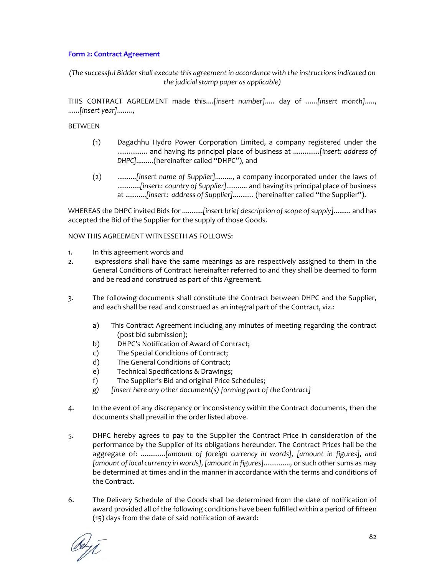# **Form 2: Contract Agreement**

*(The successful Bidder shall execute this agreement in accordance with the instructions indicated on the judicial stamp paper as applicable)*

THIS CONTRACT AGREEMENT made this....*[insert number].....* day of ......*[insert month].....*, ......*[insert year]........*,

## BETWEEN

- (1) Dagachhu Hydro Power Corporation Limited, a company registered under the ......*..........* and having its principal place of business at ..............*[insert: address of DHPC].........*(hereinafter called "DHPC"), and
- (2) ..........*[insert name of Supplier].........*, a company incorporated under the laws of ............*[insert: country of Supplier]...........* and having its principal place of business at ...........*[insert: address of Supplier]...........* (hereinafter called "the Supplier").

WHEREAS the DHPC invited Bids for ...........*[insert brief description ofscope ofsupply].........* and has accepted the Bid of the Supplier for the supply of those Goods.

### NOW THIS AGREEMENT WITNESSETH AS FOLLOWS:

- 1. In this agreement words and
- 2. expressions shall have the same meanings as are respectively assigned to them in the General Conditions of Contract hereinafter referred to and they shall be deemed to form and be read and construed as part of this Agreement.
- 3. The following documents shall constitute the Contract between DHPC and the Supplier, and each shall be read and construed as an integral part of the Contract, viz.:
	- a) This Contract Agreement including any minutes of meeting regarding the contract (post bid submission);
	- b) DHPC's Notification of Award of Contract;
	- c) The Special Conditions of Contract;
	- d) The General Conditions of Contract;
	- e) Technical Specifications & Drawings;
	- f) The Supplier's Bid and original Price Schedules;
	- *g) [insert here any other document(s) forming part of the Contract]*
- 4. In the event of any discrepancy or inconsistency within the Contract documents, then the documents shall prevail in the order listed above.
- 5. DHPC hereby agrees to pay to the Supplier the Contract Price in consideration of the performance by the Supplier of its obligations hereunder. The Contract Prices hall be the aggregate of: .............*[amount of foreign currency in words], [amount in figures], and [amount of local currency in words], [amountin figures]..............,* or such other sums as may be determined at times and in the manner in accordance with the terms and conditions of the Contract.
- 6. The Delivery Schedule of the Goods shall be determined from the date of notification of award provided all of the following conditions have been fulfilled within a period of fifteen (15) days from the date of said notification of award:

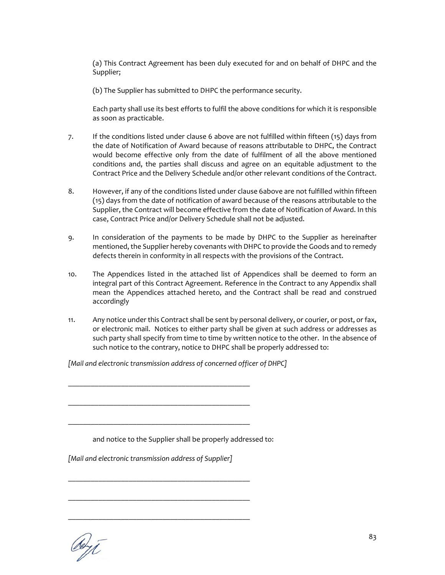(a) This Contract Agreement has been duly executed for and on behalf of DHPC and the Supplier;

(b) The Supplier has submitted to DHPC the performance security.

Each party shall use its best efforts to fulfil the above conditions for which it is responsible as soon as practicable.

- 7. If the conditions listed under clause 6 above are not fulfilled within fifteen (15) days from the date of Notification of Award because of reasons attributable to DHPC, the Contract would become effective only from the date of fulfilment of all the above mentioned conditions and, the parties shall discuss and agree on an equitable adjustment to the Contract Price and the Delivery Schedule and/or other relevant conditions of the Contract.
- 8. However, if any of the conditions listed under clause 6above are not fulfilled within fifteen (15) days from the date of notification of award because of the reasons attributable to the Supplier, the Contract will become effective from the date of Notification of Award. In this case, Contract Price and/or Delivery Schedule shall not be adjusted.
- 9. In consideration of the payments to be made by DHPC to the Supplier as hereinafter mentioned, the Supplier hereby covenants with DHPC to provide the Goods and to remedy defects therein in conformity in all respects with the provisions of the Contract.
- 10. The Appendices listed in the attached list of Appendices shall be deemed to form an integral part of this Contract Agreement. Reference in the Contract to any Appendix shall mean the Appendices attached hereto, and the Contract shall be read and construed accordingly
- 11. Any notice under this Contract shall be sent by personal delivery, or courier, or post, or fax, or electronic mail. Notices to either party shall be given at such address or addresses as such party shall specify from time to time by written notice to the other. In the absence of such notice to the contrary, notice to DHPC shall be properly addressed to:

*[Mail and electronic transmission address of concerned officer of DHPC]*

\_\_\_\_\_\_\_\_\_\_\_\_\_\_\_\_\_\_\_\_\_\_\_\_\_\_\_\_\_\_\_\_\_\_\_\_\_\_\_\_\_\_\_\_\_\_\_\_

\_\_\_\_\_\_\_\_\_\_\_\_\_\_\_\_\_\_\_\_\_\_\_\_\_\_\_\_\_\_\_\_\_\_\_\_\_\_\_\_\_\_\_\_\_\_\_\_

\_\_\_\_\_\_\_\_\_\_\_\_\_\_\_\_\_\_\_\_\_\_\_\_\_\_\_\_\_\_\_\_\_\_\_\_\_\_\_\_\_\_\_\_\_\_\_\_

\_\_\_\_\_\_\_\_\_\_\_\_\_\_\_\_\_\_\_\_\_\_\_\_\_\_\_\_\_\_\_\_\_\_\_\_\_\_\_\_\_\_\_\_\_\_\_\_

\_\_\_\_\_\_\_\_\_\_\_\_\_\_\_\_\_\_\_\_\_\_\_\_\_\_\_\_\_\_\_\_\_\_\_\_\_\_\_\_\_\_\_\_\_\_\_\_

\_\_\_\_\_\_\_\_\_\_\_\_\_\_\_\_\_\_\_\_\_\_\_\_\_\_\_\_\_\_\_\_\_\_\_\_\_\_\_\_\_\_\_\_\_\_\_\_

and notice to the Supplier shall be properly addressed to:

*[Mail and electronic transmission address of Supplier]*

Reyt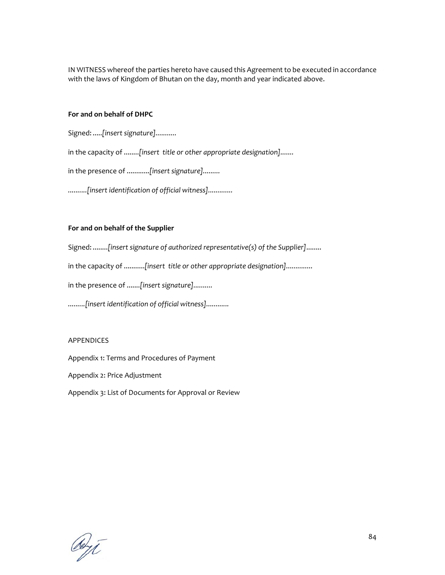IN WITNESS whereof the parties hereto have caused this Agreement to be executed in accordance with the laws of Kingdom of Bhutan on the day, month and year indicated above.

### **For and on behalf of DHPC**

Signed: .....*[insert signature]...........*

in the capacity of ........*[insert title or other appropriate designation].......*

in the presence of ............*[insert signature].........*

*..........[insert identification of official witness].............*

# **For and on behalf of the Supplier**

Signed: ........*[insert signature of authorized representative(s) of the Supplier]*........

in the capacity of ...........*[insert title or other appropriate designation]..............*

in the presence of .......*[insert signature]..........*

*.........[insert identification of official witness]............*

### APPENDICES

Appendix 1: Terms and Procedures of Payment

Appendix 2: Price Adjustment

Appendix 3: List of Documents for Approval or Review

det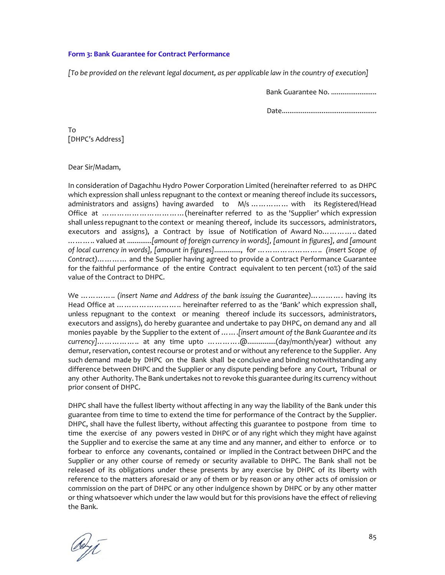### **Form 3: Bank Guarantee for Contract Performance**

*[To be provided on the relevant legal document, as per applicable law in the country of execution]*

Bank Guarantee No. ........................

Date..................................................

To [DHPC's Address]

### Dear Sir/Madam,

In consideration of Dagachhu Hydro Power Corporation Limited (hereinafter referred to as DHPC which expression shall unless repugnant to the context or meaning thereof include its successors, administrators and assigns) having awarded to M/s ............... with its Registered/Head Office at ……………………………(hereinafter referred to as the 'Supplier' which expression shall unless repugnant to the context or meaning thereof, include its successors, administrators, executors and assigns), a Contract by issue of Notification of Award No………….. dated ……….. valued at .............*[amount of foreign currency in words], [amount in figures], and [amount of local currency in words], [amount in figures]*.............., for …………………….. *(insert Scope of Contract)*………… and the Supplier having agreed to provide a Contract Performance Guarantee for the faithful performance of the entire Contract equivalent to ten percent (10%) of the said value of the Contract to DHPC.

We ………….. *(insert Name and Address of the bank issuing the Guarantee)*…………. having its Head Office at …………………….. hereinafter referred to as the 'Bank' which expression shall, unless repugnant to the context or meaning thereof include its successors, administrators, executors and assigns), do hereby guarantee and undertake to pay DHPC, on demand any and all monies payable by the Supplier to the extent of …….*[insert amount of the Bank Guarantee and its currency]*…………….. at any time upto ………….@...............(day/month/year) without any demur, reservation, contest recourse or protest and or without any reference to the Supplier. Any such demand made by DHPC on the Bank shall be conclusive and binding notwithstanding any difference between DHPC and the Supplier or any dispute pending before any Court, Tribunal or any other Authority. The Bank undertakes not to revoke this guarantee during its currency without prior consent of DHPC.

DHPC shall have the fullest liberty without affecting in any way the liability of the Bank under this guarantee from time to time to extend the time for performance of the Contract by the Supplier. DHPC, shall have the fullest liberty, without affecting this guarantee to postpone from time to time the exercise of any powers vested in DHPC or of any right which they might have against the Supplier and to exercise the same at any time and any manner, and either to enforce or to forbear to enforce any covenants, contained or implied in the Contract between DHPC and the Supplier or any other course of remedy or security available to DHPC. The Bank shall not be released of its obligations under these presents by any exercise by DHPC of its liberty with reference to the matters aforesaid or any of them or by reason or any other acts of omission or commission on the part of DHPC or any other indulgence shown by DHPC or by any other matter or thing whatsoever which under the law would but for this provisions have the effect of relieving the Bank.

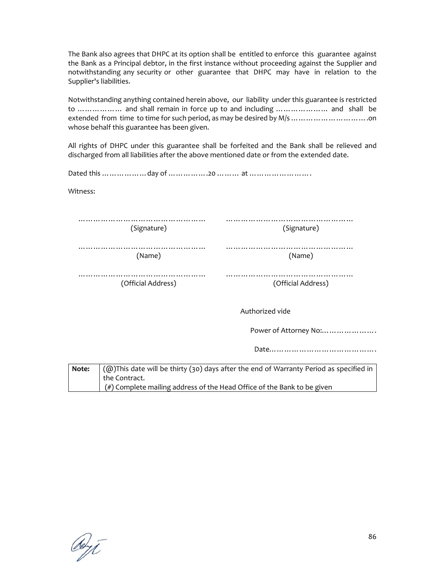The Bank also agrees that DHPC at its option shall be entitled to enforce this guarantee against the Bank as a Principal debtor, in the first instance without proceeding against the Supplier and notwithstanding any security or other guarantee that DHPC may have in relation to the Supplier's liabilities.

Notwithstanding anything contained herein above, our liability under this guarantee is restricted to ……………… and shall remain in force up to and including ………………… and shall be extended from time to time for such period, as may be desired by M/s ………………………….on whose behalf this guarantee has been given.

All rights of DHPC under this guarantee shall be forfeited and the Bank shall be relieved and discharged from all liabilities after the above mentioned date or from the extended date.

Dated this ………………day of …………….20 ……… at …………………….

Witness:

| (Signature) | (Signature) |
|-------------|-------------|

…………………………………………… (Name)

|  |  |  |  |  |  |  |  |  |  | (Name) |  |  |  |  |  |  |  |
|--|--|--|--|--|--|--|--|--|--|--------|--|--|--|--|--|--|--|

……………………………………………… (Official Address)

…………………………………………… (Official Address)

Authorized vide

Power of Attorney No:......................

Date…………………………………….

**Note:**  $\langle \text{a}\rangle$ This date will be thirty (30) days after the end of Warranty Period as specified in the Contract. (#) Complete mailing address of the Head Office of the Bank to be given

deyt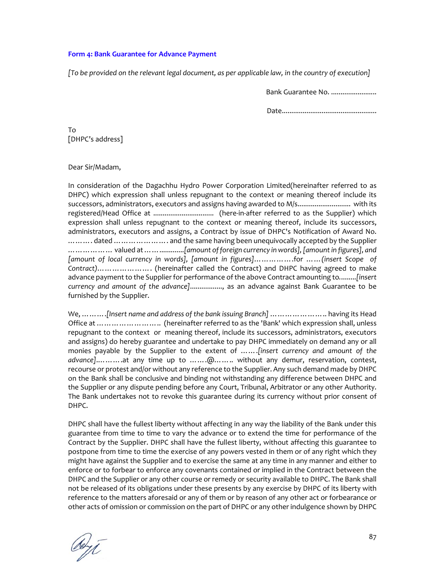### **Form 4: Bank Guarantee for Advance Payment**

*[To be provided on the relevant legal document, as per applicable law, in the country of execution]*

Bank Guarantee No. ........................

Date..................................................

To [DHPC's address]

#### Dear Sir/Madam,

In consideration of the Dagachhu Hydro Power Corporation Limited(hereinafter referred to as DHPC) which expression shall unless repugnant to the context or meaning thereof include its successors, administrators, executors and assigns having awarded to M/s............................ with its registered/Head Office at ................................ (here‐in‐after referred to as the Supplier) which expression shall unless repugnant to the context or meaning thereof, include its successors, administrators, executors and assigns, a Contract by issue of DHPC's Notification of Award No. ………. dated …………………. and the same having been unequivocally accepted by the Supplier ……………… valued at…….............*[amount offoreign currency in words],[amountin figures], and [amount of local currency in words], [amount in figures]*…………….for ……*(insert Scope of Contract)*…………………. (hereinafter called the Contract) and DHPC having agreed to make advance payment to the Supplier for performance ofthe above Contract amounting to*.*........*[insert currency and amount of the advance]*................., as an advance against Bank Guarantee to be furnished by the Supplier.

We, ……….*[Insert name and address of the bank issuing Branch]* ………………….. having its Head Office at …………………….. (hereinafter referred to as the 'Bank' which expression shall, unless repugnant to the context or meaning thereof, include its successors, administrators, executors and assigns) do hereby guarantee and undertake to pay DHPC immediately on demand any or all monies payable by the Supplier to the extent of …….*[insert currency and amount of the advance]*.……….at any time up to …….@…….. without any demur, reservation, contest, recourse or protest and/or without any reference to the Supplier. Any such demand made by DHPC on the Bank shall be conclusive and binding not withstanding any difference between DHPC and the Supplier or any dispute pending before any Court, Tribunal, Arbitrator or any other Authority. The Bank undertakes not to revoke this guarantee during its currency without prior consent of DHPC.

DHPC shall have the fullest liberty without affecting in any way the liability of the Bank under this guarantee from time to time to vary the advance or to extend the time for performance of the Contract by the Supplier. DHPC shall have the fullest liberty, without affecting this guarantee to postpone from time to time the exercise of any powers vested in them or of any right which they might have against the Supplier and to exercise the same at any time in any manner and either to enforce or to forbear to enforce any covenants contained or implied in the Contract between the DHPC and the Supplier or any other course or remedy or security available to DHPC. The Bank shall not be released of its obligations under these presents by any exercise by DHPC of its liberty with reference to the matters aforesaid or any of them or by reason of any other act or forbearance or other acts of omission or commission on the part of DHPC or any other indulgence shown by DHPC

derit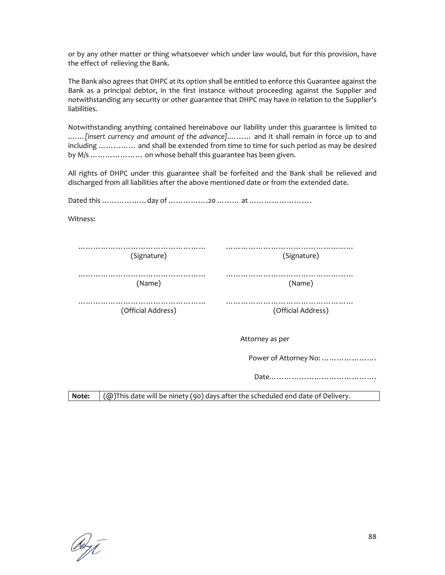or by any other matter or thing whatsoever which under law would, but for this provision, have the effect of relieving the Bank.

The Bank also agrees that DHPC at its option shall be entitled to enforce this Guarantee against the Bank as a principal debtor, in the first instance without proceeding against the Supplier and notwithstanding any security or other guarantee that DHPC may have in relation to the Supplier's liabilities.

Notwithstanding anything contained hereinabove our liability under this guarantee is limited to .……*[insert currency and amount of the advance]*.……… and it shall remain in force up to and including …………… and shall be extended from time to time for such period as may be desired by M/s ………………… on whose behalf this guarantee has been given.

All rights of DHPC under this guarantee shall be forfeited and the Bank shall be relieved and discharged from all liabilities after the above mentioned date or from the extended date.

Dated this ………………day of …………….20 ……… at ……………………. Witness: ……………………………………………… (Signature) …………………………………………… (Signature) …………………………………………… …………………………………………… (Name) (Name) …………………………………………… (Official Address) …………………………………………… (Official Address) Attorney as per Power of Attorney No: …………………. Date……………………………………. **Note:**  $(@)$ This date will be ninety (90) days after the scheduled end date of Delivery.

deyt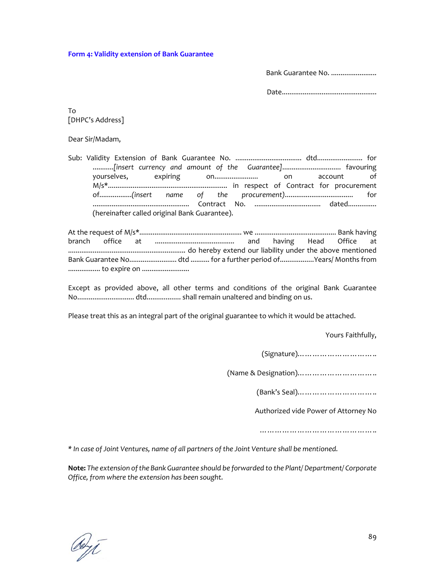**Form 4: Validity extension of Bank Guarantee**

Bank Guarantee No. .......................

Date..................................................

To [DHPC's Address]

Dear Sir/Madam,

Sub: Validity Extension of Bank Guarantee No. ................................... dtd........................ for ...........*[insert currency and amount of the Guarantee]*............................... favouring yourselves, expiring on....................... on account of M/s\*............................................................... in respect of Contract for procurement of.................*(insert name of the procurement)*.................................... for ................................................... Contract No. ................................... dated............... (hereinafter called original Bank Guarantee).

At the request of M/s\*...................................................... we ........................................... Bank having branch office at .......................................... and having Head Office at .............................................................. do hereby extend our liability under the above mentioned Bank Guarantee No......................... dtd .......... for a further period of..................Years/ Months from ................. to expire on .........................

Except as provided above, all other terms and conditions of the original Bank Guarantee No.............................. dtd.................. shall remain unaltered and binding on us.

Please treat this as an integral part of the original guarantee to which it would be attached.

Yours Faithfully,

(Signature)…………………………..

(Name & Designation)…………………………..

(Bank's Seal)…………………………..

Authorized vide Power of Attorney No

………………………………………………

*\* In case of Joint Ventures, name of all partners of the Joint Venture shall be mentioned.*

**Note:** *The extension ofthe Bank Guarantee should be forwarded to the Plant/ Department/ Corporate Office, from where the extension has been sought.*

debyt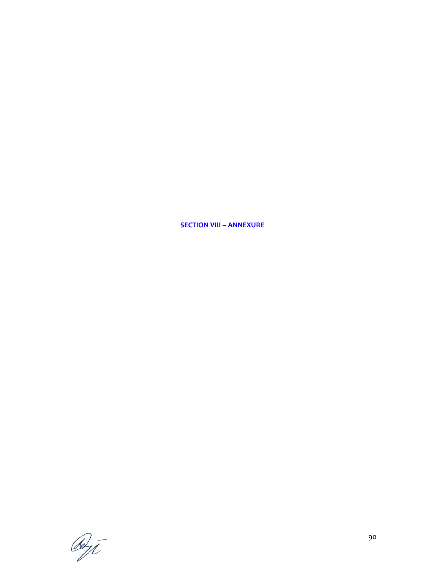**SECTION VIII – ANNEXURE**

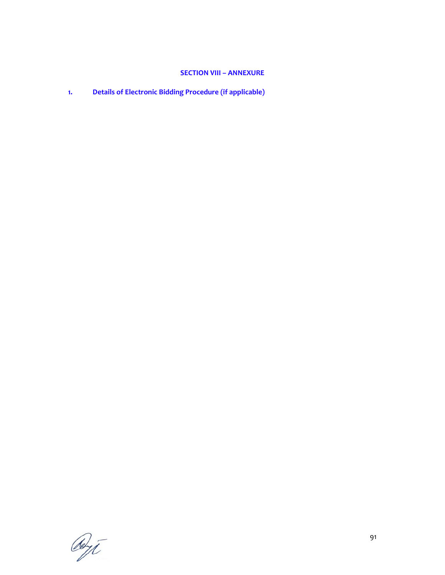# **SECTION VIII – ANNEXURE**

**1. Details of Electronic Bidding Procedure (if applicable)**

Reyt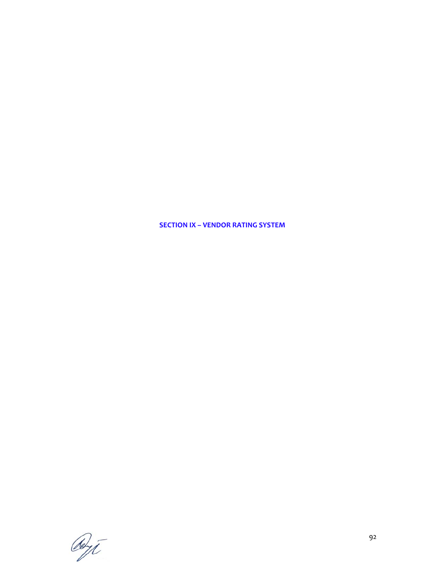**SECTION IX – VENDOR RATING SYSTEM**

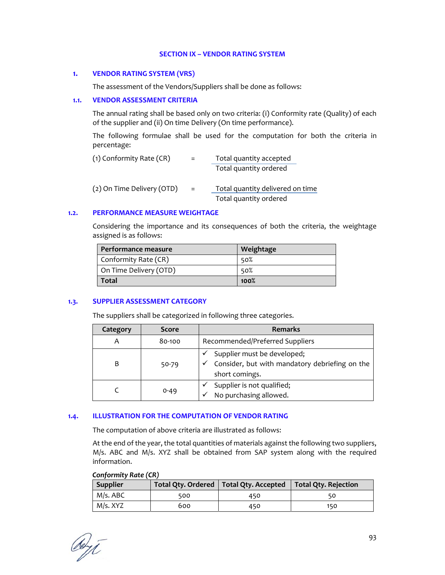#### **SECTION IX – VENDOR RATING SYSTEM**

#### **1. VENDOR RATING SYSTEM (VRS)**

The assessment of the Vendors/Suppliers shall be done as follows:

#### **1.1. VENDOR ASSESSMENT CRITERIA**

The annual rating shall be based only on two criteria: (i) Conformity rate (Quality) of each of the supplier and (ii) On time Delivery (On time performance).

The following formulae shall be used for the computation for both the criteria in percentage:

| (1) Conformity Rate (CR)   |     | Total quantity accepted          |  |  |  |  |  |  |
|----------------------------|-----|----------------------------------|--|--|--|--|--|--|
|                            |     | Total quantity ordered           |  |  |  |  |  |  |
| (2) On Time Delivery (OTD) | $=$ | Total quantity delivered on time |  |  |  |  |  |  |
|                            |     | Total quantity ordered           |  |  |  |  |  |  |

#### **1.2. PERFORMANCE MEASURE WEIGHTAGE**

Considering the importance and its consequences of both the criteria, the weightage assigned is as follows:

| Performance measure    | Weightage |
|------------------------|-----------|
| Conformity Rate (CR)   | 50%       |
| On Time Delivery (OTD) | 50%       |
| <b>Total</b>           | 100%      |

### **1.3. SUPPLIER ASSESSMENT CATEGORY**

The suppliers shall be categorized in following three categories.

| Category | <b>Score</b> | <b>Remarks</b>                                                                                       |
|----------|--------------|------------------------------------------------------------------------------------------------------|
| Α        | 80-100       | Recommended/Preferred Suppliers                                                                      |
| B        | 50-79        | Supplier must be developed;<br>Consider, but with mandatory debriefing on the<br>✓<br>short comings. |
|          | 0-49         | Supplier is not qualified;<br>No purchasing allowed.<br>$\checkmark$                                 |

### **1.4. ILLUSTRATION FOR THE COMPUTATION OF VENDOR RATING**

The computation of above criteria are illustrated as follows:

At the end of the year, the total quantities of materials against the following two suppliers, M/s. ABC and M/s. XYZ shall be obtained from SAP system along with the required information.

|  | Conformity Rate (CR) |  |  |
|--|----------------------|--|--|
|--|----------------------|--|--|

| Supplier |     | Total Qty. Ordered   Total Qty. Accepted   Total Qty. Rejection |     |
|----------|-----|-----------------------------------------------------------------|-----|
| M/s. ABC | 500 | 450                                                             |     |
| M/s. XYZ | 600 | 450                                                             | 150 |

Out